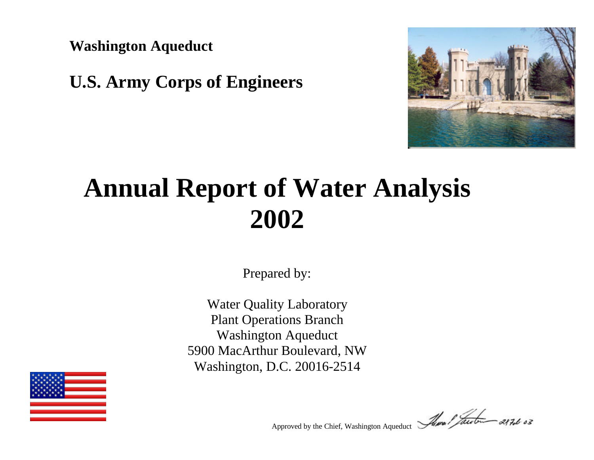**Washington Aqueduct**

## **U.S. Army Corps of Engineers**



# **Annual Report of Water Analysis 2002**

Prepared by:

Water Quality Laboratory Plant Operations Branch Washington Aqueduct 5900 MacArthur Boulevard, NW Washington, D.C. 20016-2514



Approved by the Chief, Washington Aqueduct *Alma I facebood 287.6 03*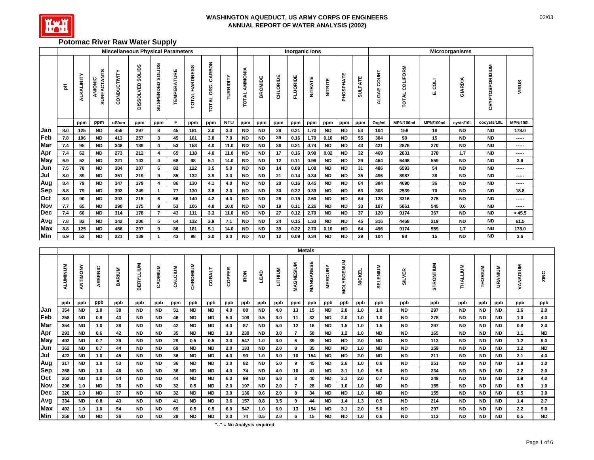

#### **Potomac River Raw Water Supply**

|            |     |                   |                               |              | <b>Miscellaneous Physical Parameters</b> |                            |                           |                                 |                               |            |                         |           |          | <b>Inorganic lons</b> |                |                |           |                |                              |                                     |           | Microorganisms |                        |                 |
|------------|-----|-------------------|-------------------------------|--------------|------------------------------------------|----------------------------|---------------------------|---------------------------------|-------------------------------|------------|-------------------------|-----------|----------|-----------------------|----------------|----------------|-----------|----------------|------------------------------|-------------------------------------|-----------|----------------|------------------------|-----------------|
|            | 玉   | <b>ALKALINITY</b> | <b>SURFACTANTS</b><br>ANIONIC | CONDUCTIVITY | <b>SOLIDS</b><br>DISSOLVED               | <b>SOLIDS</b><br>SUSPENDED | <b><i>TEMPERATURE</i></b> | <b>HARDNESS</b><br><b>TOTAL</b> | CARBON<br>ORG.<br><b>DATO</b> | TURBIDITY  | AMMONIA<br><b>TOTAL</b> | BROMIDE   | CHLORIDE | <b>FLUORIDE</b>       | <b>NITRATE</b> | <b>NITRITE</b> | PHOSPHATE | <b>SULFATE</b> | <b>COUNT</b><br><b>ALGAE</b> | <b>OLIFORM</b><br>ō<br><b>TOTAL</b> | 흷         | GIARDIA        | <b>CRYPTOSPORIDIUM</b> | VIRUS           |
|            |     | ppm               | ppm                           | uS/cm        | ppm                                      | ppm                        | F                         | ppm                             | ppm                           | <b>NTU</b> | ppm                     | ppm       | ppm      | ppm                   | ppm            | ppm            | ppm       | ppm            | Org/ml                       | MPN/100ml                           | MPN/100ml | cysts/10L      | oocysts/10L            | <b>MPN/100L</b> |
| Jan        | 8.0 | 125               | <b>ND</b>                     | 456          | 297                                      | 8                          | 45                        | 181                             | 3.0                           | 3.0        | <b>ND</b>               | <b>ND</b> | 29       | 0.21                  | 1.70           | <b>ND</b>      | <b>ND</b> | 53             | 104                          | 158                                 | 18        | <b>ND</b>      | <b>ND</b>              | 178.0           |
| Feb        | 7.8 | 106               | <b>ND</b>                     | 413          | 257                                      | 3                          | 45                        | 161                             | 3.0                           | 7.0        | <b>ND</b>               | <b>ND</b> | 39       | 0.16                  | 1.70           | 0.10           | <b>ND</b> | 55             | 304                          | 98                                  | 15        | <b>ND</b>      | <b>ND</b>              | -----           |
| Mar        | 7.4 | 95                | <b>ND</b>                     | 348          | 139                                      | 4                          | 53                        | 153                             | 4.0                           | 11.0       | <b>ND</b>               | <b>ND</b> | 36       | 0.21                  | 0.74           | <b>ND</b>      | <b>ND</b> | 43             | 421                          | 2876                                | 270       | <b>ND</b>      | <b>ND</b>              | $- - - - -$     |
| Apr        | 7.4 | 62                | <b>ND</b>                     | 273          | 212                                      | 4                          | 65                        | 118                             | 4.0                           | 11.0       | <b>ND</b>               | <b>ND</b> | 17       | 0.16                  | 0.98           | 0.02           | <b>ND</b> | 32             | 469                          | 2831                                | 378       | 1.7            | <b>ND</b>              | -----           |
| May        | 6.9 | 52                | <b>ND</b>                     | 221          | 143                                      | 4                          | 68                        | 98                              | 5.1                           | 14.0       | <b>ND</b>               | <b>ND</b> | 12       | 0.11                  | 0.96           | <b>ND</b>      | <b>ND</b> | 29             | 464                          | 6498                                | 559       | <b>ND</b>      | <b>ND</b>              | 3.6             |
| Jun        | 7.5 | 78                | <b>ND</b>                     | 304          | 207                                      | 6                          | 82                        | 122                             | 3.5                           | 5.0        | <b>ND</b>               | <b>ND</b> | 14       | 0.09                  | 1.08           | <b>ND</b>      | <b>ND</b> | 31             | 486                          | 6593                                | 54        | <b>ND</b>      | <b>ND</b>              | -----           |
| Jul        | 8.0 | 89                | <b>ND</b>                     | 351          | 219                                      | 9                          | 85                        | 132                             | 3.9                           | 3.0        | <b>ND</b>               | <b>ND</b> | 21       | 0.14                  | 0.34           | <b>ND</b>      | <b>ND</b> | 35             | 496                          | 8987                                | 38        | <b>ND</b>      | <b>ND</b>              | -----           |
| Aug        | 8.4 | 79                | <b>ND</b>                     | 347          | 179                                      | 4                          | 86                        | 130                             | 4.1                           | 4.0        | <b>ND</b>               | <b>ND</b> | 20       | 0.16                  | 0.45           | <b>ND</b>      | <b>ND</b> | 64             | 384                          | 4690                                | 36        | <b>ND</b>      | <b>ND</b>              | $- - - - -$     |
| Sep        | 8.8 | 79                | <b>ND</b>                     | 392          | 249                                      |                            | 77                        | 130                             | 3.8                           | 2.0        | <b>ND</b>               | <b>ND</b> | 30       | 0.22                  | 0.39           | <b>ND</b>      | <b>ND</b> | 63             | 308                          | 2539                                | 70        | <b>ND</b>      | <b>ND</b>              | 18.8            |
| Oct        | 8.0 | 90                | <b>ND</b>                     | 393          | 215                                      | 6                          | 66                        | 140                             | 4.2                           | 4.0        | <b>ND</b>               | <b>ND</b> | 28       | 0.15                  | 2.60           | <b>ND</b>      | <b>ND</b> | 64             | 128                          | 3316                                | 275       | <b>ND</b>      | <b>ND</b>              | -----           |
| <b>Nov</b> | 7.7 | 65                | <b>ND</b>                     | 290          | 175                                      | 9                          | 53                        | 106                             | 4.8                           | 10.0       | <b>ND</b>               | <b>ND</b> | 19       | 0.11                  | 2.26           | <b>ND</b>      | <b>ND</b> | 33             | 107                          | 5861                                | 545       | 0.6            | <b>ND</b>              | -----           |
| <b>Dec</b> | 7.4 | 66                | ND.                           | 314          | 178                                      | $\overline{7}$             | 43                        | 111                             | 3.3                           | 11.0       | <b>ND</b>               | <b>ND</b> | 27       | 0.12                  | 2.70           | <b>ND</b>      | ND.       | 37             | 120                          | 9174                                | 367       | <b>ND</b>      | <b>ND</b>              | >45.5           |
| Avg        | 7.8 | 82                | <b>ND</b>                     | 342          | 206                                      | 5                          | 64                        | 132                             | 3.9                           | 7.1        | <b>ND</b>               | <b>ND</b> | 24       | 0.15                  | 1.33           | <b>ND</b>      | <b>ND</b> | 45             | 316                          | 4468                                | 219       | <b>ND</b>      | <b>ND</b>              | 61.5            |
| Max        | 8.8 | 125               | <b>ND</b>                     | 456          | 297                                      | 9                          | 86                        | 181                             | 5.1                           | 14.0       | <b>ND</b>               | <b>ND</b> | 39       | 0.22                  | 2.70           | 0.10           | <b>ND</b> | 64             | 496                          | 9174                                | 559       | 1.7            | <b>ND</b>              | 178.0           |
| Min        | 6.9 | 52                | <b>ND</b>                     | 221          | 139                                      |                            | 43                        | 98                              | 3.0                           | 2.0        | <b>ND</b>               | <b>ND</b> | 12       | 0.09                  | 0.34           | <b>ND</b>      | <b>ND</b> | 29             | 104                          | 98                                  | 15        | <b>ND</b>      | <b>ND</b>              | 3.6             |

|            |                 |           |           |            |                  |           |         |           |               |        |             |           |                |           | <b>Metals</b> |                |                   |               |           |               |               |                 |           |           |                        |           |
|------------|-----------------|-----------|-----------|------------|------------------|-----------|---------|-----------|---------------|--------|-------------|-----------|----------------|-----------|---------------|----------------|-------------------|---------------|-----------|---------------|---------------|-----------------|-----------|-----------|------------------------|-----------|
|            | <b>ALUMINUM</b> | ANTIMONY  | ARSENIC   | ARIUM<br>œ | <b>BERYLLIUM</b> | ADMIUM    | CALCIUM | CHROMIUM  | <b>LTVBOC</b> | COPPER | <b>IRON</b> | LEAD      | <b>LITHIUM</b> | MAGNESIUM | MANGANESE     | <b>MERCURY</b> | <b>MOLYBDENUM</b> | <b>NICKEL</b> | SELENIU   | <b>SILVER</b> | ONTIUM<br>ŠTŘ | <b>THALLIUM</b> | THORIUM   | URANIUM   | <b><i>VANADIUM</i></b> | ZINC      |
|            | ppb             | ppb       | ppb       | ppb        | ppb              | ppb       | ppm     | ppb       | ppb           | ppb    | ppb         | ppb       | ppb            | ppm       | ppb           | ppb            | ppb               | ppb           | ppb       | ppb           | ppb           | ppb             | ppb       | ppb       | ppb                    | ppb       |
| <b>Jan</b> | 354             | ND.       | 1.0       | 38         | <b>ND</b>        | <b>ND</b> | 51      | <b>ND</b> | ND.           | 4.0    | 88          | ND.       | 4.0            | 13        | 15            | ND.            | 2.0               | 1.0           | 1.0       | <b>ND</b>     | 297           | <b>ND</b>       | ND.       | <b>ND</b> | 1.6                    | 2.0       |
| Feb        | 258             | <b>ND</b> | 0.8       | 43         | <b>ND</b>        | ND        | 46      | <b>ND</b> | <b>ND</b>     | 5.0    | 109         | 0.5       | 3.0            | 11        | 32            | <b>ND</b>      | 2.0               | 1.0           | 1.0       | <b>ND</b>     | 278           | <b>ND</b>       | <b>ND</b> | ND        | 1.0                    | 4.0       |
| Mar        | 354             | <b>ND</b> | 1.0       | 38         | ND.              | <b>ND</b> | 42      | ND.       | <b>ND</b>     | 4.0    | 87          | <b>ND</b> | 5.0            | 12        | 16            | ND.            | 1.5               | 1.0           | 1.5       | <b>ND</b>     | 297           | <b>ND</b>       | ND.       | ND.       | 0.8                    | 2.0       |
| Apr        | 293             | <b>ND</b> | 0.6       | 42         | <b>ND</b>        | <b>ND</b> | 35      | <b>ND</b> | <b>ND</b>     | 3.0    | 239         | <b>ND</b> | 3.0            |           | 50            | ND.            | 1.2               | 1.0           | <b>ND</b> | <b>ND</b>     | 165           | <b>ND</b>       | ND.       | ND        | 1.1                    | <b>ND</b> |
| May        | 492             | ND.       | 0.7       | 39         | ND.              | <b>ND</b> | 29      | 0.5       | 0.5           | 3.0    | 547         | 1.0       | 3.0            | 6.        | 39            | ND.            | ND.               | 2.0           | <b>ND</b> | <b>ND</b>     | 113           | <b>ND</b>       | ND.       | <b>ND</b> | 1.2                    | 9.0       |
| Jun        | 362             | <b>ND</b> | 0.7       | 44         | <b>ND</b>        | <b>ND</b> | 69      | ND.       | ND.           | 2.0    | 133         | <b>ND</b> | 2.0            | 8         | 35            | <b>ND</b>      | <b>ND</b>         | 1.0           | <b>ND</b> | <b>ND</b>     | 159           | <b>ND</b>       | ND.       | ND        | 1.2                    | <b>ND</b> |
| Jul        | 422             | <b>ND</b> | 1.0       | 45         | ND.              | <b>ND</b> | 36      | ND.       | <b>ND</b>     | 4.0    | 90          | 1.0       | 3.0            | 10        | 154           | <b>ND</b>      | <b>ND</b>         | 2.0           | <b>ND</b> | <b>ND</b>     | 211           | <b>ND</b>       | ND.       | <b>ND</b> | 2.1                    | 4.0       |
| Aug        | 317             | <b>ND</b> | 1.0       | 53         | <b>ND</b>        | <b>ND</b> | 36      | <b>ND</b> | <b>ND</b>     | 3.0    | 82          | <b>ND</b> | 5.0            | 9         | 45            | <b>ND</b>      | 2.6               | 1.0           | 0.6       | <b>ND</b>     | 251           | <b>ND</b>       | ND.       | ND.       | 1.9                    | 1.0       |
| <b>Sep</b> | 268             | <b>ND</b> | 1.0       | 46         | ND.              | <b>ND</b> | 36      | <b>ND</b> | ND.           | 4.0    | 74          | ND.       | 4.0            | 10        | 41            | <b>ND</b>      | 3.1               | 1.0           | 5.0       | <b>ND</b>     | 234           | <b>ND</b>       | ND.       | ND        | 2.2                    | 2.0       |
| Oct        | 262             | <b>ND</b> | 1.0       | 54         | ND.              | <b>ND</b> | 44      | ND.       | <b>ND</b>     | 6.0    | 99          | <b>ND</b> | 6.0            | 8         | 40            | <b>ND</b>      | 3.1               | 2.0           | 0.7       | <b>ND</b>     | 249           | <b>ND</b>       | ND.       | ND.       | 1.9                    | 4.0       |
| Nov        | 296             | 1.0       | <b>ND</b> | 36         | <b>ND</b>        | <b>ND</b> | 32      | 0.5       | ND.           | 2.0    | 197         | <b>ND</b> | 2.0            |           | 28            | <b>ND</b>      | 1.0               | 1.0           | <b>ND</b> | <b>ND</b>     | 155           | <b>ND</b>       | <b>ND</b> | <b>ND</b> | 0.9                    | 1.0       |
| Dec        | 326             | 1.0       | ND.       | 37         | <b>ND</b>        | <b>ND</b> | 32      | <b>ND</b> | <b>ND</b>     | 3.0    | 136         | 0.6       | 2.0            | 8         | 34            | <b>ND</b>      | <b>ND</b>         | 1.0           | <b>ND</b> | <b>ND</b>     | 155           | <b>ND</b>       | <b>ND</b> | ND        | 0.5                    | 3.0       |
| Avg        | 334             | ND.       | 0.8       | 43         | <b>ND</b>        | <b>ND</b> | 41      | ND.       | ND.           | 3.6    | 157         | 0.8       | 3.5            | 9         | 44            | ND.            | 1.4               | 1.3           | 0.9       | ND.           | 214           | <b>ND</b>       | ND.       | ND.       | 1.4                    | 2.7       |
| Max        | 492             | 1.0       | 1.0       | 54         | ND.              | <b>ND</b> | 69      | 0.5       | 0.5           | 6.0    | 547         | 1.0       | 6.0            | 13        | 154           | <b>ND</b>      | 3.1               | 2.0           | 5.0       | <b>ND</b>     | 297           | <b>ND</b>       | ND.       | ND.       | 2.2                    | 9.0       |
| Min        | 258             | <b>ND</b> | ND.       | 36         | <b>ND</b>        | <b>ND</b> | 29      | <b>ND</b> | <b>ND</b>     | 2.0    | 74          | 0.5       | 2.0            | 6         | 15            | ND.            | <b>ND</b>         | 1.0           | 0.6       | <b>ND</b>     | 113           | <b>ND</b>       | ND.       | <b>ND</b> | 0.5                    | <b>ND</b> |

**"--" = No Analysis required**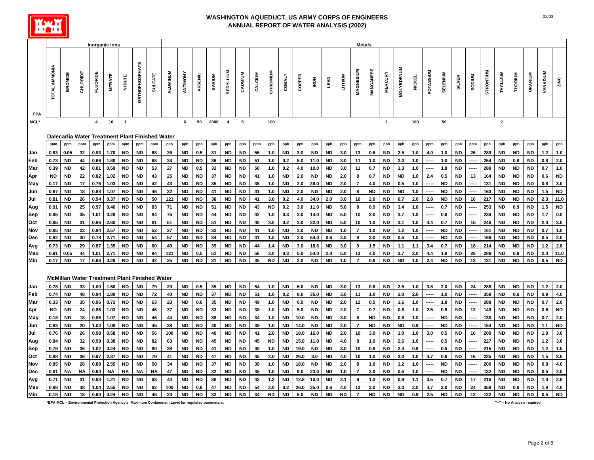

|             |                      |           | <b>Inorganic lons</b><br><b>Metals</b><br><b>DRTHOPHOSPHAT</b><br><b>MOLYBDENUM</b><br><b>MANGANESE</b><br>MAGNESIUM<br>POTASSIUM<br><b>STRONTIUM</b><br><b>BERYLLIUM</b><br><b>VANADIUM</b><br>ALUMINUM<br>CHROMIUM<br>SELENIUM<br>THALLIUM<br>CADMIUM<br>ANTIMONY<br><b>MERCURY</b><br>URANIUM<br>CALCIUM<br>THORIUM<br><b>SULFATE</b><br>ARSENIC<br><b>BARIUM</b><br>LITHIUM<br><b>SODIUM</b><br>CHLORID<br><b>FLUORID</b><br><b>NITRATE</b><br>COBALT<br>COPPER<br><b>NITRITE</b><br><b>NICKEL</b><br><b>SILVER</b><br>LEAD<br><b>IRON</b><br>10<br>$\overline{2}$<br>$\overline{\mathbf{4}}$<br>$\overline{\mathbf{1}}$<br>50<br>2000<br>5<br>100<br>$\overline{2}$<br>100<br>50<br>6<br>$\overline{4}$<br>Dalecarlia Water Treatment Plant Finished Water<br>ppb<br>ppb<br>ppm<br>ppm<br>ppm<br>ppm<br>ppm<br>ppm<br>ppb<br>ppb<br>ppb<br>ppb<br>ppb<br>ppm<br>ppb<br>ppb<br>ppb<br>ppb<br>ppb<br>ppb<br>ppm<br>ppb<br>ppb<br>ppb<br>ppb<br>ppm<br>ppb<br>ppb<br>ppm<br>ppb<br>ppb<br>ppb<br>ppb<br>32<br><b>ND</b><br><b>ND</b><br>2.5<br><b>ND</b><br>289<br><b>ND</b><br><b>ND</b><br><b>ND</b><br>$1.2$<br>0.93<br>1.70<br><b>ND</b><br>ND<br>68<br>26<br><b>ND</b><br>0.5<br>31<br><b>ND</b><br><b>ND</b><br>56<br><b>ND</b><br>ND<br>3.0<br>13<br>0.6<br>1.0<br>4.0<br>1.0<br>26<br>1.0<br>3.0<br>254<br>44<br>0.66<br>1.80<br><b>ND</b><br><b>ND</b><br>68<br>34<br><b>ND</b><br><b>ND</b><br>36<br><b>ND</b><br><b>ND</b><br>51<br>1.0<br>0.2<br>5.0<br>11.0<br><b>ND</b><br>3.0<br>11<br>1.0<br><b>ND</b><br>2.0<br>1.0<br>1.0<br><b>ND</b><br><b>ND</b><br>0.8<br><b>ND</b><br>0.8<br>42<br>0.81<br>0.59<br>ND<br>53<br>27<br>ND<br>0.5<br>32<br>ND<br>ND<br>50<br>1.0<br>0.2<br>4.0<br>10.0<br><b>ND</b><br>0.7<br>ND<br>1.3<br>1.0<br>1.8<br>ND<br>289<br>ND<br>ND<br>ND<br>0.7<br>ND<br>3.0<br>11<br>---<br>0.82<br>43<br>37<br><b>ND</b><br><b>ND</b><br><b>ND</b><br><b>ND</b><br><b>ND</b><br>22<br>1.02<br><b>ND</b><br>ND<br>25<br><b>ND</b><br><b>ND</b><br><b>ND</b><br><b>ND</b><br>41<br><b>ND</b><br>2.0<br>ND<br>2.0<br>0.7<br><b>ND</b><br>1.0<br>2.4<br>164<br><b>ND</b><br>0.6<br>1.0<br>8<br>0.5<br>13<br>17<br>0.76<br>1.03<br><b>ND</b><br><b>ND</b><br>42<br>43<br><b>ND</b><br><b>ND</b><br>35<br><b>ND</b><br><b>ND</b><br>35<br><b>ND</b><br>2.0<br>38.0<br><b>ND</b><br>2.0<br>$\overline{7}$<br>4.0<br><b>ND</b><br>0.5<br>1.0<br><b>ND</b><br><b>ND</b><br>131<br><b>ND</b><br><b>ND</b><br><b>ND</b><br>0.8<br>1.0<br>-----<br>-----<br>18<br>0.88<br>32<br>41<br><b>ND</b><br>2.0<br><b>ND</b><br>2.0<br>8<br><b>ND</b><br><b>ND</b><br><b>ND</b><br>1.0<br><b>ND</b><br><b>ND</b><br>163<br><b>ND</b><br><b>ND</b><br>1.5<br>1.07<br><b>ND</b><br><b>ND</b><br>46<br><b>ND</b><br><b>ND</b><br>41<br><b>ND</b><br><b>ND</b><br>1.0<br><b>ND</b><br><b>ND</b><br>-----<br>-----<br>2.3<br>0.94<br>34.0<br>2.0<br><b>ND</b><br>2.0<br>2.8<br><b>ND</b><br><b>ND</b><br>217<br><b>ND</b><br><b>ND</b><br>26<br>0.37<br><b>ND</b><br><b>ND</b><br>50<br>121<br><b>ND</b><br><b>ND</b><br>38<br><b>ND</b><br><b>ND</b><br>41<br>3.0<br>0.2<br>4.0<br>2.0<br>3.0<br>10<br>0.7<br><b>ND</b><br>16<br>253<br>1.5<br>25<br>0.97<br>ND<br>83<br>71<br>ND<br>51<br><b>ND</b><br>ND.<br>3.0<br>11.0<br><b>ND</b><br>5.0<br>0.9<br>ND.<br>3.4<br>1.0<br>0.7<br><b>ND</b><br><b>ND</b><br><b>ND</b><br>0.46<br>ND<br>ND<br>ND<br>43<br>0.2<br>8<br>0.9<br><b>ND</b><br>84<br>75<br><b>ND</b><br>44<br><b>ND</b><br><b>ND</b><br>42<br>5.0<br>2.0<br><b>ND</b><br>3.7<br><b>ND</b><br>239<br><b>ND</b><br><b>ND</b><br><b>ND</b><br>1.7<br>35<br>1.01<br>0.26<br><b>ND</b><br><b>ND</b><br>1.0<br>0.3<br>3.0<br>14.0<br><b>ND</b><br>10<br>1.0<br>0.6<br>31<br>0.96<br>2.60<br><b>ND</b><br><b>ND</b><br>81<br>51<br><b>ND</b><br><b>ND</b><br>51<br><b>ND</b><br><b>ND</b><br>48<br>3.0<br>3.0<br>32.0<br><b>ND</b><br>5.0<br>10<br>1.0<br><b>ND</b><br>1.0<br>0.7<br><b>ND</b><br>246<br><b>ND</b><br><b>ND</b><br><b>ND</b><br>2.0<br>0.2<br>3.1<br>4.4<br>15<br>23<br>0.94<br>2.57<br>ND<br>52<br>27<br>ND<br>$\overline{7}$<br><b>ND</b><br>ND<br><b>ND</b><br><b>ND</b><br>ND<br>ND<br>ND<br>32<br>ND<br>ND<br>41<br>1.0<br>ND<br>3.0<br>ND<br>1.0<br>1.0<br>ND<br>1.2<br>1.0<br>161<br><b>ND</b><br>0.7<br>0.78<br>2.71<br>54<br>57<br><b>ND</b><br>2.0<br>54.0<br>3.0<br>ND.<br><b>ND</b><br><b>ND</b><br>166<br><b>ND</b><br><b>ND</b><br><b>ND</b><br>0.5<br>30<br>ND<br>ND<br>ND.<br>ND.<br>34<br>ND.<br>ND.<br>41<br>1.0<br>0.6<br>2.0<br>8<br>0.5<br>1.0<br>29<br>0.87<br>1.35<br>60<br><b>ND</b><br>18.6<br>1.5<br><b>ND</b><br>1.1<br><b>ND</b><br><b>ND</b><br><b>ND</b><br><b>ND</b><br>1.2<br><b>ND</b><br><b>ND</b><br>49<br><b>ND</b><br><b>ND</b><br>39<br><b>ND</b><br><b>ND</b><br>44<br>3.0<br><b>ND</b><br>3.0<br>9<br>1.1<br>3.4<br>0.7<br>18<br>214<br>1.4<br>2.0<br>2.3<br>2.71<br><b>ND</b><br>54.0<br>ND<br>3.7<br>ND<br>289<br><b>ND</b><br><b>ND</b><br>44<br>1.01<br>ND<br>ND<br>84<br>121<br>0.5<br>51<br>ND<br>ND<br>56<br>3.0<br>0.3<br>5.0<br>2.0<br>5.0<br>13<br>4.0<br>4.4<br>1.8<br>26<br>0.9<br>0.5<br>17<br>42<br>25<br>31<br>35<br><b>ND</b><br><b>ND</b><br><b>ND</b><br><b>ND</b><br>$\overline{7}$<br>0.6<br><b>ND</b><br><b>ND</b><br>$1.0$<br>2.4<br><b>ND</b><br><b>ND</b><br>13<br>131<br><b>ND</b><br><b>ND</b><br><b>ND</b><br>0.66<br>0.26<br>ND<br>ND.<br><b>ND</b><br>ND<br>ND.<br><b>ND</b><br>2.0<br>1.0<br>McMillan Water Treatment Plant Finished Water<br><b>ND</b><br>0.5<br>35<br><b>ND</b><br><b>ND</b><br>54<br><b>ND</b><br><b>ND</b><br><b>ND</b><br>3.0<br>0.6<br><b>ND</b><br>2.5<br>1.0<br>3.8<br>2.0<br><b>ND</b><br>288<br><b>ND</b><br><b>ND</b><br><b>ND</b><br>$1.2$<br>33<br>1.00<br>1.50<br><b>ND</b><br><b>ND</b><br>79<br>23<br>1.0<br>6.0<br>13<br>24<br>48<br>0.94<br>1.80<br>72<br><b>ND</b><br>37<br><b>ND</b><br>51<br>35.0<br><b>ND</b><br>3.0<br>11<br>1.0<br><b>ND</b><br>2.0<br>2.0<br>1.0<br><b>ND</b><br>358<br><b>ND</b><br>0.6<br><b>ND</b><br>0.9<br>ND<br><b>ND</b><br>40<br>ND.<br><b>ND</b><br>1.0<br>0.2<br>8.0<br><b>ND</b><br>0.5<br>288<br><b>ND</b><br><b>ND</b><br>35<br>0.96<br>0.72<br><b>ND</b><br><b>ND</b><br>63<br>23<br><b>ND</b><br>35<br><b>ND</b><br>ND<br>49<br>1.0<br><b>ND</b><br>6.0<br><b>ND</b><br>2.0<br>12<br><b>ND</b><br>1.6<br>1.0<br>1.8<br>ND<br><b>ND</b><br>0.7<br>0.6<br>-----<br>-----<br>$\overline{7}$<br>2.5<br>24<br>0.86<br>1.03<br><b>ND</b><br>ND<br>46<br>37<br><b>ND</b><br>ND<br>33<br>ND.<br>ND<br>38<br><b>ND</b><br>5.0<br>ND<br>ND<br>2.0<br>0.7<br>ND.<br>1.0<br>0.5<br><b>ND</b><br>12<br>149<br><b>ND</b><br><b>ND</b><br><b>ND</b><br>0.6<br>1.0<br>0.8<br><b>ND</b><br><b>ND</b><br><b>ND</b><br><b>ND</b><br>138<br><b>ND</b><br>0.7<br>18<br>0.86<br>1.07<br>ND<br>ND<br>46<br>44<br>ND<br>ND<br>38<br>ND<br>ND<br>34<br>1.0<br>10.0<br>ND<br>3.0<br>8<br>ND<br>0.8<br>1.0<br>ND<br><b>ND</b><br>ND<br>-----<br>$\overline{7}$<br>20<br>1.04<br>1.08<br>ND<br>ND<br>45<br>38<br>ND<br>ND<br>40<br>ND<br>ND<br>39<br>1.0<br><b>ND</b><br>14.0<br><b>ND</b><br><b>ND</b><br>2.0<br><b>ND</b><br>ND<br>ND<br>0.9<br>ND<br>ND<br>154<br>ND<br>ND<br>ND<br>1.1<br>----<br>3.0<br><b>ND</b><br><b>ND</b><br><b>ND</b><br>26<br>0.98<br>0.58<br><b>ND</b><br>ND<br>56<br>100<br><b>ND</b><br><b>ND</b><br>40<br><b>ND</b><br><b>ND</b><br>41<br>2.0<br><b>ND</b><br>18.0<br>16.0<br><b>ND</b><br>2.0<br>10<br><b>ND</b><br>1.0<br>1.0<br>3.0<br>209<br><b>ND</b><br>1.9<br>0.5<br>16<br>0.99<br>227<br>32<br>0.38<br><b>ND</b><br><b>ND</b><br>82<br>63<br><b>ND</b><br><b>ND</b><br>45<br><b>ND</b><br><b>ND</b><br>45<br><b>ND</b><br><b>ND</b><br>15.0<br>11.0<br><b>ND</b><br>4.0<br>1.0<br><b>ND</b><br>2.6<br>1.0<br>0.5<br><b>ND</b><br><b>ND</b><br><b>ND</b><br><b>ND</b><br>1.2<br>8<br>-----<br>-----<br>36<br>0.24<br>80<br>38<br><b>ND</b><br><b>ND</b><br>19.0<br><b>ND</b><br><b>ND</b><br>3.0<br>0.8<br><b>ND</b><br>2.4<br>0.9<br>0.5<br><b>ND</b><br>215<br><b>ND</b><br><b>ND</b><br><b>ND</b><br>$1.2$<br>1.02<br>ND<br>ND<br><b>ND</b><br>41<br>ND.<br><b>ND</b><br>40<br>1.0<br>10<br>-----<br>-----<br>1.5<br>0.97<br>2.37<br>47<br><b>ND</b><br>26.0<br>1.0<br><b>ND</b><br><b>ND</b><br>235<br><b>ND</b><br><b>ND</b><br><b>ND</b><br>36<br><b>ND</b><br><b>ND</b><br>79<br>41<br><b>ND</b><br><b>ND</b><br>ND.<br><b>ND</b><br>45<br>2.0<br>3.0<br><b>ND</b><br>4.0<br>10<br>3.0<br>1.0<br>4.7<br>0.6<br>16<br>200<br>28<br>0.89<br>2.55<br>ND<br>50<br>ND<br>37<br><b>ND</b><br><b>ND</b><br><b>ND</b><br>18.0<br>ND<br>ND<br>2.0<br>1.0<br>ND.<br>1.0<br>ND.<br><b>ND</b><br><b>ND</b><br><b>ND</b><br><b>ND</b><br>0.8<br>ND<br>34<br>ND<br>39<br>1.0<br>8<br>1.2<br><b>ND</b><br>23.0<br>$\overline{7}$<br>3.0<br>132<br>0.5<br>ΝA<br>0.60<br><b>NA</b><br>NA<br>ΝA<br>47<br><b>ND</b><br>ND<br>32<br><b>ND</b><br><b>ND</b><br>35<br>1.0<br>9.0<br><b>ND</b><br>1.0<br>ND.<br>0.5<br>1.0<br><b>ND</b><br>ND<br><b>ND</b><br><b>ND</b><br><b>ND</b><br>ΝA |      |      |           |           |    |                                                                                                 |           |           |    |           |           |    |           |           |      |           |           |           |                |           |           |           |     |     |           |           |    |     |           |           |                             |     |           |
|-------------|----------------------|-----------|----------------------------------------------------------------------------------------------------------------------------------------------------------------------------------------------------------------------------------------------------------------------------------------------------------------------------------------------------------------------------------------------------------------------------------------------------------------------------------------------------------------------------------------------------------------------------------------------------------------------------------------------------------------------------------------------------------------------------------------------------------------------------------------------------------------------------------------------------------------------------------------------------------------------------------------------------------------------------------------------------------------------------------------------------------------------------------------------------------------------------------------------------------------------------------------------------------------------------------------------------------------------------------------------------------------------------------------------------------------------------------------------------------------------------------------------------------------------------------------------------------------------------------------------------------------------------------------------------------------------------------------------------------------------------------------------------------------------------------------------------------------------------------------------------------------------------------------------------------------------------------------------------------------------------------------------------------------------------------------------------------------------------------------------------------------------------------------------------------------------------------------------------------------------------------------------------------------------------------------------------------------------------------------------------------------------------------------------------------------------------------------------------------------------------------------------------------------------------------------------------------------------------------------------------------------------------------------------------------------------------------------------------------------------------------------------------------------------------------------------------------------------------------------------------------------------------------------------------------------------------------------------------------------------------------------------------------------------------------------------------------------------------------------------------------------------------------------------------------------------------------------------------------------------------------------------------------------------------------------------------------------------------------------------------------------------------------------------------------------------------------------------------------------------------------------------------------------------------------------------------------------------------------------------------------------------------------------------------------------------------------------------------------------------------------------------------------------------------------------------------------------------------------------------------------------------------------------------------------------------------------------------------------------------------------------------------------------------------------------------------------------------------------------------------------------------------------------------------------------------------------------------------------------------------------------------------------------------------------------------------------------------------------------------------------------------------------------------------------------------------------------------------------------------------------------------------------------------------------------------------------------------------------------------------------------------------------------------------------------------------------------------------------------------------------------------------------------------------------------------------------------------------------------------------------------------------------------------------------------------------------------------------------------------------------------------------------------------------------------------------------------------------------------------------------------------------------------------------------------------------------------------------------------------------------------------------------------------------------------------------------------------------------------------------------------------------------------------------------------------------------------------------------------------------------------------------------------------------------------------------------------------------------------------------------------------------------------------------------------------------------------------------------------------------------------------------------------------------------------------------------------------------------------------------------------------------------------------------------------------------------------------------------------------------------------------------------------------------------------------------------------------------------------------------------------------------------------------------------------------------------------------------------------------------------------------------------------------------------------------------------------------------------------------------------------------------------------------------------------------------------------------------------------------------------------------------------------------------------------------------------------------------------------------------------------------------------------------------------------------------------------------------------------------------------------------------------------------------------------------------------------------------------------------------------------------------------------------------------------------------------------------------------------------------------------------------------------------------------------------------------------------------------------------------------------------------------------------------------------------------------------------------------------------------------------------------------------------------------------------------------------------------------------------------------------------------------------------------------------------------------------------------------------------------------------------------------------------------------------------------------------------------------------------------------------------------------------------------------------------------------------------------------------------------------------------------------------------------------------------------------------------------------------------------------------------------------------------------------------------------------------------------------------------------------------------------------------------------------------------------------------------------------------------------------------------------------------------------------------------------------------------------------------------------------------------------------------------------------------------------------------------------------------------------------------------------------------------------------------------------------------------------------------------------------------------------------------------------------------------------------------------------------------------------------------------------------------------------------------------------------------------------------------------------------------------------------------------------------------------------------------------------------------------------------------------------------------------------------------------------------------------------------------------------------------------------------------------|------|------|-----------|-----------|----|-------------------------------------------------------------------------------------------------|-----------|-----------|----|-----------|-----------|----|-----------|-----------|------|-----------|-----------|-----------|----------------|-----------|-----------|-----------|-----|-----|-----------|-----------|----|-----|-----------|-----------|-----------------------------|-----|-----------|
|             |                      |           |                                                                                                                                                                                                                                                                                                                                                                                                                                                                                                                                                                                                                                                                                                                                                                                                                                                                                                                                                                                                                                                                                                                                                                                                                                                                                                                                                                                                                                                                                                                                                                                                                                                                                                                                                                                                                                                                                                                                                                                                                                                                                                                                                                                                                                                                                                                                                                                                                                                                                                                                                                                                                                                                                                                                                                                                                                                                                                                                                                                                                                                                                                                                                                                                                                                                                                                                                                                                                                                                                                                                                                                                                                                                                                                                                                                                                                                                                                                                                                                                                                                                                                                                                                                                                                                                                                                                                                                                                                                                                                                                                                                                                                                                                                                                                                                                                                                                                                                                                                                                                                                                                                                                                                                                                                                                                                                                                                                                                                                                                                                                                                                                                                                                                                                                                                                                                                                                                                                                                                                                                                                                                                                                                                                                                                                                                                                                                                                                                                                                                                                                                                                                                                                                                                                                                                                                                                                                                                                                                                                                                                                                                                                                                                                                                                                                                                                                                                                                                                                                                                                                                                                                                                                                                                                                                                                                                                                                                                                                                                                                                                                                                                                                                                                                                                                                                                                                                                                                                                                                                                                                                                                                                                                                                                                                                                                                                                                                                                                                                                      |      |      |           |           |    |                                                                                                 |           |           |    |           |           |    |           |           |      |           |           |           |                |           |           |           |     |     |           |           |    |     |           |           |                             |     |           |
|             | <b>TOTAL AMMONIA</b> | BROMDE    |                                                                                                                                                                                                                                                                                                                                                                                                                                                                                                                                                                                                                                                                                                                                                                                                                                                                                                                                                                                                                                                                                                                                                                                                                                                                                                                                                                                                                                                                                                                                                                                                                                                                                                                                                                                                                                                                                                                                                                                                                                                                                                                                                                                                                                                                                                                                                                                                                                                                                                                                                                                                                                                                                                                                                                                                                                                                                                                                                                                                                                                                                                                                                                                                                                                                                                                                                                                                                                                                                                                                                                                                                                                                                                                                                                                                                                                                                                                                                                                                                                                                                                                                                                                                                                                                                                                                                                                                                                                                                                                                                                                                                                                                                                                                                                                                                                                                                                                                                                                                                                                                                                                                                                                                                                                                                                                                                                                                                                                                                                                                                                                                                                                                                                                                                                                                                                                                                                                                                                                                                                                                                                                                                                                                                                                                                                                                                                                                                                                                                                                                                                                                                                                                                                                                                                                                                                                                                                                                                                                                                                                                                                                                                                                                                                                                                                                                                                                                                                                                                                                                                                                                                                                                                                                                                                                                                                                                                                                                                                                                                                                                                                                                                                                                                                                                                                                                                                                                                                                                                                                                                                                                                                                                                                                                                                                                                                                                                                                                                                      |      |      |           |           |    |                                                                                                 |           |           |    |           |           |    |           |           |      |           |           |           |                |           |           |           |     |     |           |           |    |     |           |           |                             |     | ZINC      |
| EPA<br>MCL* |                      |           |                                                                                                                                                                                                                                                                                                                                                                                                                                                                                                                                                                                                                                                                                                                                                                                                                                                                                                                                                                                                                                                                                                                                                                                                                                                                                                                                                                                                                                                                                                                                                                                                                                                                                                                                                                                                                                                                                                                                                                                                                                                                                                                                                                                                                                                                                                                                                                                                                                                                                                                                                                                                                                                                                                                                                                                                                                                                                                                                                                                                                                                                                                                                                                                                                                                                                                                                                                                                                                                                                                                                                                                                                                                                                                                                                                                                                                                                                                                                                                                                                                                                                                                                                                                                                                                                                                                                                                                                                                                                                                                                                                                                                                                                                                                                                                                                                                                                                                                                                                                                                                                                                                                                                                                                                                                                                                                                                                                                                                                                                                                                                                                                                                                                                                                                                                                                                                                                                                                                                                                                                                                                                                                                                                                                                                                                                                                                                                                                                                                                                                                                                                                                                                                                                                                                                                                                                                                                                                                                                                                                                                                                                                                                                                                                                                                                                                                                                                                                                                                                                                                                                                                                                                                                                                                                                                                                                                                                                                                                                                                                                                                                                                                                                                                                                                                                                                                                                                                                                                                                                                                                                                                                                                                                                                                                                                                                                                                                                                                                                                      |      |      |           |           |    |                                                                                                 |           |           |    |           |           |    |           |           |      |           |           |           |                |           |           |           |     |     |           |           |    |     |           |           |                             |     |           |
|             |                      |           |                                                                                                                                                                                                                                                                                                                                                                                                                                                                                                                                                                                                                                                                                                                                                                                                                                                                                                                                                                                                                                                                                                                                                                                                                                                                                                                                                                                                                                                                                                                                                                                                                                                                                                                                                                                                                                                                                                                                                                                                                                                                                                                                                                                                                                                                                                                                                                                                                                                                                                                                                                                                                                                                                                                                                                                                                                                                                                                                                                                                                                                                                                                                                                                                                                                                                                                                                                                                                                                                                                                                                                                                                                                                                                                                                                                                                                                                                                                                                                                                                                                                                                                                                                                                                                                                                                                                                                                                                                                                                                                                                                                                                                                                                                                                                                                                                                                                                                                                                                                                                                                                                                                                                                                                                                                                                                                                                                                                                                                                                                                                                                                                                                                                                                                                                                                                                                                                                                                                                                                                                                                                                                                                                                                                                                                                                                                                                                                                                                                                                                                                                                                                                                                                                                                                                                                                                                                                                                                                                                                                                                                                                                                                                                                                                                                                                                                                                                                                                                                                                                                                                                                                                                                                                                                                                                                                                                                                                                                                                                                                                                                                                                                                                                                                                                                                                                                                                                                                                                                                                                                                                                                                                                                                                                                                                                                                                                                                                                                                                                      |      |      |           |           |    |                                                                                                 |           |           |    |           |           |    |           |           |      |           |           |           |                |           |           |           |     |     |           |           |    |     |           |           |                             |     |           |
|             | ppm                  | ppm       |                                                                                                                                                                                                                                                                                                                                                                                                                                                                                                                                                                                                                                                                                                                                                                                                                                                                                                                                                                                                                                                                                                                                                                                                                                                                                                                                                                                                                                                                                                                                                                                                                                                                                                                                                                                                                                                                                                                                                                                                                                                                                                                                                                                                                                                                                                                                                                                                                                                                                                                                                                                                                                                                                                                                                                                                                                                                                                                                                                                                                                                                                                                                                                                                                                                                                                                                                                                                                                                                                                                                                                                                                                                                                                                                                                                                                                                                                                                                                                                                                                                                                                                                                                                                                                                                                                                                                                                                                                                                                                                                                                                                                                                                                                                                                                                                                                                                                                                                                                                                                                                                                                                                                                                                                                                                                                                                                                                                                                                                                                                                                                                                                                                                                                                                                                                                                                                                                                                                                                                                                                                                                                                                                                                                                                                                                                                                                                                                                                                                                                                                                                                                                                                                                                                                                                                                                                                                                                                                                                                                                                                                                                                                                                                                                                                                                                                                                                                                                                                                                                                                                                                                                                                                                                                                                                                                                                                                                                                                                                                                                                                                                                                                                                                                                                                                                                                                                                                                                                                                                                                                                                                                                                                                                                                                                                                                                                                                                                                                                                      |      |      |           |           |    |                                                                                                 |           |           |    |           |           |    |           |           |      |           |           |           |                |           |           |           |     |     |           |           |    |     |           |           |                             |     | ppb       |
| Jan         | 0.83                 | 0.05      |                                                                                                                                                                                                                                                                                                                                                                                                                                                                                                                                                                                                                                                                                                                                                                                                                                                                                                                                                                                                                                                                                                                                                                                                                                                                                                                                                                                                                                                                                                                                                                                                                                                                                                                                                                                                                                                                                                                                                                                                                                                                                                                                                                                                                                                                                                                                                                                                                                                                                                                                                                                                                                                                                                                                                                                                                                                                                                                                                                                                                                                                                                                                                                                                                                                                                                                                                                                                                                                                                                                                                                                                                                                                                                                                                                                                                                                                                                                                                                                                                                                                                                                                                                                                                                                                                                                                                                                                                                                                                                                                                                                                                                                                                                                                                                                                                                                                                                                                                                                                                                                                                                                                                                                                                                                                                                                                                                                                                                                                                                                                                                                                                                                                                                                                                                                                                                                                                                                                                                                                                                                                                                                                                                                                                                                                                                                                                                                                                                                                                                                                                                                                                                                                                                                                                                                                                                                                                                                                                                                                                                                                                                                                                                                                                                                                                                                                                                                                                                                                                                                                                                                                                                                                                                                                                                                                                                                                                                                                                                                                                                                                                                                                                                                                                                                                                                                                                                                                                                                                                                                                                                                                                                                                                                                                                                                                                                                                                                                                                                      |      |      |           |           |    |                                                                                                 |           |           |    |           |           |    |           |           |      |           |           |           |                |           |           |           |     |     |           |           |    |     |           |           |                             |     | 1.0       |
| Feb         | 0.73                 | <b>ND</b> |                                                                                                                                                                                                                                                                                                                                                                                                                                                                                                                                                                                                                                                                                                                                                                                                                                                                                                                                                                                                                                                                                                                                                                                                                                                                                                                                                                                                                                                                                                                                                                                                                                                                                                                                                                                                                                                                                                                                                                                                                                                                                                                                                                                                                                                                                                                                                                                                                                                                                                                                                                                                                                                                                                                                                                                                                                                                                                                                                                                                                                                                                                                                                                                                                                                                                                                                                                                                                                                                                                                                                                                                                                                                                                                                                                                                                                                                                                                                                                                                                                                                                                                                                                                                                                                                                                                                                                                                                                                                                                                                                                                                                                                                                                                                                                                                                                                                                                                                                                                                                                                                                                                                                                                                                                                                                                                                                                                                                                                                                                                                                                                                                                                                                                                                                                                                                                                                                                                                                                                                                                                                                                                                                                                                                                                                                                                                                                                                                                                                                                                                                                                                                                                                                                                                                                                                                                                                                                                                                                                                                                                                                                                                                                                                                                                                                                                                                                                                                                                                                                                                                                                                                                                                                                                                                                                                                                                                                                                                                                                                                                                                                                                                                                                                                                                                                                                                                                                                                                                                                                                                                                                                                                                                                                                                                                                                                                                                                                                                                                      |      |      |           |           |    |                                                                                                 |           |           |    |           |           |    |           |           |      |           |           |           |                |           |           |           |     |     |           |           |    |     |           |           |                             |     | 2.0       |
| Mar         | 0.39                 | ND        |                                                                                                                                                                                                                                                                                                                                                                                                                                                                                                                                                                                                                                                                                                                                                                                                                                                                                                                                                                                                                                                                                                                                                                                                                                                                                                                                                                                                                                                                                                                                                                                                                                                                                                                                                                                                                                                                                                                                                                                                                                                                                                                                                                                                                                                                                                                                                                                                                                                                                                                                                                                                                                                                                                                                                                                                                                                                                                                                                                                                                                                                                                                                                                                                                                                                                                                                                                                                                                                                                                                                                                                                                                                                                                                                                                                                                                                                                                                                                                                                                                                                                                                                                                                                                                                                                                                                                                                                                                                                                                                                                                                                                                                                                                                                                                                                                                                                                                                                                                                                                                                                                                                                                                                                                                                                                                                                                                                                                                                                                                                                                                                                                                                                                                                                                                                                                                                                                                                                                                                                                                                                                                                                                                                                                                                                                                                                                                                                                                                                                                                                                                                                                                                                                                                                                                                                                                                                                                                                                                                                                                                                                                                                                                                                                                                                                                                                                                                                                                                                                                                                                                                                                                                                                                                                                                                                                                                                                                                                                                                                                                                                                                                                                                                                                                                                                                                                                                                                                                                                                                                                                                                                                                                                                                                                                                                                                                                                                                                                                                      |      |      |           |           |    |                                                                                                 |           |           |    |           |           |    |           |           |      |           |           |           |                |           |           |           |     |     |           |           |    |     |           |           |                             |     | 1.0       |
| Apr         | <b>ND</b>            | <b>ND</b> |                                                                                                                                                                                                                                                                                                                                                                                                                                                                                                                                                                                                                                                                                                                                                                                                                                                                                                                                                                                                                                                                                                                                                                                                                                                                                                                                                                                                                                                                                                                                                                                                                                                                                                                                                                                                                                                                                                                                                                                                                                                                                                                                                                                                                                                                                                                                                                                                                                                                                                                                                                                                                                                                                                                                                                                                                                                                                                                                                                                                                                                                                                                                                                                                                                                                                                                                                                                                                                                                                                                                                                                                                                                                                                                                                                                                                                                                                                                                                                                                                                                                                                                                                                                                                                                                                                                                                                                                                                                                                                                                                                                                                                                                                                                                                                                                                                                                                                                                                                                                                                                                                                                                                                                                                                                                                                                                                                                                                                                                                                                                                                                                                                                                                                                                                                                                                                                                                                                                                                                                                                                                                                                                                                                                                                                                                                                                                                                                                                                                                                                                                                                                                                                                                                                                                                                                                                                                                                                                                                                                                                                                                                                                                                                                                                                                                                                                                                                                                                                                                                                                                                                                                                                                                                                                                                                                                                                                                                                                                                                                                                                                                                                                                                                                                                                                                                                                                                                                                                                                                                                                                                                                                                                                                                                                                                                                                                                                                                                                                                      |      |      |           |           |    |                                                                                                 |           |           |    |           |           |    |           |           |      |           |           |           |                |           |           |           |     |     |           |           |    |     |           |           |                             |     | <b>ND</b> |
| May         | 0.17                 | <b>ND</b> |                                                                                                                                                                                                                                                                                                                                                                                                                                                                                                                                                                                                                                                                                                                                                                                                                                                                                                                                                                                                                                                                                                                                                                                                                                                                                                                                                                                                                                                                                                                                                                                                                                                                                                                                                                                                                                                                                                                                                                                                                                                                                                                                                                                                                                                                                                                                                                                                                                                                                                                                                                                                                                                                                                                                                                                                                                                                                                                                                                                                                                                                                                                                                                                                                                                                                                                                                                                                                                                                                                                                                                                                                                                                                                                                                                                                                                                                                                                                                                                                                                                                                                                                                                                                                                                                                                                                                                                                                                                                                                                                                                                                                                                                                                                                                                                                                                                                                                                                                                                                                                                                                                                                                                                                                                                                                                                                                                                                                                                                                                                                                                                                                                                                                                                                                                                                                                                                                                                                                                                                                                                                                                                                                                                                                                                                                                                                                                                                                                                                                                                                                                                                                                                                                                                                                                                                                                                                                                                                                                                                                                                                                                                                                                                                                                                                                                                                                                                                                                                                                                                                                                                                                                                                                                                                                                                                                                                                                                                                                                                                                                                                                                                                                                                                                                                                                                                                                                                                                                                                                                                                                                                                                                                                                                                                                                                                                                                                                                                                                                      |      |      |           |           |    |                                                                                                 |           |           |    |           |           |    |           |           |      |           |           |           |                |           |           |           |     |     |           |           |    |     |           |           |                             |     | 3.0       |
| Jun         | 0.87                 | <b>ND</b> |                                                                                                                                                                                                                                                                                                                                                                                                                                                                                                                                                                                                                                                                                                                                                                                                                                                                                                                                                                                                                                                                                                                                                                                                                                                                                                                                                                                                                                                                                                                                                                                                                                                                                                                                                                                                                                                                                                                                                                                                                                                                                                                                                                                                                                                                                                                                                                                                                                                                                                                                                                                                                                                                                                                                                                                                                                                                                                                                                                                                                                                                                                                                                                                                                                                                                                                                                                                                                                                                                                                                                                                                                                                                                                                                                                                                                                                                                                                                                                                                                                                                                                                                                                                                                                                                                                                                                                                                                                                                                                                                                                                                                                                                                                                                                                                                                                                                                                                                                                                                                                                                                                                                                                                                                                                                                                                                                                                                                                                                                                                                                                                                                                                                                                                                                                                                                                                                                                                                                                                                                                                                                                                                                                                                                                                                                                                                                                                                                                                                                                                                                                                                                                                                                                                                                                                                                                                                                                                                                                                                                                                                                                                                                                                                                                                                                                                                                                                                                                                                                                                                                                                                                                                                                                                                                                                                                                                                                                                                                                                                                                                                                                                                                                                                                                                                                                                                                                                                                                                                                                                                                                                                                                                                                                                                                                                                                                                                                                                                                                      |      |      |           |           |    |                                                                                                 |           |           |    |           |           |    |           |           |      |           |           |           |                |           |           |           |     |     |           |           |    |     |           |           |                             |     | <b>ND</b> |
| Jul         | 0.81                 | <b>ND</b> |                                                                                                                                                                                                                                                                                                                                                                                                                                                                                                                                                                                                                                                                                                                                                                                                                                                                                                                                                                                                                                                                                                                                                                                                                                                                                                                                                                                                                                                                                                                                                                                                                                                                                                                                                                                                                                                                                                                                                                                                                                                                                                                                                                                                                                                                                                                                                                                                                                                                                                                                                                                                                                                                                                                                                                                                                                                                                                                                                                                                                                                                                                                                                                                                                                                                                                                                                                                                                                                                                                                                                                                                                                                                                                                                                                                                                                                                                                                                                                                                                                                                                                                                                                                                                                                                                                                                                                                                                                                                                                                                                                                                                                                                                                                                                                                                                                                                                                                                                                                                                                                                                                                                                                                                                                                                                                                                                                                                                                                                                                                                                                                                                                                                                                                                                                                                                                                                                                                                                                                                                                                                                                                                                                                                                                                                                                                                                                                                                                                                                                                                                                                                                                                                                                                                                                                                                                                                                                                                                                                                                                                                                                                                                                                                                                                                                                                                                                                                                                                                                                                                                                                                                                                                                                                                                                                                                                                                                                                                                                                                                                                                                                                                                                                                                                                                                                                                                                                                                                                                                                                                                                                                                                                                                                                                                                                                                                                                                                                                                                      |      |      |           |           |    |                                                                                                 |           |           |    |           |           |    |           |           |      |           |           |           |                |           |           |           |     |     |           |           |    |     |           |           |                             |     | 11.0      |
| Aug         | 0.91                 | <b>ND</b> |                                                                                                                                                                                                                                                                                                                                                                                                                                                                                                                                                                                                                                                                                                                                                                                                                                                                                                                                                                                                                                                                                                                                                                                                                                                                                                                                                                                                                                                                                                                                                                                                                                                                                                                                                                                                                                                                                                                                                                                                                                                                                                                                                                                                                                                                                                                                                                                                                                                                                                                                                                                                                                                                                                                                                                                                                                                                                                                                                                                                                                                                                                                                                                                                                                                                                                                                                                                                                                                                                                                                                                                                                                                                                                                                                                                                                                                                                                                                                                                                                                                                                                                                                                                                                                                                                                                                                                                                                                                                                                                                                                                                                                                                                                                                                                                                                                                                                                                                                                                                                                                                                                                                                                                                                                                                                                                                                                                                                                                                                                                                                                                                                                                                                                                                                                                                                                                                                                                                                                                                                                                                                                                                                                                                                                                                                                                                                                                                                                                                                                                                                                                                                                                                                                                                                                                                                                                                                                                                                                                                                                                                                                                                                                                                                                                                                                                                                                                                                                                                                                                                                                                                                                                                                                                                                                                                                                                                                                                                                                                                                                                                                                                                                                                                                                                                                                                                                                                                                                                                                                                                                                                                                                                                                                                                                                                                                                                                                                                                                                      |      |      |           |           |    |                                                                                                 |           |           |    |           |           |    |           |           |      |           |           |           |                |           |           |           |     |     |           |           |    |     |           |           |                             |     | <b>ND</b> |
| Sep         | 0.85                 | <b>ND</b> |                                                                                                                                                                                                                                                                                                                                                                                                                                                                                                                                                                                                                                                                                                                                                                                                                                                                                                                                                                                                                                                                                                                                                                                                                                                                                                                                                                                                                                                                                                                                                                                                                                                                                                                                                                                                                                                                                                                                                                                                                                                                                                                                                                                                                                                                                                                                                                                                                                                                                                                                                                                                                                                                                                                                                                                                                                                                                                                                                                                                                                                                                                                                                                                                                                                                                                                                                                                                                                                                                                                                                                                                                                                                                                                                                                                                                                                                                                                                                                                                                                                                                                                                                                                                                                                                                                                                                                                                                                                                                                                                                                                                                                                                                                                                                                                                                                                                                                                                                                                                                                                                                                                                                                                                                                                                                                                                                                                                                                                                                                                                                                                                                                                                                                                                                                                                                                                                                                                                                                                                                                                                                                                                                                                                                                                                                                                                                                                                                                                                                                                                                                                                                                                                                                                                                                                                                                                                                                                                                                                                                                                                                                                                                                                                                                                                                                                                                                                                                                                                                                                                                                                                                                                                                                                                                                                                                                                                                                                                                                                                                                                                                                                                                                                                                                                                                                                                                                                                                                                                                                                                                                                                                                                                                                                                                                                                                                                                                                                                                                      |      |      |           |           |    |                                                                                                 |           |           |    |           |           |    |           |           |      |           |           |           |                |           |           |           |     |     |           |           |    |     |           |           |                             |     | 0.8       |
| Oct         | 0.85                 | <b>ND</b> |                                                                                                                                                                                                                                                                                                                                                                                                                                                                                                                                                                                                                                                                                                                                                                                                                                                                                                                                                                                                                                                                                                                                                                                                                                                                                                                                                                                                                                                                                                                                                                                                                                                                                                                                                                                                                                                                                                                                                                                                                                                                                                                                                                                                                                                                                                                                                                                                                                                                                                                                                                                                                                                                                                                                                                                                                                                                                                                                                                                                                                                                                                                                                                                                                                                                                                                                                                                                                                                                                                                                                                                                                                                                                                                                                                                                                                                                                                                                                                                                                                                                                                                                                                                                                                                                                                                                                                                                                                                                                                                                                                                                                                                                                                                                                                                                                                                                                                                                                                                                                                                                                                                                                                                                                                                                                                                                                                                                                                                                                                                                                                                                                                                                                                                                                                                                                                                                                                                                                                                                                                                                                                                                                                                                                                                                                                                                                                                                                                                                                                                                                                                                                                                                                                                                                                                                                                                                                                                                                                                                                                                                                                                                                                                                                                                                                                                                                                                                                                                                                                                                                                                                                                                                                                                                                                                                                                                                                                                                                                                                                                                                                                                                                                                                                                                                                                                                                                                                                                                                                                                                                                                                                                                                                                                                                                                                                                                                                                                                                                      |      |      |           |           |    |                                                                                                 |           |           |    |           |           |    |           |           |      |           |           |           |                |           |           |           |     |     |           |           |    |     |           |           |                             |     | 3.0       |
| Nov         | 0.85                 | ND        |                                                                                                                                                                                                                                                                                                                                                                                                                                                                                                                                                                                                                                                                                                                                                                                                                                                                                                                                                                                                                                                                                                                                                                                                                                                                                                                                                                                                                                                                                                                                                                                                                                                                                                                                                                                                                                                                                                                                                                                                                                                                                                                                                                                                                                                                                                                                                                                                                                                                                                                                                                                                                                                                                                                                                                                                                                                                                                                                                                                                                                                                                                                                                                                                                                                                                                                                                                                                                                                                                                                                                                                                                                                                                                                                                                                                                                                                                                                                                                                                                                                                                                                                                                                                                                                                                                                                                                                                                                                                                                                                                                                                                                                                                                                                                                                                                                                                                                                                                                                                                                                                                                                                                                                                                                                                                                                                                                                                                                                                                                                                                                                                                                                                                                                                                                                                                                                                                                                                                                                                                                                                                                                                                                                                                                                                                                                                                                                                                                                                                                                                                                                                                                                                                                                                                                                                                                                                                                                                                                                                                                                                                                                                                                                                                                                                                                                                                                                                                                                                                                                                                                                                                                                                                                                                                                                                                                                                                                                                                                                                                                                                                                                                                                                                                                                                                                                                                                                                                                                                                                                                                                                                                                                                                                                                                                                                                                                                                                                                                                      |      |      |           |           |    |                                                                                                 |           |           |    |           |           |    |           |           |      |           |           |           |                |           |           |           |     |     |           |           |    |     |           |           |                             |     | 1.0       |
| Dec         | 0.82                 | ND.       |                                                                                                                                                                                                                                                                                                                                                                                                                                                                                                                                                                                                                                                                                                                                                                                                                                                                                                                                                                                                                                                                                                                                                                                                                                                                                                                                                                                                                                                                                                                                                                                                                                                                                                                                                                                                                                                                                                                                                                                                                                                                                                                                                                                                                                                                                                                                                                                                                                                                                                                                                                                                                                                                                                                                                                                                                                                                                                                                                                                                                                                                                                                                                                                                                                                                                                                                                                                                                                                                                                                                                                                                                                                                                                                                                                                                                                                                                                                                                                                                                                                                                                                                                                                                                                                                                                                                                                                                                                                                                                                                                                                                                                                                                                                                                                                                                                                                                                                                                                                                                                                                                                                                                                                                                                                                                                                                                                                                                                                                                                                                                                                                                                                                                                                                                                                                                                                                                                                                                                                                                                                                                                                                                                                                                                                                                                                                                                                                                                                                                                                                                                                                                                                                                                                                                                                                                                                                                                                                                                                                                                                                                                                                                                                                                                                                                                                                                                                                                                                                                                                                                                                                                                                                                                                                                                                                                                                                                                                                                                                                                                                                                                                                                                                                                                                                                                                                                                                                                                                                                                                                                                                                                                                                                                                                                                                                                                                                                                                                                                      |      |      |           |           |    |                                                                                                 |           |           |    |           |           |    |           |           |      |           |           |           |                |           |           |           |     |     |           |           |    |     |           |           |                             |     | 2.0       |
| Avg         | 0.73                 | <b>ND</b> |                                                                                                                                                                                                                                                                                                                                                                                                                                                                                                                                                                                                                                                                                                                                                                                                                                                                                                                                                                                                                                                                                                                                                                                                                                                                                                                                                                                                                                                                                                                                                                                                                                                                                                                                                                                                                                                                                                                                                                                                                                                                                                                                                                                                                                                                                                                                                                                                                                                                                                                                                                                                                                                                                                                                                                                                                                                                                                                                                                                                                                                                                                                                                                                                                                                                                                                                                                                                                                                                                                                                                                                                                                                                                                                                                                                                                                                                                                                                                                                                                                                                                                                                                                                                                                                                                                                                                                                                                                                                                                                                                                                                                                                                                                                                                                                                                                                                                                                                                                                                                                                                                                                                                                                                                                                                                                                                                                                                                                                                                                                                                                                                                                                                                                                                                                                                                                                                                                                                                                                                                                                                                                                                                                                                                                                                                                                                                                                                                                                                                                                                                                                                                                                                                                                                                                                                                                                                                                                                                                                                                                                                                                                                                                                                                                                                                                                                                                                                                                                                                                                                                                                                                                                                                                                                                                                                                                                                                                                                                                                                                                                                                                                                                                                                                                                                                                                                                                                                                                                                                                                                                                                                                                                                                                                                                                                                                                                                                                                                                                      |      |      |           |           |    |                                                                                                 |           |           |    |           |           |    |           |           |      |           |           |           |                |           |           |           |     |     |           |           |    |     |           |           |                             |     | $2.8\,$   |
| Max         | 0.91                 | 0.05      |                                                                                                                                                                                                                                                                                                                                                                                                                                                                                                                                                                                                                                                                                                                                                                                                                                                                                                                                                                                                                                                                                                                                                                                                                                                                                                                                                                                                                                                                                                                                                                                                                                                                                                                                                                                                                                                                                                                                                                                                                                                                                                                                                                                                                                                                                                                                                                                                                                                                                                                                                                                                                                                                                                                                                                                                                                                                                                                                                                                                                                                                                                                                                                                                                                                                                                                                                                                                                                                                                                                                                                                                                                                                                                                                                                                                                                                                                                                                                                                                                                                                                                                                                                                                                                                                                                                                                                                                                                                                                                                                                                                                                                                                                                                                                                                                                                                                                                                                                                                                                                                                                                                                                                                                                                                                                                                                                                                                                                                                                                                                                                                                                                                                                                                                                                                                                                                                                                                                                                                                                                                                                                                                                                                                                                                                                                                                                                                                                                                                                                                                                                                                                                                                                                                                                                                                                                                                                                                                                                                                                                                                                                                                                                                                                                                                                                                                                                                                                                                                                                                                                                                                                                                                                                                                                                                                                                                                                                                                                                                                                                                                                                                                                                                                                                                                                                                                                                                                                                                                                                                                                                                                                                                                                                                                                                                                                                                                                                                                                                      |      |      |           |           |    |                                                                                                 |           |           |    |           |           |    |           |           |      |           |           |           |                |           |           |           |     |     |           |           |    |     |           |           |                             |     | 11.0      |
| Min         | 0.17                 | ND        |                                                                                                                                                                                                                                                                                                                                                                                                                                                                                                                                                                                                                                                                                                                                                                                                                                                                                                                                                                                                                                                                                                                                                                                                                                                                                                                                                                                                                                                                                                                                                                                                                                                                                                                                                                                                                                                                                                                                                                                                                                                                                                                                                                                                                                                                                                                                                                                                                                                                                                                                                                                                                                                                                                                                                                                                                                                                                                                                                                                                                                                                                                                                                                                                                                                                                                                                                                                                                                                                                                                                                                                                                                                                                                                                                                                                                                                                                                                                                                                                                                                                                                                                                                                                                                                                                                                                                                                                                                                                                                                                                                                                                                                                                                                                                                                                                                                                                                                                                                                                                                                                                                                                                                                                                                                                                                                                                                                                                                                                                                                                                                                                                                                                                                                                                                                                                                                                                                                                                                                                                                                                                                                                                                                                                                                                                                                                                                                                                                                                                                                                                                                                                                                                                                                                                                                                                                                                                                                                                                                                                                                                                                                                                                                                                                                                                                                                                                                                                                                                                                                                                                                                                                                                                                                                                                                                                                                                                                                                                                                                                                                                                                                                                                                                                                                                                                                                                                                                                                                                                                                                                                                                                                                                                                                                                                                                                                                                                                                                                                      |      |      |           |           |    |                                                                                                 |           |           |    |           |           |    |           |           |      |           |           |           |                |           |           |           |     |     |           |           |    |     |           |           |                             |     | <b>ND</b> |
|             |                      |           |                                                                                                                                                                                                                                                                                                                                                                                                                                                                                                                                                                                                                                                                                                                                                                                                                                                                                                                                                                                                                                                                                                                                                                                                                                                                                                                                                                                                                                                                                                                                                                                                                                                                                                                                                                                                                                                                                                                                                                                                                                                                                                                                                                                                                                                                                                                                                                                                                                                                                                                                                                                                                                                                                                                                                                                                                                                                                                                                                                                                                                                                                                                                                                                                                                                                                                                                                                                                                                                                                                                                                                                                                                                                                                                                                                                                                                                                                                                                                                                                                                                                                                                                                                                                                                                                                                                                                                                                                                                                                                                                                                                                                                                                                                                                                                                                                                                                                                                                                                                                                                                                                                                                                                                                                                                                                                                                                                                                                                                                                                                                                                                                                                                                                                                                                                                                                                                                                                                                                                                                                                                                                                                                                                                                                                                                                                                                                                                                                                                                                                                                                                                                                                                                                                                                                                                                                                                                                                                                                                                                                                                                                                                                                                                                                                                                                                                                                                                                                                                                                                                                                                                                                                                                                                                                                                                                                                                                                                                                                                                                                                                                                                                                                                                                                                                                                                                                                                                                                                                                                                                                                                                                                                                                                                                                                                                                                                                                                                                                                                      |      |      |           |           |    |                                                                                                 |           |           |    |           |           |    |           |           |      |           |           |           |                |           |           |           |     |     |           |           |    |     |           |           |                             |     |           |
| Jan         | 0.78                 | <b>ND</b> |                                                                                                                                                                                                                                                                                                                                                                                                                                                                                                                                                                                                                                                                                                                                                                                                                                                                                                                                                                                                                                                                                                                                                                                                                                                                                                                                                                                                                                                                                                                                                                                                                                                                                                                                                                                                                                                                                                                                                                                                                                                                                                                                                                                                                                                                                                                                                                                                                                                                                                                                                                                                                                                                                                                                                                                                                                                                                                                                                                                                                                                                                                                                                                                                                                                                                                                                                                                                                                                                                                                                                                                                                                                                                                                                                                                                                                                                                                                                                                                                                                                                                                                                                                                                                                                                                                                                                                                                                                                                                                                                                                                                                                                                                                                                                                                                                                                                                                                                                                                                                                                                                                                                                                                                                                                                                                                                                                                                                                                                                                                                                                                                                                                                                                                                                                                                                                                                                                                                                                                                                                                                                                                                                                                                                                                                                                                                                                                                                                                                                                                                                                                                                                                                                                                                                                                                                                                                                                                                                                                                                                                                                                                                                                                                                                                                                                                                                                                                                                                                                                                                                                                                                                                                                                                                                                                                                                                                                                                                                                                                                                                                                                                                                                                                                                                                                                                                                                                                                                                                                                                                                                                                                                                                                                                                                                                                                                                                                                                                                                      |      |      |           |           |    |                                                                                                 |           |           |    |           |           |    |           |           |      |           |           |           |                |           |           |           |     |     |           |           |    |     |           |           |                             |     | 2.0       |
| Feb         | 0.74                 | <b>ND</b> |                                                                                                                                                                                                                                                                                                                                                                                                                                                                                                                                                                                                                                                                                                                                                                                                                                                                                                                                                                                                                                                                                                                                                                                                                                                                                                                                                                                                                                                                                                                                                                                                                                                                                                                                                                                                                                                                                                                                                                                                                                                                                                                                                                                                                                                                                                                                                                                                                                                                                                                                                                                                                                                                                                                                                                                                                                                                                                                                                                                                                                                                                                                                                                                                                                                                                                                                                                                                                                                                                                                                                                                                                                                                                                                                                                                                                                                                                                                                                                                                                                                                                                                                                                                                                                                                                                                                                                                                                                                                                                                                                                                                                                                                                                                                                                                                                                                                                                                                                                                                                                                                                                                                                                                                                                                                                                                                                                                                                                                                                                                                                                                                                                                                                                                                                                                                                                                                                                                                                                                                                                                                                                                                                                                                                                                                                                                                                                                                                                                                                                                                                                                                                                                                                                                                                                                                                                                                                                                                                                                                                                                                                                                                                                                                                                                                                                                                                                                                                                                                                                                                                                                                                                                                                                                                                                                                                                                                                                                                                                                                                                                                                                                                                                                                                                                                                                                                                                                                                                                                                                                                                                                                                                                                                                                                                                                                                                                                                                                                                                      |      |      |           |           |    |                                                                                                 |           |           |    |           |           |    |           |           |      |           |           |           |                |           |           |           |     |     |           |           |    |     |           |           |                             |     | 4.0       |
| Mar         | 0.33                 | <b>ND</b> |                                                                                                                                                                                                                                                                                                                                                                                                                                                                                                                                                                                                                                                                                                                                                                                                                                                                                                                                                                                                                                                                                                                                                                                                                                                                                                                                                                                                                                                                                                                                                                                                                                                                                                                                                                                                                                                                                                                                                                                                                                                                                                                                                                                                                                                                                                                                                                                                                                                                                                                                                                                                                                                                                                                                                                                                                                                                                                                                                                                                                                                                                                                                                                                                                                                                                                                                                                                                                                                                                                                                                                                                                                                                                                                                                                                                                                                                                                                                                                                                                                                                                                                                                                                                                                                                                                                                                                                                                                                                                                                                                                                                                                                                                                                                                                                                                                                                                                                                                                                                                                                                                                                                                                                                                                                                                                                                                                                                                                                                                                                                                                                                                                                                                                                                                                                                                                                                                                                                                                                                                                                                                                                                                                                                                                                                                                                                                                                                                                                                                                                                                                                                                                                                                                                                                                                                                                                                                                                                                                                                                                                                                                                                                                                                                                                                                                                                                                                                                                                                                                                                                                                                                                                                                                                                                                                                                                                                                                                                                                                                                                                                                                                                                                                                                                                                                                                                                                                                                                                                                                                                                                                                                                                                                                                                                                                                                                                                                                                                                                      |      |      |           |           |    |                                                                                                 |           |           |    |           |           |    |           |           |      |           |           |           |                |           |           |           |     |     |           |           |    |     |           |           |                             |     | 2.0       |
| Apr         | <b>ND</b>            | <b>ND</b> |                                                                                                                                                                                                                                                                                                                                                                                                                                                                                                                                                                                                                                                                                                                                                                                                                                                                                                                                                                                                                                                                                                                                                                                                                                                                                                                                                                                                                                                                                                                                                                                                                                                                                                                                                                                                                                                                                                                                                                                                                                                                                                                                                                                                                                                                                                                                                                                                                                                                                                                                                                                                                                                                                                                                                                                                                                                                                                                                                                                                                                                                                                                                                                                                                                                                                                                                                                                                                                                                                                                                                                                                                                                                                                                                                                                                                                                                                                                                                                                                                                                                                                                                                                                                                                                                                                                                                                                                                                                                                                                                                                                                                                                                                                                                                                                                                                                                                                                                                                                                                                                                                                                                                                                                                                                                                                                                                                                                                                                                                                                                                                                                                                                                                                                                                                                                                                                                                                                                                                                                                                                                                                                                                                                                                                                                                                                                                                                                                                                                                                                                                                                                                                                                                                                                                                                                                                                                                                                                                                                                                                                                                                                                                                                                                                                                                                                                                                                                                                                                                                                                                                                                                                                                                                                                                                                                                                                                                                                                                                                                                                                                                                                                                                                                                                                                                                                                                                                                                                                                                                                                                                                                                                                                                                                                                                                                                                                                                                                                                                      |      |      |           |           |    |                                                                                                 |           |           |    |           |           |    |           |           |      |           |           |           |                |           |           |           |     |     |           |           |    |     |           |           |                             |     | <b>ND</b> |
| May         | 0.18                 | <b>ND</b> |                                                                                                                                                                                                                                                                                                                                                                                                                                                                                                                                                                                                                                                                                                                                                                                                                                                                                                                                                                                                                                                                                                                                                                                                                                                                                                                                                                                                                                                                                                                                                                                                                                                                                                                                                                                                                                                                                                                                                                                                                                                                                                                                                                                                                                                                                                                                                                                                                                                                                                                                                                                                                                                                                                                                                                                                                                                                                                                                                                                                                                                                                                                                                                                                                                                                                                                                                                                                                                                                                                                                                                                                                                                                                                                                                                                                                                                                                                                                                                                                                                                                                                                                                                                                                                                                                                                                                                                                                                                                                                                                                                                                                                                                                                                                                                                                                                                                                                                                                                                                                                                                                                                                                                                                                                                                                                                                                                                                                                                                                                                                                                                                                                                                                                                                                                                                                                                                                                                                                                                                                                                                                                                                                                                                                                                                                                                                                                                                                                                                                                                                                                                                                                                                                                                                                                                                                                                                                                                                                                                                                                                                                                                                                                                                                                                                                                                                                                                                                                                                                                                                                                                                                                                                                                                                                                                                                                                                                                                                                                                                                                                                                                                                                                                                                                                                                                                                                                                                                                                                                                                                                                                                                                                                                                                                                                                                                                                                                                                                                                      |      |      |           |           |    |                                                                                                 |           |           |    |           |           |    |           |           |      |           |           |           |                |           |           |           |     |     |           |           |    |     |           |           |                             |     | 2.0       |
| Jun         | 0.83                 | <b>ND</b> |                                                                                                                                                                                                                                                                                                                                                                                                                                                                                                                                                                                                                                                                                                                                                                                                                                                                                                                                                                                                                                                                                                                                                                                                                                                                                                                                                                                                                                                                                                                                                                                                                                                                                                                                                                                                                                                                                                                                                                                                                                                                                                                                                                                                                                                                                                                                                                                                                                                                                                                                                                                                                                                                                                                                                                                                                                                                                                                                                                                                                                                                                                                                                                                                                                                                                                                                                                                                                                                                                                                                                                                                                                                                                                                                                                                                                                                                                                                                                                                                                                                                                                                                                                                                                                                                                                                                                                                                                                                                                                                                                                                                                                                                                                                                                                                                                                                                                                                                                                                                                                                                                                                                                                                                                                                                                                                                                                                                                                                                                                                                                                                                                                                                                                                                                                                                                                                                                                                                                                                                                                                                                                                                                                                                                                                                                                                                                                                                                                                                                                                                                                                                                                                                                                                                                                                                                                                                                                                                                                                                                                                                                                                                                                                                                                                                                                                                                                                                                                                                                                                                                                                                                                                                                                                                                                                                                                                                                                                                                                                                                                                                                                                                                                                                                                                                                                                                                                                                                                                                                                                                                                                                                                                                                                                                                                                                                                                                                                                                                                      |      |      |           |           |    |                                                                                                 |           |           |    |           |           |    |           |           |      |           |           |           |                |           |           |           |     |     |           |           |    |     |           |           |                             |     | <b>ND</b> |
| Jul         | 0.76                 | <b>ND</b> |                                                                                                                                                                                                                                                                                                                                                                                                                                                                                                                                                                                                                                                                                                                                                                                                                                                                                                                                                                                                                                                                                                                                                                                                                                                                                                                                                                                                                                                                                                                                                                                                                                                                                                                                                                                                                                                                                                                                                                                                                                                                                                                                                                                                                                                                                                                                                                                                                                                                                                                                                                                                                                                                                                                                                                                                                                                                                                                                                                                                                                                                                                                                                                                                                                                                                                                                                                                                                                                                                                                                                                                                                                                                                                                                                                                                                                                                                                                                                                                                                                                                                                                                                                                                                                                                                                                                                                                                                                                                                                                                                                                                                                                                                                                                                                                                                                                                                                                                                                                                                                                                                                                                                                                                                                                                                                                                                                                                                                                                                                                                                                                                                                                                                                                                                                                                                                                                                                                                                                                                                                                                                                                                                                                                                                                                                                                                                                                                                                                                                                                                                                                                                                                                                                                                                                                                                                                                                                                                                                                                                                                                                                                                                                                                                                                                                                                                                                                                                                                                                                                                                                                                                                                                                                                                                                                                                                                                                                                                                                                                                                                                                                                                                                                                                                                                                                                                                                                                                                                                                                                                                                                                                                                                                                                                                                                                                                                                                                                                                                      |      |      |           |           |    |                                                                                                 |           |           |    |           |           |    |           |           |      |           |           |           |                |           |           |           |     |     |           |           |    |     |           |           |                             |     | 3.0       |
| Aug         | 0.84                 | <b>ND</b> |                                                                                                                                                                                                                                                                                                                                                                                                                                                                                                                                                                                                                                                                                                                                                                                                                                                                                                                                                                                                                                                                                                                                                                                                                                                                                                                                                                                                                                                                                                                                                                                                                                                                                                                                                                                                                                                                                                                                                                                                                                                                                                                                                                                                                                                                                                                                                                                                                                                                                                                                                                                                                                                                                                                                                                                                                                                                                                                                                                                                                                                                                                                                                                                                                                                                                                                                                                                                                                                                                                                                                                                                                                                                                                                                                                                                                                                                                                                                                                                                                                                                                                                                                                                                                                                                                                                                                                                                                                                                                                                                                                                                                                                                                                                                                                                                                                                                                                                                                                                                                                                                                                                                                                                                                                                                                                                                                                                                                                                                                                                                                                                                                                                                                                                                                                                                                                                                                                                                                                                                                                                                                                                                                                                                                                                                                                                                                                                                                                                                                                                                                                                                                                                                                                                                                                                                                                                                                                                                                                                                                                                                                                                                                                                                                                                                                                                                                                                                                                                                                                                                                                                                                                                                                                                                                                                                                                                                                                                                                                                                                                                                                                                                                                                                                                                                                                                                                                                                                                                                                                                                                                                                                                                                                                                                                                                                                                                                                                                                                                      |      |      |           |           |    |                                                                                                 |           |           |    |           |           |    |           |           |      |           |           |           |                |           |           |           |     |     |           |           |    |     |           |           |                             |     | 3.0       |
| Sep         | 0.79                 | <b>ND</b> |                                                                                                                                                                                                                                                                                                                                                                                                                                                                                                                                                                                                                                                                                                                                                                                                                                                                                                                                                                                                                                                                                                                                                                                                                                                                                                                                                                                                                                                                                                                                                                                                                                                                                                                                                                                                                                                                                                                                                                                                                                                                                                                                                                                                                                                                                                                                                                                                                                                                                                                                                                                                                                                                                                                                                                                                                                                                                                                                                                                                                                                                                                                                                                                                                                                                                                                                                                                                                                                                                                                                                                                                                                                                                                                                                                                                                                                                                                                                                                                                                                                                                                                                                                                                                                                                                                                                                                                                                                                                                                                                                                                                                                                                                                                                                                                                                                                                                                                                                                                                                                                                                                                                                                                                                                                                                                                                                                                                                                                                                                                                                                                                                                                                                                                                                                                                                                                                                                                                                                                                                                                                                                                                                                                                                                                                                                                                                                                                                                                                                                                                                                                                                                                                                                                                                                                                                                                                                                                                                                                                                                                                                                                                                                                                                                                                                                                                                                                                                                                                                                                                                                                                                                                                                                                                                                                                                                                                                                                                                                                                                                                                                                                                                                                                                                                                                                                                                                                                                                                                                                                                                                                                                                                                                                                                                                                                                                                                                                                                                                      |      |      |           |           |    |                                                                                                 |           |           |    |           |           |    |           |           |      |           |           |           |                |           |           |           |     |     |           |           |    |     |           |           |                             |     | $1.0$     |
| Oct         | 0.88                 | <b>ND</b> |                                                                                                                                                                                                                                                                                                                                                                                                                                                                                                                                                                                                                                                                                                                                                                                                                                                                                                                                                                                                                                                                                                                                                                                                                                                                                                                                                                                                                                                                                                                                                                                                                                                                                                                                                                                                                                                                                                                                                                                                                                                                                                                                                                                                                                                                                                                                                                                                                                                                                                                                                                                                                                                                                                                                                                                                                                                                                                                                                                                                                                                                                                                                                                                                                                                                                                                                                                                                                                                                                                                                                                                                                                                                                                                                                                                                                                                                                                                                                                                                                                                                                                                                                                                                                                                                                                                                                                                                                                                                                                                                                                                                                                                                                                                                                                                                                                                                                                                                                                                                                                                                                                                                                                                                                                                                                                                                                                                                                                                                                                                                                                                                                                                                                                                                                                                                                                                                                                                                                                                                                                                                                                                                                                                                                                                                                                                                                                                                                                                                                                                                                                                                                                                                                                                                                                                                                                                                                                                                                                                                                                                                                                                                                                                                                                                                                                                                                                                                                                                                                                                                                                                                                                                                                                                                                                                                                                                                                                                                                                                                                                                                                                                                                                                                                                                                                                                                                                                                                                                                                                                                                                                                                                                                                                                                                                                                                                                                                                                                                                      |      |      |           |           |    |                                                                                                 |           |           |    |           |           |    |           |           |      |           |           |           |                |           |           |           |     |     |           |           |    |     |           |           |                             |     | 3.0       |
| Nov         | 0.85                 | <b>ND</b> |                                                                                                                                                                                                                                                                                                                                                                                                                                                                                                                                                                                                                                                                                                                                                                                                                                                                                                                                                                                                                                                                                                                                                                                                                                                                                                                                                                                                                                                                                                                                                                                                                                                                                                                                                                                                                                                                                                                                                                                                                                                                                                                                                                                                                                                                                                                                                                                                                                                                                                                                                                                                                                                                                                                                                                                                                                                                                                                                                                                                                                                                                                                                                                                                                                                                                                                                                                                                                                                                                                                                                                                                                                                                                                                                                                                                                                                                                                                                                                                                                                                                                                                                                                                                                                                                                                                                                                                                                                                                                                                                                                                                                                                                                                                                                                                                                                                                                                                                                                                                                                                                                                                                                                                                                                                                                                                                                                                                                                                                                                                                                                                                                                                                                                                                                                                                                                                                                                                                                                                                                                                                                                                                                                                                                                                                                                                                                                                                                                                                                                                                                                                                                                                                                                                                                                                                                                                                                                                                                                                                                                                                                                                                                                                                                                                                                                                                                                                                                                                                                                                                                                                                                                                                                                                                                                                                                                                                                                                                                                                                                                                                                                                                                                                                                                                                                                                                                                                                                                                                                                                                                                                                                                                                                                                                                                                                                                                                                                                                                                      |      |      |           |           |    |                                                                                                 |           |           |    |           |           |    |           |           |      |           |           |           |                |           |           |           |     |     |           |           |    |     |           |           |                             |     | 4.0       |
| Dec         | 0.81                 | ΝA        |                                                                                                                                                                                                                                                                                                                                                                                                                                                                                                                                                                                                                                                                                                                                                                                                                                                                                                                                                                                                                                                                                                                                                                                                                                                                                                                                                                                                                                                                                                                                                                                                                                                                                                                                                                                                                                                                                                                                                                                                                                                                                                                                                                                                                                                                                                                                                                                                                                                                                                                                                                                                                                                                                                                                                                                                                                                                                                                                                                                                                                                                                                                                                                                                                                                                                                                                                                                                                                                                                                                                                                                                                                                                                                                                                                                                                                                                                                                                                                                                                                                                                                                                                                                                                                                                                                                                                                                                                                                                                                                                                                                                                                                                                                                                                                                                                                                                                                                                                                                                                                                                                                                                                                                                                                                                                                                                                                                                                                                                                                                                                                                                                                                                                                                                                                                                                                                                                                                                                                                                                                                                                                                                                                                                                                                                                                                                                                                                                                                                                                                                                                                                                                                                                                                                                                                                                                                                                                                                                                                                                                                                                                                                                                                                                                                                                                                                                                                                                                                                                                                                                                                                                                                                                                                                                                                                                                                                                                                                                                                                                                                                                                                                                                                                                                                                                                                                                                                                                                                                                                                                                                                                                                                                                                                                                                                                                                                                                                                                                                      |      |      |           |           |    |                                                                                                 |           |           |    |           |           |    |           |           |      |           |           |           |                |           |           |           |     |     |           |           |    |     |           |           |                             |     | 2.0       |
| Avg         | 0.71                 | <b>ND</b> | 31                                                                                                                                                                                                                                                                                                                                                                                                                                                                                                                                                                                                                                                                                                                                                                                                                                                                                                                                                                                                                                                                                                                                                                                                                                                                                                                                                                                                                                                                                                                                                                                                                                                                                                                                                                                                                                                                                                                                                                                                                                                                                                                                                                                                                                                                                                                                                                                                                                                                                                                                                                                                                                                                                                                                                                                                                                                                                                                                                                                                                                                                                                                                                                                                                                                                                                                                                                                                                                                                                                                                                                                                                                                                                                                                                                                                                                                                                                                                                                                                                                                                                                                                                                                                                                                                                                                                                                                                                                                                                                                                                                                                                                                                                                                                                                                                                                                                                                                                                                                                                                                                                                                                                                                                                                                                                                                                                                                                                                                                                                                                                                                                                                                                                                                                                                                                                                                                                                                                                                                                                                                                                                                                                                                                                                                                                                                                                                                                                                                                                                                                                                                                                                                                                                                                                                                                                                                                                                                                                                                                                                                                                                                                                                                                                                                                                                                                                                                                                                                                                                                                                                                                                                                                                                                                                                                                                                                                                                                                                                                                                                                                                                                                                                                                                                                                                                                                                                                                                                                                                                                                                                                                                                                                                                                                                                                                                                                                                                                                                                   | 0.93 | 1.21 | <b>ND</b> | <b>ND</b> | 63 | 44                                                                                              | <b>ND</b> | <b>ND</b> | 38 | <b>ND</b> | ND        | 43 | $1.2$     | <b>ND</b> | 12.8 | 10.0      | <b>ND</b> | 2.1       | 9              | 1.3       | <b>ND</b> | 0.9       | 1.1 | 3.5 | 0.7       | <b>ND</b> | 17 | 216 | <b>ND</b> | <b>ND</b> | <b>ND</b>                   | 1.0 | 2.6       |
| Max         | 0.88                 | <b>ND</b> | 48                                                                                                                                                                                                                                                                                                                                                                                                                                                                                                                                                                                                                                                                                                                                                                                                                                                                                                                                                                                                                                                                                                                                                                                                                                                                                                                                                                                                                                                                                                                                                                                                                                                                                                                                                                                                                                                                                                                                                                                                                                                                                                                                                                                                                                                                                                                                                                                                                                                                                                                                                                                                                                                                                                                                                                                                                                                                                                                                                                                                                                                                                                                                                                                                                                                                                                                                                                                                                                                                                                                                                                                                                                                                                                                                                                                                                                                                                                                                                                                                                                                                                                                                                                                                                                                                                                                                                                                                                                                                                                                                                                                                                                                                                                                                                                                                                                                                                                                                                                                                                                                                                                                                                                                                                                                                                                                                                                                                                                                                                                                                                                                                                                                                                                                                                                                                                                                                                                                                                                                                                                                                                                                                                                                                                                                                                                                                                                                                                                                                                                                                                                                                                                                                                                                                                                                                                                                                                                                                                                                                                                                                                                                                                                                                                                                                                                                                                                                                                                                                                                                                                                                                                                                                                                                                                                                                                                                                                                                                                                                                                                                                                                                                                                                                                                                                                                                                                                                                                                                                                                                                                                                                                                                                                                                                                                                                                                                                                                                                                                   | 1.04 | 2.55 | ND        | ND        | 82 | 100                                                                                             | <b>ND</b> | 0.6       | 47 | ND        | ND        | 54 | 2.0       | 0.2       | 26.0 | 35.0      | 0.6       | 4.0       | 13             | 3.0       | <b>ND</b> | 3.0       | 2.0 | 4.7 | 2.0       | <b>ND</b> | 24 | 358 | <b>ND</b> | 0.6       | <b>ND</b>                   | 1.9 | 4.0       |
| Min         | 0.18                 | <b>ND</b> | 18                                                                                                                                                                                                                                                                                                                                                                                                                                                                                                                                                                                                                                                                                                                                                                                                                                                                                                                                                                                                                                                                                                                                                                                                                                                                                                                                                                                                                                                                                                                                                                                                                                                                                                                                                                                                                                                                                                                                                                                                                                                                                                                                                                                                                                                                                                                                                                                                                                                                                                                                                                                                                                                                                                                                                                                                                                                                                                                                                                                                                                                                                                                                                                                                                                                                                                                                                                                                                                                                                                                                                                                                                                                                                                                                                                                                                                                                                                                                                                                                                                                                                                                                                                                                                                                                                                                                                                                                                                                                                                                                                                                                                                                                                                                                                                                                                                                                                                                                                                                                                                                                                                                                                                                                                                                                                                                                                                                                                                                                                                                                                                                                                                                                                                                                                                                                                                                                                                                                                                                                                                                                                                                                                                                                                                                                                                                                                                                                                                                                                                                                                                                                                                                                                                                                                                                                                                                                                                                                                                                                                                                                                                                                                                                                                                                                                                                                                                                                                                                                                                                                                                                                                                                                                                                                                                                                                                                                                                                                                                                                                                                                                                                                                                                                                                                                                                                                                                                                                                                                                                                                                                                                                                                                                                                                                                                                                                                                                                                                                                   | 0.60 | 0.24 | <b>ND</b> | <b>ND</b> | 45 | 23                                                                                              | <b>ND</b> | <b>ND</b> | 32 | <b>ND</b> | <b>ND</b> | 34 | <b>ND</b> | <b>ND</b> | 5.0  | <b>ND</b> | <b>ND</b> | <b>ND</b> | $\overline{7}$ | <b>ND</b> | <b>ND</b> | <b>ND</b> | 0.9 | 2.5 | <b>ND</b> | <b>ND</b> | 12 | 132 | <b>ND</b> | <b>ND</b> | <b>ND</b>                   | 0.5 | <b>ND</b> |
|             |                      |           |                                                                                                                                                                                                                                                                                                                                                                                                                                                                                                                                                                                                                                                                                                                                                                                                                                                                                                                                                                                                                                                                                                                                                                                                                                                                                                                                                                                                                                                                                                                                                                                                                                                                                                                                                                                                                                                                                                                                                                                                                                                                                                                                                                                                                                                                                                                                                                                                                                                                                                                                                                                                                                                                                                                                                                                                                                                                                                                                                                                                                                                                                                                                                                                                                                                                                                                                                                                                                                                                                                                                                                                                                                                                                                                                                                                                                                                                                                                                                                                                                                                                                                                                                                                                                                                                                                                                                                                                                                                                                                                                                                                                                                                                                                                                                                                                                                                                                                                                                                                                                                                                                                                                                                                                                                                                                                                                                                                                                                                                                                                                                                                                                                                                                                                                                                                                                                                                                                                                                                                                                                                                                                                                                                                                                                                                                                                                                                                                                                                                                                                                                                                                                                                                                                                                                                                                                                                                                                                                                                                                                                                                                                                                                                                                                                                                                                                                                                                                                                                                                                                                                                                                                                                                                                                                                                                                                                                                                                                                                                                                                                                                                                                                                                                                                                                                                                                                                                                                                                                                                                                                                                                                                                                                                                                                                                                                                                                                                                                                                                      |      |      |           |           |    | *EPA MCL = Environmental Protection Agency's Maximum Contaminant Level for regulated parameters |           |           |    |           |           |    |           |           |      |           |           |           |                |           |           |           |     |     |           |           |    |     |           |           | "--" = No Analysis required |     |           |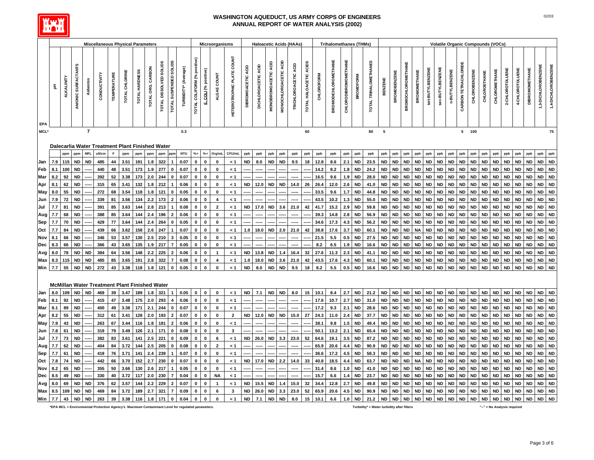

|             |     |                   |                     |                | <b>Miscellaneous Physical Parameters</b>             |                    |                |                |                   |                        |                          |                      |                             |                      | Microorganisms          |                           |                    |                        |                              |                       | <b>Haloacetic Acids (HAAs)</b> |                        |                   | <b>Trihalomethanes (THMs)</b> |                             |                  |                       |           |                     |                           |                     |                   |                  | Volatile Organic Compounds (VOCs) |                      |                      |              |               |                 |                 |                       |                     |                     |
|-------------|-----|-------------------|---------------------|----------------|------------------------------------------------------|--------------------|----------------|----------------|-------------------|------------------------|--------------------------|----------------------|-----------------------------|----------------------|-------------------------|---------------------------|--------------------|------------------------|------------------------------|-----------------------|--------------------------------|------------------------|-------------------|-------------------------------|-----------------------------|------------------|-----------------------|-----------|---------------------|---------------------------|---------------------|-------------------|------------------|-----------------------------------|----------------------|----------------------|--------------|---------------|-----------------|-----------------|-----------------------|---------------------|---------------------|
| EPA         | 핖   | <b>ALKALINITY</b> | ANIONIC SURFACTANTS | Asbestos       | CONDUCTIVITY                                         | <b>TEMPERATURE</b> | TOTAL CHLORINE | TOTAL HARDNESS | TOTAL ORG. CARBON | TOTAL DISSOLVED SOLIDS | TOTAL SUSPENDED SOLIDS   | TURBIDITY* (Average) | TOTAL COLIFORM (% positive) | E. COLI (% positive) | ALGAE COUNT             | HETEROTROPHIC PLATE COUNT | DIBROMOACETIC ACID | ACID<br>DICHLOROACETIC | ЯĈ<br><b>MONOBROMOACETIC</b> | MONOCHLOROACETIC ACID | TRICHLOROACETIC ACID           | TOTAL HALOACETIC ACIDS | <b>CHLOROFORM</b> | BROMODICHLOROMETHANE          | <b>CHLORODIBROMOMETHANE</b> | <b>BROMOFORM</b> | TOTAL TRIHALOMETHANES |           | <b>BROMOBENZENE</b> | <b>BROMOCHLOROMETHANE</b> | <b>BROMOMETHANE</b> | tert-BUTYLBENZENE | sec-BUTYLBENZENE | n-BUTYLBENZENE                    | CARBON TETRACHLORIDE | <b>CHLOROBENZENE</b> | CHLOROETHANE | CHLOROMETHANE | 2-CHLOROTOLUENE | 4-CHLOROTOLUENE | <b>DIBROMOMETHANE</b> | 1,3-DICHLOROBENZENE | 1,4-DICHLOROBENZENE |
| <b>MCL*</b> |     |                   |                     | $\overline{7}$ |                                                      |                    |                |                |                   |                        |                          | 0.3                  |                             |                      |                         |                           |                    |                        |                              |                       |                                | 60                     |                   |                               |                             |                  | 80                    | 5         |                     |                           |                     |                   |                  |                                   |                      | 5 100                |              |               |                 |                 |                       |                     | 75                  |
|             |     |                   |                     |                |                                                      |                    |                |                |                   |                        |                          |                      |                             |                      |                         |                           |                    |                        |                              |                       |                                |                        |                   |                               |                             |                  |                       |           |                     |                           |                     |                   |                  |                                   |                      |                      |              |               |                 |                 |                       |                     |                     |
|             |     |                   |                     |                | Dalecarlia Water Treatment Plant Finished Water      |                    |                |                |                   |                        |                          |                      |                             |                      |                         |                           |                    |                        |                              |                       |                                |                        |                   |                               |                             |                  |                       |           |                     |                           |                     |                   |                  |                                   |                      |                      |              |               |                 |                 |                       |                     |                     |
|             |     |                   | ppm                 | <b>MFL</b>     | uS/cm                                                | F                  | ppm            | ppm            | ppm               | ppm                    |                          | <b>NTU</b>           | $% +$                       | $% +$                | Org/ml                  | CFU/mL                    | ppb                | ppb                    | ppb                          | ppb                   | ppb                            | ppb                    | ppb               | ppb                           | ppb                         | ppb              | ppb                   | ppb       | ppb                 | ppb                       | ppb                 | ppb               | ppb              | ppb                               | ppb                  | ppb                  | ppb          | ppb           | ppb             | ppb             | ppb                   | ppb                 | ppb                 |
| Jan         | 7.9 | 115               | <b>ND</b>           | <b>ND</b>      | 485                                                  | 44                 | 3.51           | 191            | 1.8               | 322                    |                          | 0.07                 | $\Omega$                    | $\mathbf 0$          | $\mathbf 0$             | < 1                       | ND                 | 8.0                    | <b>ND</b>                    | <b>ND</b>             | 9.5                            | 18                     | 12.8              | 8.6                           | 2.1                         | <b>ND</b>        | 23.5                  | <b>ND</b> | <b>ND</b>           | <b>ND</b>                 | <b>ND</b>           | <b>ND</b>         | <b>ND</b>        | <b>ND</b>                         | <b>ND</b>            | <b>ND</b>            | <b>ND</b>    | <b>ND</b>     | <b>ND</b>       | <b>ND</b>       | <b>ND</b>             | <b>ND</b>           | <b>ND</b>           |
| Feb         | 8.1 | 100               | <b>ND</b>           |                | 440                                                  | 48                 | 3.51           | 173            | 1.9               | 277                    |                          | 0.07                 |                             | $\pmb{0}$            | 0                       | 1 >                       |                    |                        |                              |                       |                                |                        | 14.2              | 8.2                           | 1.8                         | <b>ND</b>        | 24.2                  | ND        | <b>ND</b>           | <b>ND</b>                 | ND                  | <b>ND</b>         | <b>ND</b>        | <b>ND</b>                         | <b>ND</b>            | <b>ND</b>            | ND           | <b>ND</b>     | <b>ND</b>       | <b>ND</b>       | <b>ND</b>             | <b>ND</b>           | <b>ND</b>           |
| Mar         | 8.2 | 92                | <b>ND</b>           |                | 392                                                  | 52                 | 3.38           | 173            | 2.0               | 244                    |                          | 0.07                 |                             | 0                    | 0                       | < 1                       |                    |                        |                              |                       |                                |                        | 16.5              | 9.6                           | 1.9                         | ND               | 28.0                  | ND        | <b>ND</b>           | ND                        | ND                  | ND                | <b>ND</b>        | ND                                | ND                   | ND                   | ND           | ND            | <b>ND</b>       | ND              | ND                    | <b>ND</b>           | <b>ND</b>           |
| Apr         | 8.1 | 62                | <b>ND</b>           |                | 315                                                  | 65                 | 3.41           | 132            | 1.8               | 212                    |                          | 0.06                 | 0                           | $\pmb{0}$            | $\pmb{0}$               | < 1                       | ND                 | 12.0                   | <b>ND</b>                    | <b>ND</b>             | 14.0                           | 26                     | 26.4              | 12.0                          | 2.6                         | <b>ND</b>        | 41.0                  | <b>ND</b> | ND                  | <b>ND</b>                 | ND                  | ND                | <b>ND</b>        | <b>ND</b>                         | <b>ND</b>            | <b>ND</b>            | <b>ND</b>    | <b>ND</b>     | <b>ND</b>       | <b>ND</b>       | <b>ND</b>             | <b>ND</b>           | <b>ND</b>           |
| May         | 8.0 | 55                | <b>ND</b>           |                | 272                                                  | 68                 | 3.54           | 118            | 1.8               | 121                    | $\bf{0}$                 | 0.05                 |                             | $\pmb{0}$            | $\pmb{0}$               | $\leq 1$                  |                    |                        |                              |                       |                                |                        | 33.5              | 9.6                           | 1.7                         | <b>ND</b>        | 44.8                  | <b>ND</b> | <b>ND</b>           | <b>ND</b>                 | ND                  | ND                | <b>ND</b>        | <b>ND</b>                         | <b>ND</b>            | <b>ND</b>            | <b>ND</b>    | <b>ND</b>     | <b>ND</b>       | <b>ND</b>       | <b>ND</b>             | <b>ND</b>           | <b>ND</b>           |
| Jun         | 7.9 | 72                | <b>ND</b>           |                | 339                                                  | 81                 | 3.56           | 134            |                   | 173                    |                          | 0.06                 |                             | $\pmb{0}$            | 4                       | $\leq 1$                  |                    |                        |                              |                       |                                |                        | 43.5              | 10.2                          | $1.3$                       | <b>ND</b>        | 55.0                  | <b>ND</b> | <b>ND</b>           | <b>ND</b>                 | <b>ND</b>           | <b>ND</b>         | <b>ND</b>        | <b>ND</b>                         | <b>ND</b>            | <b>ND</b>            | <b>ND</b>    | <b>ND</b>     | <b>ND</b>       | <b>ND</b>       | <b>ND</b>             | <b>ND</b>           | <b>ND</b>           |
| Jul         | 7.7 | 81                | <b>ND</b>           |                | 391                                                  | 85                 | 3.63           | 144            | 2.8               | 213                    |                          | 0.08                 |                             | $\mathbf 0$          | $\overline{2}$          | < 1                       | ND                 | 17.0                   | <b>ND</b>                    | 3.6                   | 21.0                           | 42                     | 41.7              | 15.2                          | 2.9                         | <b>ND</b>        | 59.8                  | <b>ND</b> | <b>ND</b>           | <b>ND</b>                 | <b>ND</b>           | <b>ND</b>         | <b>ND</b>        | <b>ND</b>                         | <b>ND</b>            | <b>ND</b>            | <b>ND</b>    | <b>ND</b>     | <b>ND</b>       | ND              | <b>ND</b>             | <b>ND</b>           | <b>ND</b>           |
| Aug         | 7.7 | 68                | <b>ND</b>           |                | 388                                                  | 85                 | 3.64           | 144            |                   | 196                    |                          | 0.06                 | 0                           | $\pmb{0}$            | $\mathbf 0$             | < 1                       |                    |                        |                              |                       |                                |                        | 39.3              | 14.8                          | 2.8                         | <b>ND</b>        | 56.9                  | <b>ND</b> | <b>ND</b>           | <b>ND</b>                 | <b>ND</b>           | <b>ND</b>         | <b>ND</b>        | <b>ND</b>                         | <b>ND</b>            | <b>ND</b>            | <b>ND</b>    | <b>ND</b>     | <b>ND</b>       | <b>ND</b>       | <b>ND</b>             | <b>ND</b>           | <b>ND</b>           |
| Sep         | 7.7 | 70                | <b>ND</b>           |                | 429                                                  | 77                 | 3.64           | 144            | 2.4               | 264                    | $\mathbf{0}$             | 0.05                 | 0                           | $\mathbf 0$          | $\mathbf 0$             | < 1                       |                    |                        |                              |                       |                                |                        | 34.6              | 17.3                          | 4.3                         | <b>ND</b>        | 56.2                  | <b>ND</b> | <b>ND</b>           | <b>ND</b>                 | <b>ND</b>           | <b>ND</b>         | <b>ND</b>        | <b>ND</b>                         | <b>ND</b>            | <b>ND</b>            | <b>ND</b>    | <b>ND</b>     | <b>ND</b>       | <b>ND</b>       | <b>ND</b>             | <b>ND</b>           | <b>ND</b>           |
| Oct         | 7.7 | 84                | <b>ND</b>           |                | 439                                                  | 66                 | 3.62           | 158            | 2.6               | 247                    |                          | 0.07                 |                             | $\pmb{0}$            | $\mathbf 0$             | < 1                       | 1.0                | 18.0                   | <b>ND</b>                    | 2.0                   | 21.0                           | 42                     | 38.8              | 17.6                          | 3.7                         | <b>ND</b>        | 60.1                  | <b>ND</b> | <b>ND</b>           | <b>ND</b>                 | <b>NA</b>           | <b>ND</b>         | <b>ND</b>        | <b>ND</b>                         | <b>ND</b>            | <b>ND</b>            | <b>ND</b>    | <b>ND</b>     | <b>ND</b>       | <b>ND</b>       | <b>ND</b>             | <b>ND</b>           | <b>ND</b>           |
| Nov         | 8.1 | 66                | <b>ND</b>           |                | 346                                                  | 53                 | 3.57           | 130            | 2.5               | 210                    | 3                        | 0.05                 | 0                           | $\pmb{0}$            | 0                       | 1 >                       |                    |                        |                              |                       |                                |                        | 21.5              | 5.5                           | 0.5                         | <b>ND</b>        | 27.5                  | <b>ND</b> | <b>ND</b>           | <b>ND</b>                 | <b>ND</b>           | <b>ND</b>         | <b>ND</b>        | <b>ND</b>                         | <b>ND</b>            | <b>ND</b>            | <b>ND</b>    | <b>ND</b>     | <b>ND</b>       | <b>ND</b>       | <b>ND</b>             | <b>ND</b>           | <b>ND</b>           |
| Dec         | 8.3 | 66                | <b>ND</b>           |                | 366                                                  | 43                 | 3.65           | 135            | 1.9               | 217                    |                          | 0.05                 |                             | $\mathbf 0$          | $\mathbf 0$             | < 1                       |                    |                        |                              |                       |                                |                        | 8.2               | 6.5                           | 1.9                         | ND               | 16.6                  | <b>ND</b> | ND                  | <b>ND</b>                 | ND                  | ND                | <b>ND</b>        | <b>ND</b>                         | ND                   | <b>ND</b>            | ND           | <b>ND</b>     | <b>ND</b>       | <b>ND</b>       | <b>ND</b>             | <b>ND</b>           | <b>ND</b>           |
| Avg         | 8.0 | 78                | <b>ND</b>           | <b>ND</b>      | 384                                                  | 64                 | 3.56           | 148            | 2.2               | 225                    | $\overline{2}$           | 0.06                 | 0                           | $\pmb{0}$            | $\overline{\mathbf{1}}$ | $\leq 1$                  | <b>ND</b>          | 13.8                   | <b>ND</b>                    | 1.4                   | 16.4                           | 32                     | 27.6              | 11.3                          | 2.3                         | <b>ND</b>        | 41.1                  | <b>ND</b> | <b>ND</b>           | <b>ND</b>                 | <b>ND</b>           | <b>ND</b>         | <b>ND</b>        | <b>ND</b>                         | <b>ND</b>            | <b>ND</b>            | <b>ND</b>    | <b>ND</b>     | <b>ND</b>       | <b>ND</b>       | <b>ND</b>             | <b>ND</b>           | <b>ND</b>           |
| Max         | 8.3 | 115               | <b>ND</b>           | <b>ND</b>      | 485                                                  | 85                 | 3.65           | 191            | 2.8               | 322                    | $\overline{7}$           | 0.08                 | 0                           | $\mathbf 0$          | 4                       | < 1                       | 1.0                | 18.0                   | <b>ND</b>                    | 3.6                   | 21.0                           | 42                     | 43.5              | 17.6                          | 4.3                         | <b>ND</b>        | 60.1                  | <b>ND</b> | <b>ND</b>           | <b>ND</b>                 | <b>ND</b>           | <b>ND</b>         | <b>ND</b>        | <b>ND</b>                         | <b>ND</b>            | <b>ND</b>            | <b>ND</b>    | <b>ND</b>     | <b>ND</b>       | <b>ND</b>       | <b>ND</b>             | <b>ND</b>           | <b>ND</b>           |
| Min         | 7.7 | 55                | <b>ND</b>           | <b>ND</b>      | 272                                                  | 43                 | 3.38           | 118            |                   | 121                    |                          | 0.05                 | 0                           | $\mathbf 0$          | $\mathbf 0$             | < 1                       | <b>ND</b>          | 8.0                    | <b>ND</b>                    | <b>ND</b>             | 9.5                            | 18                     | 8.2               | 5.5                           | 0.5                         | <b>ND</b>        | 16.6                  | <b>ND</b> | <b>ND</b>           | <b>ND</b>                 | <b>ND</b>           | <b>ND</b>         | <b>ND</b>        | <b>ND</b>                         | <b>ND</b>            | <b>ND</b>            | <b>ND</b>    | <b>ND</b>     | <b>ND</b>       | <b>ND</b>       | <b>ND</b>             | <b>ND</b>           | <b>ND</b>           |
|             |     |                   |                     |                |                                                      |                    |                |                |                   |                        |                          |                      |                             |                      |                         |                           |                    |                        |                              |                       |                                |                        |                   |                               |                             |                  |                       |           |                     |                           |                     |                   |                  |                                   |                      |                      |              |               |                 |                 |                       |                     |                     |
|             |     |                   |                     |                | <b>McMillan Water Treatment Plant Finished Water</b> |                    |                |                |                   |                        |                          |                      |                             |                      |                         |                           |                    |                        |                              |                       |                                |                        |                   |                               |                             |                  |                       |           |                     |                           |                     |                   |                  |                                   |                      |                      |              |               |                 |                 |                       |                     |                     |
| Jan         | 8.0 | 109               | <b>ND</b>           | <b>ND</b>      | 469                                                  | 39                 | 3.47           | 189            | 1.8               | 321                    |                          | 0.05                 | $\mathbf{0}$                | $\pmb{0}$            | $\mathbf 0$             | $\leq 1$                  | <b>ND</b>          | 7.1                    | <b>ND</b>                    | <b>ND</b>             | 8.0                            | 15                     | 10.1              | 8.4                           | 2.7                         | <b>ND</b>        | 21.2                  | <b>ND</b> | <b>ND</b>           | <b>ND</b>                 | <b>ND</b>           | <b>ND</b>         | <b>ND</b>        | <b>ND</b>                         | <b>ND</b>            | <b>ND</b>            | <b>ND</b>    | <b>ND</b>     | <b>ND</b>       | <b>ND</b>       | <b>ND</b>             | <b>ND</b>           | <b>ND</b>           |
| Feb         | 8.1 | 92                | <b>ND</b>           |                | 415                                                  | 47                 | 3.48           | 175            | 2.0               | 293                    |                          | 0.06                 | $\mathbf{0}$                | $\mathbf 0$          | $\mathbf 0$             | < 1                       |                    |                        |                              |                       |                                |                        | 17.6              | 10.7                          | 2.7                         | <b>ND</b>        | 31.0                  | <b>ND</b> | <b>ND</b>           | <b>ND</b>                 | <b>ND</b>           | <b>ND</b>         | <b>ND</b>        | <b>ND</b>                         | <b>ND</b>            | <b>ND</b>            | <b>ND</b>    | <b>ND</b>     | <b>ND</b>       | <b>ND</b>       | <b>ND</b>             | <b>ND</b>           | <b>ND</b>           |
| Mar         | 8.1 | 89                | <b>ND</b>           |                | 400                                                  | 49                 | 3.38           | 171            | 2.1               | 244                    | $\bf{0}$                 | 0.07                 |                             | $\mathbf 0$          | $\mathbf 0$             | < 1                       |                    |                        |                              |                       |                                |                        | 17.2              | 9.3                           | 2.1                         | <b>ND</b>        | 28.6                  | <b>ND</b> | <b>ND</b>           | <b>ND</b>                 | <b>ND</b>           | <b>ND</b>         | <b>ND</b>        | <b>ND</b>                         | <b>ND</b>            | <b>ND</b>            | <b>ND</b>    | <b>ND</b>     | <b>ND</b>       | <b>ND</b>       | <b>ND</b>             | <b>ND</b>           | <b>ND</b>           |
| Apr         | 8.2 | 55                | <b>ND</b>           |                | 312                                                  | 61                 | 3.41           | 128            | 2.0               | 193                    | $\overline{2}$           | 0.07                 | $\Omega$                    | $\pmb{0}$            | 0                       | $\overline{2}$            | <b>ND</b>          | 12.0                   | <b>ND</b>                    | <b>ND</b>             | 15.0                           | 27                     | 24.3              | 11.0                          | 2.4                         | <b>ND</b>        | 37.7                  | <b>ND</b> | <b>ND</b>           | <b>ND</b>                 | <b>ND</b>           | <b>ND</b>         | <b>ND</b>        | <b>ND</b>                         | <b>ND</b>            | <b>ND</b>            | <b>ND</b>    | <b>ND</b>     | <b>ND</b>       | <b>ND</b>       | <b>ND</b>             | <b>ND</b>           | <b>ND</b>           |
| May         | 7.9 | 43                | <b>ND</b>           |                | 263                                                  | 67                 | 3.44           | 116            | 1.8               | 181                    | $\overline{2}$           | 0.06                 |                             | $\pmb{0}$            | $\pmb{0}$               | $\leq 1$                  |                    |                        |                              |                       |                                |                        | 38.1              | 9.8                           | 1.5                         | <b>ND</b>        | 49.4                  | <b>ND</b> | <b>ND</b>           | <b>ND</b>                 | <b>ND</b>           | <b>ND</b>         | <b>ND</b>        | <b>ND</b>                         | <b>ND</b>            | <b>ND</b>            | <b>ND</b>    | <b>ND</b>     | <b>ND</b>       | <b>ND</b>       | <b>ND</b>             | <b>ND</b>           | <b>ND</b>           |
| Jun         | 7.8 | 61                | <b>ND</b>           |                | 319                                                  | 79                 | 3.49           | 126            | 2.1               | 171                    | $\mathbf{0}$             | 0.08                 | 0                           | $\pmb{0}$            | 0                       | 3                         |                    |                        |                              |                       |                                |                        | 50.1              | 13.2                          | 2.1                         | <b>ND</b>        | 65.4                  | <b>ND</b> | <b>ND</b>           | <b>ND</b>                 | <b>ND</b>           | <b>ND</b>         | <b>ND</b>        | <b>ND</b>                         | <b>ND</b>            | <b>ND</b>            | <b>ND</b>    | <b>ND</b>     | <b>ND</b>       | <b>ND</b>       | <b>ND</b>             | <b>ND</b>           | <b>ND</b>           |
| Jul         | 7.7 | 73                | <b>ND</b>           |                | 382                                                  | 83                 | 3.61           | 141            | 2.5               | 221                    | $\bf{0}$                 | 0.09                 |                             | $\pmb{0}$            | 6                       | - 1                       | ND                 | 26.0                   | ND                           | 3.3                   | 23.0                           | 52                     | 64.6              | 19.1                          | 3.5                         | <b>ND</b>        | 87.2                  | <b>ND</b> | ND                  | <b>ND</b>                 | ND                  | <b>ND</b>         | <b>ND</b>        | <b>ND</b>                         | ND                   | <b>ND</b>            | <b>ND</b>    | ND            | <b>ND</b>       | <b>ND</b>       | <b>ND</b>             | <b>ND</b>           | <b>ND</b>           |
| Aug         | 7.7 | 62                | <b>ND</b>           |                | 404                                                  | 84                 | 3.72           | 144            | 2.5               | 205                    |                          | 0.08                 | 0                           | $\mathbf 0$          | $\overline{\mathbf{2}}$ | < 1                       |                    |                        |                              |                       |                                |                        | 65.9              | 20.6                          | 4.4                         | <b>ND</b>        | 90.9                  | <b>ND</b> | <b>ND</b>           | <b>ND</b>                 | <b>ND</b>           | <b>ND</b>         | <b>ND</b>        | <b>ND</b>                         | ND                   | <b>ND</b>            | <b>ND</b>    | <b>ND</b>     | <b>ND</b>       | <b>ND</b>       | <b>ND</b>             | <b>ND</b>           | <b>ND</b>           |
| Sep         | 7.7 | 61                | <b>ND</b>           |                | 419                                                  | 76                 | 3.71           | 141            |                   | 239                    |                          | 0.07                 |                             | $\pmb{0}$            | 0                       | $\leq 1$                  |                    |                        |                              |                       |                                |                        | 36.6              | 17.2                          | 4.5                         | <b>ND</b>        | 58.3                  | <b>ND</b> | <b>ND</b>           | <b>ND</b>                 | <b>ND</b>           | <b>ND</b>         | <b>ND</b>        | <b>ND</b>                         | <b>ND</b>            | <b>ND</b>            | <b>ND</b>    | <b>ND</b>     | <b>ND</b>       | <b>ND</b>       | <b>ND</b>             | <b>ND</b>           | <b>ND</b>           |
| Oct         | 7.8 | 74                | <b>ND</b>           |                | 442                                                  | 66                 | 3.70           | 152            | 2.7               | 230                    |                          | 0.07                 | 0                           | $\pmb{0}$            | $\mathbf 0$             | < 1                       | ND                 | 17.0                   | <b>ND</b>                    | 2.2                   | 14.0                           | 33                     | 40.8              | 18.5                          | 4.4                         | <b>ND</b>        | 63.7                  | <b>ND</b> | <b>ND</b>           | <b>ND</b>                 | <b>NA</b>           | <b>ND</b>         | <b>ND</b>        | ND                                | <b>ND</b>            | <b>ND</b>            | <b>ND</b>    | <b>ND</b>     | <b>ND</b>       | <b>ND</b>       | <b>ND</b>             | <b>ND</b>           | <b>ND</b>           |
| Nov         | 8.2 | 65                | <b>ND</b>           |                | 355                                                  | 50                 | 3.66           | 130            | 2.6               | 217                    |                          | 0.05                 | 0                           | $\mathbf 0$          | 0                       | 1 >                       |                    |                        |                              |                       |                                |                        | 31.4              | 8.6                           | 1.0                         | <b>ND</b>        | 41.0                  | <b>ND</b> | <b>ND</b>           | <b>ND</b>                 | <b>ND</b>           | <b>ND</b>         | <b>ND</b>        | <b>ND</b>                         | <b>ND</b>            | <b>ND</b>            | ND           | <b>ND</b>     | <b>ND</b>       | <b>ND</b>       | <b>ND</b>             | <b>ND</b>           | <b>ND</b>           |
| Dec         | 8.5 | 49                | <b>ND</b>           |                | 330                                                  | 40                 | 3.72           | 117            | 2.0               | 230                    | 7                        | 0.04                 | <sup>0</sup>                | $\mathbf 0$          | <b>NA</b>               | < 1                       |                    |                        |                              |                       |                                |                        | 15.7              | 6.6                           | 1.4                         | <b>ND</b>        | 23.7                  | <b>ND</b> | <b>ND</b>           | <b>ND</b>                 | <b>ND</b>           | <b>ND</b>         | <b>ND</b>        | <b>ND</b>                         | <b>ND</b>            | <b>ND</b>            | <b>ND</b>    | <b>ND</b>     | <b>ND</b>       | <b>ND</b>       | <b>ND</b>             | <b>ND</b>           | <b>ND</b>           |
| Avg         | 8.0 | 69                | <b>ND</b>           | <b>ND</b>      | 376                                                  | 62                 | 3.57           | 144            | 2.2               | 229                    | $\overline{\phantom{a}}$ | 0.07                 | 0                           | $\pmb{0}$            |                         | $\leq 1$                  | <b>ND</b>          | 15.5                   | <b>ND</b>                    | 1.4                   | 15.0                           | 32                     | 34.4              | 12.8                          | 2.7                         | <b>ND</b>        | 49.8                  | <b>ND</b> | <b>ND</b>           | <b>ND</b>                 | <b>ND</b>           | <b>ND</b>         | <b>ND</b>        | <b>ND</b>                         | <b>ND</b>            | <b>ND</b>            | <b>ND</b>    | <b>ND</b>     | <b>ND</b>       | <b>ND</b>       | <b>ND</b>             | <b>ND</b>           | <b>ND</b>           |
| Max         | 8.5 | 109               | <b>ND</b>           | <b>ND</b>      | 469                                                  | 84                 | 3.72           | 189            | 2.7               | 321                    | $\overline{7}$           | 0.09                 | 0                           | $\pmb{0}$            | $\bf 6$                 | $\mathbf{3}$              | <b>ND</b>          | 26.0                   | <b>ND</b>                    | 3.3                   | 23.0                           | 52                     | 65.9              | 20.6                          | 4.5                         | <b>ND</b>        | 90.9                  | <b>ND</b> | <b>ND</b>           | <b>ND</b>                 | <b>ND</b>           | <b>ND</b>         | <b>ND</b>        | <b>ND</b>                         | <b>ND</b>            | <b>ND</b>            | <b>ND</b>    | <b>ND</b>     | <b>ND</b>       | <b>ND</b>       | <b>ND</b>             | <b>ND</b>           | <b>ND</b>           |
| Min         | 7.7 | 43                | <b>ND</b>           | <b>ND</b>      | 263                                                  | 39                 | 3.38           | 116            | 1.8               | 171                    | $\mathbf 0$              | 0.04                 | $\mathbf 0$                 | $\pmb{0}$            | $\mathbf{0}$            | $\leq 1$                  | <b>ND</b>          | 7.1                    | <b>ND</b>                    | <b>ND</b>             | 8.0                            | 15                     | 10.1              | 6.6                           | $1.0$                       | <b>ND</b>        | 21.2                  | <b>ND</b> | <b>ND</b>           | <b>ND</b>                 | <b>ND</b>           | <b>ND</b>         | <b>ND</b>        | <b>ND</b>                         | <b>ND</b>            | <b>ND</b>            | <b>ND</b>    | <b>ND</b>     | <b>ND</b>       | <b>ND</b>       | <b>ND</b>             | <b>ND</b>           | <b>ND</b>           |

**\*EPA MCL = Environmental Protection Agency's Maximum Contaminant Level for regulated parameters. Turbidity\* = Water turbidity after filters "--" = No Analysis required**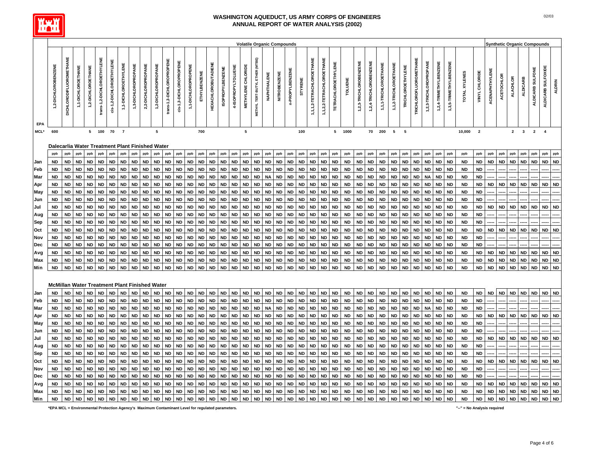

|                   |                                                        |                                |                        |                        |                            |                          |                        |                        |                        |                        |                           |                         |                        |                         |                            |                         |                        |                           |                                |                        |                         | <b>Volatile Organic Compounds</b> |                        |                         |                           |                            |                        |                        |                        |                        |                        |                          |                               |                        |                        |                        |                        |                         |                        |                        |                        | <b>Synthetic Organic Compounds</b> |                        |                        |                        |
|-------------------|--------------------------------------------------------|--------------------------------|------------------------|------------------------|----------------------------|--------------------------|------------------------|------------------------|------------------------|------------------------|---------------------------|-------------------------|------------------------|-------------------------|----------------------------|-------------------------|------------------------|---------------------------|--------------------------------|------------------------|-------------------------|-----------------------------------|------------------------|-------------------------|---------------------------|----------------------------|------------------------|------------------------|------------------------|------------------------|------------------------|--------------------------|-------------------------------|------------------------|------------------------|------------------------|------------------------|-------------------------|------------------------|------------------------|------------------------|------------------------------------|------------------------|------------------------|------------------------|
| EPA               | 1,2-DICHLOROBENZENE                                    | <b>DICHLORODIFLUOROMETHANE</b> | 1,1-DICHLOROETHANE     | 1,2-DICHLOROETHANE     | trans-1,2-DICHLOROETHYLENE | cis-1,2-DICHLOROETHYLENE | 1,1-DICHLOROETHYLENE   | 1,3-DICHLOROPROPANE    | 2,2-DICHLOROPROPANE    | 1,2-DICHLOROPROPANE    | trans-1,3-DICHLOROPROPENE | cis-1,3-DICHLOROPROPENE | 1,1-DICHLOROPROPENE    | ETHYLBENZENE            | <b>HEXACHLOROBUTADIENE</b> | <b>ISOPROPYLBENZENE</b> | 4-ISOPROPYLTOLUENE     | <b>METHYLENE CHLORIDE</b> | METHYL TERT-BUTYL ETHER (MTBE) | NAPHTHALENE            | NITROBENZENE            | n-PROPYLBENZENE                   | <b>STYRENE</b>         | 1,1,2-TETRACHLOROETHANE | 1,1,2,2-TETRACHLOROETHANE | <b>TETRACHLOROETHYLENE</b> | <b>TOLUENE</b>         | 1,2,3-TRICHLOROBENZENE | 1,2,4-TRICHLOROBENZENE | 1,1,1-TRICHLOROETHANE  | 1,1,2-TRICHLOROETHANE  | <b>TRICHLOROETHYLENE</b> | <b>TRICHLOROFLUOROMETHANE</b> | 1,2,3-TRICHLOROPROPANE | 1,2,4-TRIMETHYLBENZENE | 1,3,5-TRIMETHYLBENZENE | TOTAL XYLENES          | VINYL CHLORIDE          | ACENAPHTHYLENE         | <b>ACETOCHLOR</b>      | <b>ALACHLOR</b>        | <b>ALDICARB</b>                    | ALDICARB SULFONE       | ALDICARB SULFOXIDE     | <b>ALDRIN</b>          |
| $\sf MCL^{\star}$ | 600                                                    |                                |                        |                        | $5 \qquad 100$             | 70                       | $\overline{7}$         |                        |                        | ${\bf 5}$              |                           |                         |                        | 700                     |                            |                         |                        | 5                         |                                |                        |                         |                                   | 100                    |                         |                           |                            | 5 1000                 |                        |                        | 70 200                 | $5\phantom{.0}$        | 5                        |                               |                        |                        |                        | 10,000                 | $\overline{\mathbf{2}}$ |                        |                        | $\overline{2}$         | $\overline{\mathbf{3}}$            | $\overline{2}$         | $\overline{4}$         |                        |
|                   |                                                        |                                |                        |                        |                            |                          |                        |                        |                        |                        |                           |                         |                        |                         |                            |                         |                        |                           |                                |                        |                         |                                   |                        |                         |                           |                            |                        |                        |                        |                        |                        |                          |                               |                        |                        |                        |                        |                         |                        |                        |                        |                                    |                        |                        |                        |
|                   | Dalecarlia Water Treatment Plant Finished Water<br>ppb | ppb                            | ppb                    | ppb                    | ppb                        | ppb                      | ppb                    | ppb                    | ppb                    | ppb                    | ppb                       | ppb                     | ppb                    | ppb                     | ppb                        | ppb                     | ppb                    | ppb                       | ppb                            | ppb                    | ppb                     | ppb                               | ppb                    | ppb                     | ppb                       | ppb                        | ppb                    | ppb                    | ppb                    | ppb                    | ppb                    | ppb                      | ppb                           | ppb                    | ppb                    | ppb                    | ppb                    | ppb                     | ppb                    | ppb                    | ppb                    | ppb                                | ppb                    | ppb                    | ppb                    |
| Jan               | ND.                                                    | <b>ND</b>                      | <b>ND</b>              | <b>ND</b>              | <b>ND</b>                  | <b>ND</b>                | <b>ND</b>              | <b>ND</b>              | <b>ND</b>              | <b>ND</b>              | <b>ND</b>                 | <b>ND</b>               | <b>ND</b>              | <b>ND</b>               | <b>ND</b>                  | <b>ND</b>               | <b>ND</b>              | <b>ND</b>                 | <b>ND</b>                      | <b>ND</b>              | <b>ND</b>               | <b>ND</b>                         | <b>ND</b>              | <b>ND</b>               | ND                        | <b>ND</b>                  | <b>ND</b>              | ND                     | <b>ND</b>              | <b>ND</b>              | <b>ND</b>              | <b>ND</b>                | <b>ND</b>                     | <b>ND</b>              | <b>ND</b>              | <b>ND</b>              | <b>ND</b>              | <b>ND</b>               | <b>ND</b>              | <b>ND</b>              | <b>ND</b>              | <b>ND</b>                          | <b>ND</b>              | <b>ND</b>              | <b>ND</b>              |
| Feb               | <b>ND</b>                                              | <b>ND</b>                      | <b>ND</b>              | <b>ND</b>              | <b>ND</b>                  | <b>ND</b>                | <b>ND</b>              | <b>ND</b>              | <b>ND</b>              | <b>ND</b>              | <b>ND</b>                 | <b>ND</b>               | <b>ND</b>              | <b>ND</b>               | <b>ND</b>                  | <b>ND</b>               | <b>ND</b>              | <b>ND</b>                 | <b>ND</b>                      | <b>ND</b>              | <b>ND</b>               | <b>ND</b>                         | <b>ND</b>              | <b>ND</b>               | ND                        | <b>ND</b>                  | <b>ND</b>              | ND                     | <b>ND</b>              | <b>ND</b>              | <b>ND</b>              | <b>ND</b>                | <b>ND</b>                     | <b>ND</b>              | <b>ND</b>              | <b>ND</b>              | <b>ND</b>              | <b>ND</b>               |                        |                        |                        |                                    |                        |                        |                        |
| Mar               | <b>ND</b>                                              | <b>ND</b>                      | <b>ND</b>              | <b>ND</b>              | <b>ND</b>                  | <b>ND</b>                | <b>ND</b>              | <b>ND</b>              | <b>ND</b>              | <b>ND</b>              | <b>ND</b>                 | <b>ND</b>               | <b>ND</b>              | <b>ND</b>               | <b>ND</b>                  | <b>ND</b>               | <b>ND</b>              | <b>ND</b>                 | <b>ND</b>                      | <b>NA</b>              | <b>ND</b>               | <b>ND</b>                         | <b>ND</b>              | <b>ND</b>               | ND                        | <b>ND</b>                  | <b>ND</b>              | <b>ND</b>              | <b>ND</b>              | <b>ND</b>              | <b>ND</b>              | <b>ND</b>                | <b>ND</b>                     | <b>NA</b>              | <b>ND</b>              | <b>ND</b>              | <b>ND</b>              | <b>ND</b>               |                        |                        |                        |                                    |                        |                        |                        |
| Apr               | <b>ND</b>                                              | <b>ND</b>                      | <b>ND</b>              | <b>ND</b>              | ND                         | ND                       | <b>ND</b>              | <b>ND</b>              | <b>ND</b>              | <b>ND</b>              | <b>ND</b>                 | <b>ND</b>               | <b>ND</b>              | <b>ND</b>               | <b>ND</b>                  | <b>ND</b>               | <b>ND</b>              | <b>ND</b>                 | <b>ND</b>                      | <b>ND</b>              | <b>ND</b>               | <b>ND</b>                         | <b>ND</b>              | <b>ND</b>               | ND                        | <b>ND</b>                  | <b>ND</b>              | ND                     | <b>ND</b>              | <b>ND</b>              | <b>ND</b>              | ND                       | <b>ND</b>                     | <b>ND</b>              | <b>ND</b>              | <b>ND</b>              | ND                     | <b>ND</b>               | <b>ND</b>              | <b>ND</b>              | <b>ND</b>              | <b>ND</b>                          | <b>ND</b>              | <b>ND</b>              | <b>ND</b>              |
| May               | <b>ND</b>                                              | <b>ND</b>                      | <b>ND</b>              | <b>ND</b>              | <b>ND</b>                  | <b>ND</b>                | <b>ND</b>              | <b>ND</b>              | <b>ND</b>              | <b>ND</b>              | <b>ND</b>                 | <b>ND</b>               | <b>ND</b>              | <b>ND</b>               | <b>ND</b>                  | <b>ND</b>               | <b>ND</b>              | <b>ND</b>                 | <b>ND</b>                      | <b>ND</b>              | <b>ND</b>               | <b>ND</b>                         | <b>ND</b>              | <b>ND</b>               | <b>ND</b>                 | <b>ND</b>                  | <b>ND</b>              | ND                     | <b>ND</b>              | <b>ND</b>              | <b>ND</b>              | <b>ND</b>                | <b>ND</b>                     | <b>ND</b>              | <b>ND</b>              | <b>ND</b>              | <b>ND</b>              | <b>ND</b>               |                        |                        |                        |                                    |                        |                        |                        |
| Jun               | <b>ND</b>                                              | <b>ND</b>                      | <b>ND</b>              | <b>ND</b>              | <b>ND</b>                  | <b>ND</b>                | <b>ND</b>              | <b>ND</b>              | <b>ND</b>              | <b>ND</b>              | <b>ND</b>                 | ND                      | <b>ND</b>              | <b>ND</b>               | <b>ND</b>                  | <b>ND</b>               | <b>ND</b>              | <b>ND</b>                 | <b>ND</b>                      | <b>ND</b>              | <b>ND</b>               | <b>ND</b>                         | <b>ND</b>              | <b>ND</b>               | ND                        | <b>ND</b>                  | <b>ND</b>              | ND                     | <b>ND</b>              | <b>ND</b>              | <b>ND</b>              | ND                       | <b>ND</b>                     | <b>ND</b>              | <b>ND</b>              | <b>ND</b>              | <b>ND</b>              | <b>ND</b>               |                        |                        |                        |                                    |                        |                        |                        |
| Jul               | <b>ND</b>                                              | <b>ND</b>                      | <b>ND</b>              | <b>ND</b>              | <b>ND</b>                  | ND                       | <b>ND</b>              | <b>ND</b>              | <b>ND</b>              | <b>ND</b>              | <b>ND</b>                 | <b>ND</b>               | <b>ND</b>              | <b>ND</b>               | <b>ND</b>                  | <b>ND</b>               | <b>ND</b>              | <b>ND</b>                 | <b>ND</b>                      | <b>ND</b>              | <b>ND</b>               | <b>ND</b>                         | <b>ND</b>              | <b>ND</b>               | ND                        | <b>ND</b>                  | <b>ND</b>              | ND                     | <b>ND</b>              | <b>ND</b>              | <b>ND</b>              | <b>ND</b>                | <b>ND</b>                     | <b>ND</b>              | <b>ND</b>              | <b>ND</b>              | <b>ND</b>              | <b>ND</b>               | <b>ND</b>              | <b>ND</b>              | <b>ND</b>              | <b>ND</b>                          | <b>ND</b>              | <b>ND</b>              | <b>ND</b>              |
| Aug               | <b>ND</b>                                              | <b>ND</b>                      | <b>ND</b>              | <b>ND</b>              | <b>ND</b>                  | <b>ND</b>                | <b>ND</b>              | <b>ND</b>              | <b>ND</b>              | <b>ND</b>              | <b>ND</b>                 | <b>ND</b>               | <b>ND</b>              | <b>ND</b>               | <b>ND</b>                  | <b>ND</b>               | <b>ND</b>              | <b>ND</b>                 | <b>ND</b>                      | <b>ND</b>              | <b>ND</b>               | <b>ND</b>                         | <b>ND</b>              | <b>ND</b>               | ND                        | <b>ND</b>                  | <b>ND</b>              | ND                     | <b>ND</b>              | <b>ND</b>              | <b>ND</b>              | <b>ND</b>                | <b>ND</b>                     | <b>ND</b>              | <b>ND</b>              | <b>ND</b>              | <b>ND</b>              | <b>ND</b>               |                        |                        |                        |                                    |                        |                        |                        |
| Sep               | ND                                                     | <b>ND</b>                      | <b>ND</b>              | <b>ND</b>              | <b>ND</b>                  | <b>ND</b>                | <b>ND</b>              | <b>ND</b>              | <b>ND</b>              | <b>ND</b>              | <b>ND</b>                 | <b>ND</b>               | <b>ND</b>              | <b>ND</b>               | <b>ND</b>                  | <b>ND</b>               | <b>ND</b>              | <b>ND</b>                 | <b>ND</b>                      | <b>ND</b>              | <b>ND</b>               | <b>ND</b>                         | <b>ND</b>              | <b>ND</b>               | <b>ND</b>                 | <b>ND</b>                  | <b>ND</b>              | <b>ND</b>              | <b>ND</b>              | <b>ND</b>              | <b>ND</b>              | <b>ND</b>                | <b>ND</b>                     | <b>ND</b>              | <b>ND</b>              | <b>ND</b>              | <b>ND</b>              | <b>ND</b>               |                        |                        |                        |                                    |                        |                        |                        |
| Oct               | <b>ND</b>                                              | <b>ND</b>                      | <b>ND</b>              | <b>ND</b>              | <b>ND</b>                  | <b>ND</b>                | <b>ND</b>              | <b>ND</b>              | <b>ND</b>              | <b>ND</b>              | <b>ND</b>                 | <b>ND</b>               | <b>ND</b>              | <b>ND</b>               | <b>ND</b>                  | <b>ND</b>               | <b>ND</b>              | <b>ND</b>                 | <b>ND</b>                      | <b>ND</b>              | <b>ND</b>               | <b>ND</b>                         | <b>ND</b>              | <b>ND</b>               | <b>ND</b>                 | <b>ND</b>                  | <b>ND</b>              | <b>ND</b>              | <b>ND</b>              | <b>ND</b>              | <b>ND</b>              | <b>ND</b>                | <b>ND</b>                     | <b>ND</b>              | <b>ND</b>              | <b>ND</b>              | <b>ND</b>              | <b>ND</b>               | <b>ND</b>              | <b>ND</b>              | <b>ND</b>              | <b>ND</b>                          | <b>ND</b>              | <b>ND</b>              | <b>ND</b>              |
| Nov               | <b>ND</b>                                              | <b>ND</b>                      | <b>ND</b>              | <b>ND</b>              | <b>ND</b>                  | <b>ND</b>                | <b>ND</b>              | <b>ND</b>              | <b>ND</b>              | <b>ND</b>              | <b>ND</b>                 | <b>ND</b>               | ND                     | <b>ND</b>               | <b>ND</b>                  | <b>ND</b>               | <b>ND</b>              | <b>ND</b>                 | <b>ND</b>                      | <b>ND</b>              | <b>ND</b>               | <b>ND</b>                         | <b>ND</b>              | <b>ND</b>               | <b>ND</b>                 | <b>ND</b>                  | <b>ND</b>              | <b>ND</b>              | <b>ND</b>              | <b>ND</b>              | <b>ND</b>              | <b>ND</b>                | <b>ND</b>                     | <b>ND</b>              | <b>ND</b>              | <b>ND</b>              | <b>ND</b>              | <b>ND</b>               |                        |                        |                        |                                    |                        |                        |                        |
| Dec               | ND                                                     | <b>ND</b>                      | <b>ND</b>              | <b>ND</b>              | <b>ND</b>                  | <b>ND</b>                | <b>ND</b>              | <b>ND</b>              | <b>ND</b>              | <b>ND</b>              | <b>ND</b>                 | <b>ND</b>               | ND                     | <b>ND</b>               | <b>ND</b>                  | <b>ND</b>               | <b>ND</b>              | <b>ND</b>                 | <b>ND</b>                      | <b>ND</b>              | <b>ND</b>               | <b>ND</b>                         | <b>ND</b>              | <b>ND</b>               | ND                        | <b>ND</b>                  | <b>ND</b>              | <b>ND</b>              | <b>ND</b>              | <b>ND</b>              | <b>ND</b>              | ND                       | <b>ND</b>                     | <b>ND</b>              | <b>ND</b>              | <b>ND</b>              | <b>ND</b>              | <b>ND</b>               |                        |                        |                        |                                    |                        |                        |                        |
| Avg               | <b>ND</b>                                              | <b>ND</b>                      | <b>ND</b>              | <b>ND</b>              | <b>ND</b>                  | <b>ND</b>                | <b>ND</b>              | <b>ND</b>              | <b>ND</b>              | <b>ND</b>              | <b>ND</b>                 | <b>ND</b>               | <b>ND</b>              | <b>ND</b>               | <b>ND</b>                  | <b>ND</b>               | <b>ND</b>              | <b>ND</b>                 | <b>ND</b>                      | <b>ND</b>              | <b>ND</b>               | <b>ND</b>                         | <b>ND</b>              | <b>ND</b>               | <b>ND</b>                 | <b>ND</b>                  | <b>ND</b>              | <b>ND</b>              | <b>ND</b>              | <b>ND</b>              | <b>ND</b>              | <b>ND</b>                | <b>ND</b>                     | <b>ND</b>              | <b>ND</b>              | <b>ND</b>              | <b>ND</b>              | <b>ND</b>               | <b>ND</b>              | <b>ND</b>              | <b>ND</b>              | <b>ND</b>                          | <b>ND</b>              | <b>ND</b>              | <b>ND</b>              |
| Max<br>Min        | <b>ND</b><br>ND                                        | <b>ND</b><br><b>ND</b>         | <b>ND</b><br><b>ND</b> | <b>ND</b><br><b>ND</b> | <b>ND</b><br><b>ND</b>     | <b>ND</b><br><b>ND</b>   | <b>ND</b><br><b>ND</b> | <b>ND</b><br><b>ND</b> | <b>ND</b><br><b>ND</b> | <b>ND</b><br><b>ND</b> | <b>ND</b><br><b>ND</b>    | <b>ND</b><br><b>ND</b>  | <b>ND</b><br><b>ND</b> | <b>ND</b><br>${\sf ND}$ | <b>ND</b><br><b>ND</b>     | <b>ND</b><br><b>ND</b>  | <b>ND</b><br><b>ND</b> | <b>ND</b><br>${\sf ND}$   | <b>ND</b><br><b>ND</b>         | <b>ND</b><br><b>ND</b> | <b>ND</b><br>${\sf ND}$ | <b>ND</b><br><b>ND</b>            | <b>ND</b><br><b>ND</b> | <b>ND</b><br>${\sf ND}$ | <b>ND</b><br>${\sf ND}$   | <b>ND</b><br><b>ND</b>     | <b>ND</b><br><b>ND</b> | <b>ND</b><br><b>ND</b> | <b>ND</b><br><b>ND</b> | <b>ND</b><br><b>ND</b> | <b>ND</b><br><b>ND</b> | <b>ND</b><br><b>ND</b>   | <b>ND</b><br><b>ND</b>        | <b>ND</b><br><b>ND</b> | <b>ND</b><br><b>ND</b> | <b>ND</b><br><b>ND</b> | <b>ND</b><br>ND        | <b>ND</b><br><b>ND</b>  | <b>ND</b><br><b>ND</b> | <b>ND</b><br><b>ND</b> | <b>ND</b><br><b>ND</b> | <b>ND</b><br><b>ND</b>             | <b>ND</b><br><b>ND</b> | <b>ND</b><br><b>ND</b> | <b>ND</b><br><b>ND</b> |
|                   |                                                        |                                |                        |                        |                            |                          |                        |                        |                        |                        |                           |                         |                        |                         |                            |                         |                        |                           |                                |                        |                         |                                   |                        |                         |                           |                            |                        |                        |                        |                        |                        |                          |                               |                        |                        |                        |                        |                         |                        |                        |                        |                                    |                        |                        |                        |
|                   | <b>McMillan Water Treatment Plant Finished Water</b>   |                                |                        |                        |                            |                          |                        |                        |                        |                        |                           |                         |                        |                         |                            |                         |                        |                           |                                |                        |                         |                                   |                        |                         |                           |                            |                        |                        |                        |                        |                        |                          |                               |                        |                        |                        |                        |                         |                        |                        |                        |                                    |                        |                        |                        |
| Jan               | <b>ND</b>                                              | <b>ND</b>                      | <b>ND</b>              | <b>ND</b>              | <b>ND</b>                  | ND                       | <b>ND</b>              | <b>ND</b>              | <b>ND</b>              | <b>ND</b>              | <b>ND</b>                 | <b>ND</b>               | <b>ND</b>              | <b>ND</b>               | <b>ND</b>                  | <b>ND</b>               | <b>ND</b>              | <b>ND</b>                 | <b>ND</b>                      | <b>ND</b>              | <b>ND</b>               | <b>ND</b>                         | <b>ND</b>              | <b>ND</b>               | ND                        | <b>ND</b>                  | <b>ND</b>              | <b>ND</b>              | <b>ND</b>              | <b>ND</b>              | <b>ND</b>              | <b>ND</b>                | <b>ND</b>                     | <b>ND</b>              | ${\sf ND}$             | <b>ND</b>              | <b>ND</b>              | <b>ND</b>               | <b>ND</b>              | <b>ND</b>              | <b>ND</b>              | $\sf ND$                           | <b>ND</b>              | <b>ND</b>              | <b>ND</b>              |
| Feb               | <b>ND</b>                                              | <b>ND</b>                      | <b>ND</b>              | <b>ND</b>              | <b>ND</b>                  | <b>ND</b>                | <b>ND</b>              | <b>ND</b>              | <b>ND</b>              | <b>ND</b>              | <b>ND</b>                 | <b>ND</b>               | <b>ND</b>              | <b>ND</b>               | <b>ND</b>                  | <b>ND</b>               | <b>ND</b>              | <b>ND</b>                 | <b>ND</b>                      | <b>ND</b>              | <b>ND</b>               | <b>ND</b>                         | <b>ND</b>              | <b>ND</b>               | ND                        | <b>ND</b>                  | <b>ND</b>              | <b>ND</b>              | <b>ND</b>              | <b>ND</b>              | <b>ND</b>              | <b>ND</b>                | <b>ND</b>                     | <b>ND</b>              | <b>ND</b>              | <b>ND</b>              | <b>ND</b>              | <b>ND</b>               |                        |                        |                        |                                    |                        |                        |                        |
| Mar               | <b>ND</b>                                              | <b>ND</b>                      | <b>ND</b>              | <b>ND</b>              | <b>ND</b>                  | ND                       | <b>ND</b>              | <b>ND</b>              | <b>ND</b>              | <b>ND</b>              | <b>ND</b>                 | <b>ND</b>               | <b>ND</b>              | <b>ND</b>               | <b>ND</b>                  | <b>ND</b>               | <b>ND</b>              | <b>ND</b>                 | <b>ND</b>                      | <b>NA</b>              | <b>ND</b>               | <b>ND</b>                         | <b>ND</b>              | <b>ND</b>               | ND                        | <b>ND</b>                  | <b>ND</b>              | <b>ND</b>              | <b>ND</b>              | <b>ND</b>              | <b>ND</b>              | <b>ND</b>                | <b>ND</b>                     | <b>NA</b>              | <b>ND</b>              | <b>ND</b>              | <b>ND</b>              | <b>ND</b>               |                        |                        |                        |                                    |                        |                        |                        |
| Apr               | ND                                                     | <b>ND</b>                      | <b>ND</b>              | <b>ND</b>              | <b>ND</b>                  | <b>ND</b>                | <b>ND</b>              | <b>ND</b>              | <b>ND</b>              | <b>ND</b>              | <b>ND</b>                 | <b>ND</b>               | ND                     | <b>ND</b>               | <b>ND</b>                  | <b>ND</b>               | <b>ND</b>              | <b>ND</b>                 | <b>ND</b>                      | <b>ND</b>              | <b>ND</b>               | <b>ND</b>                         | <b>ND</b>              | <b>ND</b>               | ND                        | <b>ND</b>                  | <b>ND</b>              | <b>ND</b>              | <b>ND</b>              | <b>ND</b>              | <b>ND</b>              | <b>ND</b>                | <b>ND</b>                     | <b>ND</b>              | <b>ND</b>              | <b>ND</b>              | <b>ND</b>              | <b>ND</b>               | <b>ND</b>              | <b>ND</b>              | <b>ND</b>              | <b>ND</b>                          | <b>ND</b>              | <b>ND</b>              | <b>ND</b>              |
| May               | <b>ND</b>                                              | <b>ND</b>                      | <b>ND</b>              | <b>ND</b>              | <b>ND</b>                  | <b>ND</b>                | <b>ND</b>              | <b>ND</b>              | <b>ND</b>              | <b>ND</b>              | <b>ND</b>                 | <b>ND</b>               | <b>ND</b>              | <b>ND</b>               | <b>ND</b>                  | <b>ND</b>               | <b>ND</b>              | ND                        | <b>ND</b>                      | <b>ND</b>              | <b>ND</b>               | <b>ND</b>                         | <b>ND</b>              | <b>ND</b>               | ND                        | <b>ND</b>                  | <b>ND</b>              | ND                     | <b>ND</b>              | <b>ND</b>              | <b>ND</b>              | ND                       | <b>ND</b>                     | <b>ND</b>              | <b>ND</b>              | <b>ND</b>              | <b>ND</b>              | <b>ND</b>               |                        |                        |                        |                                    |                        |                        |                        |
| Jun               | <b>ND</b>                                              | <b>ND</b>                      | <b>ND</b>              | <b>ND</b>              | <b>ND</b>                  | ND                       | <b>ND</b>              | <b>ND</b>              | <b>ND</b>              | <b>ND</b>              | <b>ND</b>                 | ND                      | <b>ND</b>              | <b>ND</b>               | <b>ND</b>                  | <b>ND</b>               | <b>ND</b>              | <b>ND</b>                 | <b>ND</b>                      | <b>ND</b>              | <b>ND</b>               | <b>ND</b>                         | <b>ND</b>              | <b>ND</b>               | ND                        | <b>ND</b>                  | <b>ND</b>              | ND                     | <b>ND</b>              | <b>ND</b>              | <b>ND</b>              | ND                       | <b>ND</b>                     | <b>ND</b>              | <b>ND</b>              | <b>ND</b>              | <b>ND</b>              | <b>ND</b>               |                        |                        |                        |                                    |                        |                        |                        |
| Jul               | <b>ND</b>                                              | <b>ND</b>                      | <b>ND</b>              | <b>ND</b>              | <b>ND</b>                  | <b>ND</b>                | <b>ND</b>              | <b>ND</b>              | <b>ND</b>              | <b>ND</b>              | <b>ND</b>                 | <b>ND</b>               | <b>ND</b>              | <b>ND</b>               | <b>ND</b>                  | <b>ND</b>               | <b>ND</b>              | <b>ND</b>                 | <b>ND</b>                      | <b>ND</b>              | <b>ND</b>               | <b>ND</b>                         | <b>ND</b>              | <b>ND</b>               | <b>ND</b>                 | <b>ND</b>                  | <b>ND</b>              | <b>ND</b>              | <b>ND</b>              | <b>ND</b>              | <b>ND</b>              | <b>ND</b>                | <b>ND</b>                     | <b>ND</b>              | <b>ND</b>              | <b>ND</b>              | <b>ND</b>              | <b>ND</b>               | <b>ND</b>              | <b>ND</b>              | <b>ND</b>              | <b>ND</b>                          | <b>ND</b>              | <b>ND</b>              | <b>ND</b>              |
| Aug               | <b>ND</b>                                              | <b>ND</b>                      | <b>ND</b>              | <b>ND</b>              | <b>ND</b>                  | <b>ND</b>                | <b>ND</b>              | <b>ND</b>              | <b>ND</b>              | <b>ND</b>              | <b>ND</b>                 | <b>ND</b>               | <b>ND</b>              | <b>ND</b>               | <b>ND</b>                  | <b>ND</b>               | <b>ND</b>              | <b>ND</b>                 | <b>ND</b>                      | <b>ND</b>              | <b>ND</b>               | <b>ND</b>                         | <b>ND</b>              | <b>ND</b>               | <b>ND</b>                 | <b>ND</b>                  | <b>ND</b>              | ND                     | <b>ND</b>              | <b>ND</b>              | <b>ND</b>              | <b>ND</b>                | <b>ND</b>                     | <b>ND</b>              | <b>ND</b>              | <b>ND</b>              | <b>ND</b>              | <b>ND</b>               |                        |                        |                        |                                    |                        |                        |                        |
| Sep               | ND                                                     | <b>ND</b>                      | <b>ND</b>              | <b>ND</b>              | <b>ND</b>                  | ND                       | ND                     | <b>ND</b>              | <b>ND</b>              | <b>ND</b>              | <b>ND</b>                 | <b>ND</b>               | ND                     | <b>ND</b>               | <b>ND</b>                  | <b>ND</b>               | <b>ND</b>              | <b>ND</b>                 | <b>ND</b>                      | <b>ND</b>              | <b>ND</b>               | <b>ND</b>                         | <b>ND</b>              | <b>ND</b>               | <b>ND</b>                 | <b>ND</b>                  | <b>ND</b>              | <b>ND</b>              | <b>ND</b>              | ND                     | <b>ND</b>              | <b>ND</b>                | <b>ND</b>                     | <b>ND</b>              | ND                     | <b>ND</b>              | ND                     | ND                      |                        |                        |                        |                                    |                        |                        |                        |
| Oct               | <b>ND</b>                                              | <b>ND</b>                      | <b>ND</b>              | ND                     | <b>ND</b>                  | ND                       | ND                     | <b>ND</b>              | ND                     | ND                     | ND                        | ND                      | ND                     | ND                      | ND                         | <b>ND</b>               | <b>ND</b>              | ND                        | ND                             | <b>ND</b>              | <b>ND</b>               | ND                                | <b>ND</b>              | <b>ND</b>               | ND                        | <b>ND</b>                  | ND                     | ND                     | <b>ND</b>              | ND                     | <b>ND</b>              | ND                       | <b>ND</b>                     | ND                     | ND                     | <b>ND</b>              | ND                     | ND                      | <b>ND</b>              | <b>ND</b>              | <b>ND</b>              | <b>ND</b>                          | <b>ND</b>              | <b>ND</b>              | <b>ND</b>              |
| Nov               | <b>ND</b>                                              | <b>ND</b>                      | <b>ND</b>              | <b>ND</b>              | <b>ND</b>                  | ND                       | <b>ND</b>              | <b>ND</b>              | <b>ND</b>              | <b>ND</b>              | <b>ND</b>                 | <b>ND</b>               | <b>ND</b>              | <b>ND</b>               | <b>ND</b>                  | <b>ND</b>               | <b>ND</b>              | ND                        | <b>ND</b>                      | <b>ND</b>              | <b>ND</b>               | <b>ND</b>                         | <b>ND</b>              | <b>ND</b>               | ND                        | <b>ND</b>                  | <b>ND</b>              | <b>ND</b>              | <b>ND</b>              | <b>ND</b>              | <b>ND</b>              | ND                       | <b>ND</b>                     | <b>ND</b>              | <b>ND</b>              | <b>ND</b>              | <b>ND</b>              | <b>ND</b>               |                        |                        |                        |                                    |                        |                        |                        |
| Dec               | <b>ND</b>                                              | <b>ND</b>                      | <b>ND</b>              | <b>ND</b>              | <b>ND</b>                  | <b>ND</b>                | <b>ND</b>              | <b>ND</b>              | <b>ND</b>              | <b>ND</b>              | <b>ND</b>                 | <b>ND</b>               | <b>ND</b>              | <b>ND</b>               | <b>ND</b>                  | <b>ND</b>               | <b>ND</b>              | <b>ND</b>                 | <b>ND</b>                      | <b>ND</b>              | <b>ND</b>               | <b>ND</b>                         | <b>ND</b>              | <b>ND</b>               | <b>ND</b>                 | <b>ND</b>                  | <b>ND</b>              | <b>ND</b>              | <b>ND</b>              | <b>ND</b>              | <b>ND</b>              | ND                       | <b>ND</b>                     | <b>ND</b>              | <b>ND</b>              | <b>ND</b>              | <b>ND</b>              | <b>ND</b>               |                        |                        |                        |                                    |                        |                        |                        |
| Avg               | <b>ND</b>                                              | <b>ND</b>                      | <b>ND</b>              | <b>ND</b>              | <b>ND</b>                  | <b>ND</b>                | <b>ND</b>              | <b>ND</b>              | <b>ND</b>              | <b>ND</b>              | <b>ND</b>                 | <b>ND</b>               | <b>ND</b>              | <b>ND</b>               | <b>ND</b>                  | <b>ND</b>               | <b>ND</b>              | <b>ND</b>                 | <b>ND</b>                      | <b>ND</b>              | <b>ND</b>               | <b>ND</b>                         | <b>ND</b>              | <b>ND</b>               | ND                        | <b>ND</b>                  | <b>ND</b>              | <b>ND</b>              | <b>ND</b>              | <b>ND</b>              | <b>ND</b>              | <b>ND</b>                | <b>ND</b>                     | <b>ND</b>              | <b>ND</b>              | <b>ND</b>              | <b>ND</b>              | <b>ND</b>               | <b>ND</b>              | <b>ND</b>              | <b>ND</b>              | <b>ND</b>                          | <b>ND</b>              | <b>ND</b>              | <b>ND</b>              |
| Max<br>Min        | <b>ND</b><br><b>ND</b>                                 | <b>ND</b><br><b>ND</b>         | <b>ND</b><br><b>ND</b> | <b>ND</b><br><b>ND</b> | <b>ND</b><br><b>ND</b>     | <b>ND</b><br><b>ND</b>   | <b>ND</b><br><b>ND</b> | <b>ND</b><br><b>ND</b> | <b>ND</b><br><b>ND</b> | <b>ND</b><br><b>ND</b> | <b>ND</b><br><b>ND</b>    | <b>ND</b><br><b>ND</b>  | <b>ND</b><br><b>ND</b> | <b>ND</b><br><b>ND</b>  | <b>ND</b><br><b>ND</b>     | <b>ND</b><br><b>ND</b>  | <b>ND</b><br><b>ND</b> | <b>ND</b><br><b>ND</b>    | <b>ND</b><br><b>ND</b>         | <b>ND</b><br><b>ND</b> | <b>ND</b><br><b>ND</b>  | <b>ND</b><br><b>ND</b>            | <b>ND</b><br><b>ND</b> | <b>ND</b><br><b>ND</b>  | ND<br><b>ND</b>           | <b>ND</b><br><b>ND</b>     | <b>ND</b><br><b>ND</b> | <b>ND</b><br><b>ND</b> | <b>ND</b><br><b>ND</b> | <b>ND</b><br><b>ND</b> | <b>ND</b><br><b>ND</b> | <b>ND</b><br><b>ND</b>   | <b>ND</b><br><b>ND</b>        | <b>ND</b><br><b>ND</b> | <b>ND</b><br><b>ND</b> | <b>ND</b><br><b>ND</b> | <b>ND</b><br><b>ND</b> | <b>ND</b><br><b>ND</b>  | <b>ND</b><br><b>ND</b> | <b>ND</b><br><b>ND</b> | <b>ND</b><br><b>ND</b> | <b>ND</b><br><b>ND</b>             | <b>ND</b><br><b>ND</b> | <b>ND</b><br><b>ND</b> | <b>ND</b><br><b>ND</b> |
|                   |                                                        |                                |                        |                        |                            |                          |                        |                        |                        |                        |                           |                         |                        |                         |                            |                         |                        |                           |                                |                        |                         |                                   |                        |                         |                           |                            |                        |                        |                        |                        |                        |                          |                               |                        |                        |                        |                        |                         |                        |                        |                        |                                    |                        |                        |                        |

**\*EPA MCL = Environmental Protection Agency's Maximum Contaminant Level for regulated parameters. "--" = No Analysis required**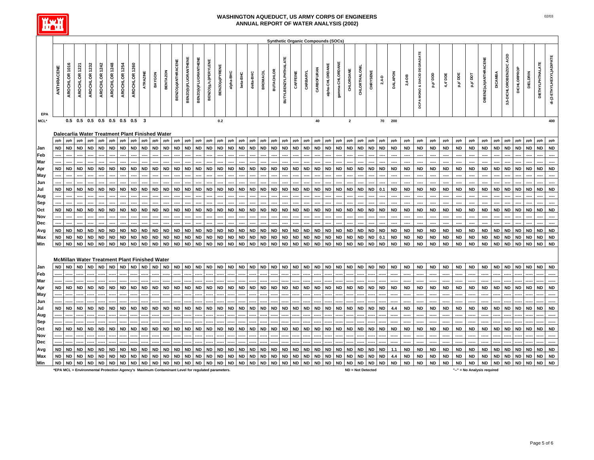

|             |            |               |                                                      |               |               |               |               |               |           |           |                 |                    |                             |                             |                      |                |           |           |           |                 |                  |                             | <b>Synthetic Organic Compounds (SOCs)</b> |            |            |                 |                 |              |               |           |                  |                |            |                                         |           |                          |           |           |                        |                |                          |             |            |                  |                          |
|-------------|------------|---------------|------------------------------------------------------|---------------|---------------|---------------|---------------|---------------|-----------|-----------|-----------------|--------------------|-----------------------------|-----------------------------|----------------------|----------------|-----------|-----------|-----------|-----------------|------------------|-----------------------------|-------------------------------------------|------------|------------|-----------------|-----------------|--------------|---------------|-----------|------------------|----------------|------------|-----------------------------------------|-----------|--------------------------|-----------|-----------|------------------------|----------------|--------------------------|-------------|------------|------------------|--------------------------|
| EPA         | ANTHRACENE | AROCHLOR 1016 | AROCHLOR 1221                                        | AROCHLOR 1232 | AROCHLOR 1242 | AROCHLOR 1248 | AROCHLOR 1254 | AROCHLOR 1260 | ATRAZINE  | BAYGON    | <b>BENTAZON</b> | BENZO(a)ANTHRACENE | <b>BENZO(b)FLUORANTHENE</b> | <b>BENZO(K)FLUORANTHENE</b> | BENZO(g,h,i)PERYLENE | BENZO(a)PYRENE | alpha-BHC | beta-BHC  | delta-BHC | <b>BROMACIL</b> | <b>BUTACHLOR</b> | <b>BUTYLBENZYLPHTHALATE</b> | CAFFEINE                                  | CARBARYL   | CARBOFURAN | alpha-CHLORDANE | gamma-CHLORDANE | CHLORDANE    | CHLORTHALONIL | CHRYSENE  | $2,4-D$          | <b>DALAPON</b> | $2,4 - DB$ | <b>DCPA MONO &amp; DIACID DEGRADATE</b> | ada, d'a  | 4,4' DDE                 | p.p' DDE  | rad , d'o | DIBENZ(a, h)ANTHRACENE | <b>DICAMBA</b> | 3,5-DICHLOROBENZOIC ACID | DICHLORPROP | DIELDRIN   | DIETHYLPHTHALATE | di-(2-ETHYLHEXYL)ADIPATE |
| <b>MCL*</b> |            |               | $0.5$ 0.5 0.5 0.5 0.5 0.5 0.5 3                      |               |               |               |               |               |           |           |                 |                    |                             |                             |                      | 0.2            |           |           |           |                 |                  |                             |                                           |            | 40         |                 |                 | $\mathbf{2}$ |               |           |                  | 70 200         |            |                                         |           |                          |           |           |                        |                |                          |             |            |                  | 400                      |
|             |            |               | Dalecarlia Water Treatment Plant Finished Water      |               |               |               |               |               |           |           |                 |                    |                             |                             |                      |                |           |           |           |                 |                  |                             |                                           |            |            |                 |                 |              |               |           |                  |                |            |                                         |           |                          |           |           |                        |                |                          |             |            |                  |                          |
|             | ppb        | ppb           | ppb                                                  | ppb           | ppb           | ppb           | ppb           | ppb           | ppb       | ppb       | ppb             | ppb                | ppb                         | ppb                         | ppb                  | ppb            | ppb       | ppb       | ppb       | ppb             | ppb              |                             | ppb                                       | ppb        | ppb        | ppb             | ppb             | ppb          | ppb           | ppb       |                  | ppb            | ppb        | ppb                                     | ppb       | ppb                      | ppb       | ppb       | ppb                    | ppb            | ppb                      | ppb         | ppb        | ppb              | ppb                      |
| Jan         | <b>ND</b>  | <b>ND</b>     | <b>ND</b>                                            | <b>ND</b>     | <b>ND</b>     | <b>ND</b>     | <b>ND</b>     | <b>ND</b>     | <b>ND</b> | <b>ND</b> | <b>ND</b>       | <b>ND</b>          | <b>ND</b>                   | <b>ND</b>                   | <b>ND</b>            | <b>ND</b>      | <b>ND</b> | <b>ND</b> | <b>ND</b> | <b>ND</b>       | <b>ND</b>        | ppb<br><b>ND</b>            | <b>ND</b>                                 | <b>ND</b>  | <b>ND</b>  | <b>ND</b>       | <b>ND</b>       | <b>ND</b>    | <b>ND</b>     | <b>ND</b> | ppb<br><b>ND</b> | ${\sf ND}$     | <b>ND</b>  | <b>ND</b>                               | <b>ND</b> | ${\sf ND}$               | <b>ND</b> | <b>ND</b> | <b>ND</b>              | ND             | <b>ND</b>                | <b>ND</b>   | <b>ND</b>  | <b>ND</b>        | <b>ND</b>                |
| Feb         |            |               |                                                      |               |               |               |               |               |           |           |                 |                    |                             |                             |                      |                |           |           |           |                 |                  |                             |                                           |            |            |                 |                 |              |               |           |                  |                |            |                                         |           | $\overline{\phantom{a}}$ |           |           |                        |                |                          |             |            |                  |                          |
| Mar         |            |               |                                                      |               |               |               |               |               |           |           |                 |                    |                             |                             |                      |                |           |           |           |                 |                  |                             |                                           |            |            |                 |                 |              |               |           |                  |                | ----       | ----                                    | ----      | $\overline{a}$           | ---       |           |                        |                |                          |             |            |                  |                          |
| Apr         | <b>ND</b>  | <b>ND</b>     | <b>ND</b>                                            | <b>ND</b>     | <b>ND</b>     | <b>ND</b>     | <b>ND</b>     | <b>ND</b>     | <b>ND</b> | <b>ND</b> | <b>ND</b>       | <b>ND</b>          | <b>ND</b>                   | <b>ND</b>                   | <b>ND</b>            | <b>ND</b>      | <b>ND</b> | <b>ND</b> | <b>ND</b> | <b>ND</b>       | <b>ND</b>        | <b>ND</b>                   | <b>ND</b>                                 | <b>ND</b>  | <b>ND</b>  | <b>ND</b>       | <b>ND</b>       | <b>ND</b>    | <b>ND</b>     | <b>ND</b> | <b>ND</b>        | <b>ND</b>      | <b>ND</b>  | <b>ND</b>                               | <b>ND</b> | <b>ND</b>                | <b>ND</b> | <b>ND</b> | <b>ND</b>              | ND             | <b>ND</b>                | <b>ND</b>   | <b>ND</b>  | <b>ND</b>        | <b>ND</b>                |
| May         |            |               |                                                      |               |               |               |               |               |           |           |                 |                    |                             |                             |                      |                |           |           |           |                 |                  |                             |                                           |            |            |                 |                 |              |               |           |                  |                | ----       | ----                                    | ----      | $\overline{\phantom{a}}$ | ----      | ----      |                        |                |                          |             |            |                  |                          |
| Jun         |            |               |                                                      |               |               |               |               |               |           |           |                 |                    |                             |                             |                      |                |           |           |           |                 |                  |                             |                                           |            |            |                 |                 |              |               |           |                  |                |            | ----                                    | ----      | ----                     | ----      |           |                        |                |                          |             |            |                  |                          |
| Jul         | <b>ND</b>  | <b>ND</b>     | <b>ND</b>                                            | <b>ND</b>     | <b>ND</b>     | <b>ND</b>     | ND            | ND            | <b>ND</b> | <b>ND</b> | <b>ND</b>       | <b>ND</b>          | <b>ND</b>                   | <b>ND</b>                   | <b>ND</b>            | <b>ND</b>      | <b>ND</b> | <b>ND</b> | <b>ND</b> | <b>ND</b>       | <b>ND</b>        | <b>ND</b>                   | <b>ND</b>                                 | <b>ND</b>  | <b>ND</b>  | <b>ND</b>       | <b>ND</b>       | <b>ND</b>    | <b>ND</b>     | <b>ND</b> | 0.1              | <b>ND</b>      | <b>ND</b>  | <b>ND</b>                               | <b>ND</b> | <b>ND</b>                | <b>ND</b> | <b>ND</b> | <b>ND</b>              | <b>ND</b>      | <b>ND</b>                | <b>ND</b>   | <b>ND</b>  | <b>ND</b>        | <b>ND</b>                |
| Aug         |            |               |                                                      |               |               |               |               |               |           |           |                 |                    |                             |                             |                      |                |           |           |           |                 |                  |                             |                                           |            |            |                 |                 |              |               |           |                  |                |            | ----                                    | ----      | ----                     | ----      | ----      |                        |                |                          |             |            |                  |                          |
| Sep         |            |               |                                                      |               |               |               |               |               |           |           |                 |                    |                             |                             |                      |                |           |           |           |                 |                  |                             |                                           |            |            |                 |                 |              |               |           |                  |                |            |                                         |           |                          |           |           |                        |                |                          |             |            |                  |                          |
| Oct         | <b>ND</b>  | <b>ND</b>     | <b>ND</b>                                            | <b>ND</b>     | <b>ND</b>     | <b>ND</b>     | <b>ND</b>     | ND            | <b>ND</b> | <b>ND</b> | ND              | ND                 | <b>ND</b>                   | <b>ND</b>                   | <b>ND</b>            | <b>ND</b>      | <b>ND</b> | <b>ND</b> | <b>ND</b> | <b>ND</b>       | <b>ND</b>        | <b>ND</b>                   | <b>ND</b>                                 | <b>ND</b>  | ND         | <b>ND</b>       | <b>ND</b>       | <b>ND</b>    | <b>ND</b>     | <b>ND</b> | <b>ND</b>        | <b>ND</b>      | <b>ND</b>  | <b>ND</b>                               | <b>ND</b> | <b>ND</b>                | <b>ND</b> | <b>ND</b> | <b>ND</b>              | ND             | <b>ND</b>                | <b>ND</b>   | <b>ND</b>  | <b>ND</b>        | <b>ND</b>                |
| Nov         |            |               |                                                      |               |               |               |               |               |           |           |                 |                    |                             |                             |                      |                |           |           |           |                 |                  |                             |                                           |            |            |                 |                 |              |               |           |                  |                |            |                                         |           |                          |           |           |                        |                |                          |             |            |                  |                          |
| Dec         |            |               |                                                      |               |               |               |               |               |           |           |                 |                    |                             |                             |                      |                |           |           |           |                 |                  |                             |                                           |            |            |                 |                 |              |               |           |                  |                |            |                                         |           | ----                     |           |           |                        |                |                          |             |            |                  |                          |
|             | <b>ND</b>  | <b>ND</b>     | <b>ND</b>                                            | <b>ND</b>     | <b>ND</b>     | <b>ND</b>     | <b>ND</b>     | <b>ND</b>     | <b>ND</b> | <b>ND</b> | <b>ND</b>       | <b>ND</b>          | <b>ND</b>                   | <b>ND</b>                   | <b>ND</b>            | <b>ND</b>      | <b>ND</b> | <b>ND</b> | <b>ND</b> | <b>ND</b>       | <b>ND</b>        | <b>ND</b>                   | <b>ND</b>                                 | <b>ND</b>  | <b>ND</b>  | <b>ND</b>       | <b>ND</b>       | <b>ND</b>    | <b>ND</b>     | <b>ND</b> | <b>ND</b>        | <b>ND</b>      | <b>ND</b>  | <b>ND</b>                               | <b>ND</b> | <b>ND</b>                | <b>ND</b> | <b>ND</b> | <b>ND</b>              | <b>ND</b>      | <b>ND</b>                | <b>ND</b>   | <b>ND</b>  | <b>ND</b>        | <b>ND</b>                |
| Avg         | <b>ND</b>  | <b>ND</b>     | <b>ND</b>                                            | <b>ND</b>     | <b>ND</b>     | <b>ND</b>     | ND            | <b>ND</b>     | <b>ND</b> | ND        | <b>ND</b>       | <b>ND</b>          | <b>ND</b>                   | ${\sf ND}$                  | $\sf ND$             | <b>ND</b>      | <b>ND</b> | ND        | <b>ND</b> | <b>ND</b>       | <b>ND</b>        | <b>ND</b>                   | <b>ND</b>                                 | ${\sf ND}$ | <b>ND</b>  | <b>ND</b>       | <b>ND</b>       | <b>ND</b>    | <b>ND</b>     | ND        | $0.1\,$          | <b>ND</b>      | <b>ND</b>  | ND                                      | <b>ND</b> | <b>ND</b>                | <b>ND</b> | <b>ND</b> | <b>ND</b>              | ND             | ND                       | <b>ND</b>   | ${\sf ND}$ | <b>ND</b>        | <b>ND</b>                |
| Max<br>Min  | <b>ND</b>  | <b>ND</b>     | <b>ND</b>                                            | <b>ND</b>     | <b>ND</b>     | <b>ND</b>     | <b>ND</b>     | <b>ND</b>     | <b>ND</b> | <b>ND</b> | <b>ND</b>       | <b>ND</b>          | <b>ND</b>                   | <b>ND</b>                   | <b>ND</b>            | <b>ND</b>      | <b>ND</b> | <b>ND</b> | <b>ND</b> | <b>ND</b>       | <b>ND</b>        | <b>ND</b>                   | <b>ND</b>                                 | <b>ND</b>  | <b>ND</b>  | <b>ND</b>       | <b>ND</b>       | <b>ND</b>    | <b>ND</b>     | <b>ND</b> | <b>ND</b>        | <b>ND</b>      | <b>ND</b>  | <b>ND</b>                               | <b>ND</b> | <b>ND</b>                | <b>ND</b> | <b>ND</b> | <b>ND</b>              | <b>ND</b>      | <b>ND</b>                | <b>ND</b>   | <b>ND</b>  | <b>ND</b>        | <b>ND</b>                |
|             |            |               |                                                      |               |               |               |               |               |           |           |                 |                    |                             |                             |                      |                |           |           |           |                 |                  |                             |                                           |            |            |                 |                 |              |               |           |                  |                |            |                                         |           |                          |           |           |                        |                |                          |             |            |                  |                          |
|             |            |               |                                                      |               |               |               |               |               |           |           |                 |                    |                             |                             |                      |                |           |           |           |                 |                  |                             |                                           |            |            |                 |                 |              |               |           |                  |                |            |                                         |           |                          |           |           |                        |                |                          |             |            |                  |                          |
|             |            |               | <b>McMillan Water Treatment Plant Finished Water</b> |               |               |               |               |               |           |           |                 |                    |                             |                             |                      |                |           |           |           |                 |                  |                             |                                           |            |            |                 |                 |              |               |           |                  |                |            |                                         |           |                          |           |           |                        |                |                          |             |            |                  |                          |
| Jan         | <b>ND</b>  | <b>ND</b>     | <b>ND</b>                                            | <b>ND</b>     | <b>ND</b>     | <b>ND</b>     | <b>ND</b>     | <b>ND</b>     | <b>ND</b> | <b>ND</b> | <b>ND</b>       |                    | ND ND                       | <b>ND</b>                   | <b>ND</b>            | <b>ND</b>      | <b>ND</b> | <b>ND</b> | <b>ND</b> | <b>ND</b>       | <b>ND</b>        | <b>ND</b>                   | <b>ND</b>                                 | <b>ND</b>  | <b>ND</b>  | <b>ND</b>       | <b>ND</b>       | <b>ND</b>    | <b>ND</b>     | <b>ND</b> | <b>ND</b>        | <b>ND</b>      | <b>ND</b>  | <b>ND</b>                               | <b>ND</b> | <b>ND</b>                | <b>ND</b> | <b>ND</b> | <b>ND</b>              | <b>ND</b>      | <b>ND</b>                | <b>ND</b>   | <b>ND</b>  | <b>ND</b>        | <b>ND</b>                |
| Feb         |            |               |                                                      |               |               |               |               |               |           |           |                 |                    |                             |                             |                      |                |           |           |           |                 |                  |                             |                                           |            |            |                 |                 |              |               |           |                  |                |            |                                         |           |                          |           |           |                        |                |                          |             |            |                  |                          |
| Mar         |            |               |                                                      |               |               |               |               |               |           |           |                 |                    |                             |                             |                      |                |           |           |           |                 |                  |                             |                                           |            |            |                 |                 |              |               |           |                  |                |            |                                         |           |                          |           |           |                        |                |                          |             |            |                  |                          |
| Apr         | <b>ND</b>  | <b>ND</b>     | <b>ND</b>                                            | <b>ND</b>     | <b>ND</b>     | <b>ND</b>     | <b>ND</b>     | <b>ND</b>     | <b>ND</b> | <b>ND</b> | <b>ND</b>       | <b>ND</b>          | <b>ND</b>                   | <b>ND</b>                   | <b>ND</b>            | <b>ND</b>      | <b>ND</b> | <b>ND</b> | <b>ND</b> | <b>ND</b>       | <b>ND</b>        | <b>ND</b>                   | <b>ND</b>                                 | <b>ND</b>  | <b>ND</b>  | <b>ND</b>       | <b>ND</b>       | <b>ND</b>    | <b>ND</b>     | <b>ND</b> | <b>ND</b>        | <b>ND</b>      | <b>ND</b>  | <b>ND</b>                               | <b>ND</b> | <b>ND</b>                | <b>ND</b> | <b>ND</b> | <b>ND</b>              | <b>ND</b>      | <b>ND</b>                | <b>ND</b>   | <b>ND</b>  | <b>ND</b>        | <b>ND</b>                |
| May         |            |               |                                                      |               |               |               |               |               |           |           |                 |                    |                             |                             |                      |                |           |           |           |                 |                  |                             |                                           |            |            |                 |                 |              |               |           |                  |                |            |                                         |           |                          |           |           |                        |                |                          |             |            |                  |                          |
| Jun         |            |               |                                                      |               |               |               |               |               |           |           |                 |                    |                             |                             |                      |                |           |           |           |                 |                  |                             |                                           |            |            |                 |                 |              |               |           |                  |                |            |                                         |           |                          |           |           |                        |                |                          |             |            |                  |                          |
| Jul         | <b>ND</b>  | <b>ND</b>     | <b>ND</b>                                            | <b>ND</b>     | <b>ND</b>     | ND            | ND            | ND            | ND        | ND        | <b>ND</b>       | <b>ND</b>          | <b>ND</b>                   | <b>ND</b>                   | <b>ND</b>            | ND             | ND        | <b>ND</b> | <b>ND</b> | <b>ND</b>       | ND               | <b>ND</b>                   | <b>ND</b>                                 | <b>ND</b>  | ND         | ND              | <b>ND</b>       | <b>ND</b>    | <b>ND</b>     | ND        | <b>ND</b>        | $4.4\,$        | <b>ND</b>  | ND                                      | <b>ND</b> | <b>ND</b>                | <b>ND</b> | <b>ND</b> | <b>ND</b>              | ND             | <b>ND</b>                | <b>ND</b>   | <b>ND</b>  | <b>ND</b>        | <b>ND</b>                |
| Aug         |            |               |                                                      |               |               |               |               |               |           |           |                 |                    |                             |                             |                      |                |           |           |           |                 |                  |                             |                                           |            |            |                 |                 |              |               |           |                  |                |            |                                         |           |                          |           |           |                        |                |                          |             |            |                  |                          |
| Sep         |            |               |                                                      |               |               |               |               |               |           |           |                 |                    |                             |                             |                      |                |           |           |           |                 |                  |                             |                                           |            |            |                 |                 |              |               |           |                  |                |            |                                         |           |                          |           |           |                        |                |                          |             |            |                  |                          |
| Oct         | <b>ND</b>  | <b>ND</b>     | <b>ND</b>                                            | <b>ND</b>     | <b>ND</b>     | <b>ND</b>     | <b>ND</b>     | <b>ND</b>     | <b>ND</b> | <b>ND</b> | <b>ND</b>       | <b>ND</b>          | <b>ND</b>                   | <b>ND</b>                   | <b>ND</b>            | <b>ND</b>      | <b>ND</b> | <b>ND</b> | <b>ND</b> | <b>ND</b>       | <b>ND</b>        | ND                          | <b>ND</b>                                 | <b>ND</b>  | <b>ND</b>  | <b>ND</b>       | <b>ND</b>       | <b>ND</b>    | <b>ND</b>     | <b>ND</b> | ND               | <b>ND</b>      | <b>ND</b>  | <b>ND</b>                               | <b>ND</b> | <b>ND</b>                | <b>ND</b> | <b>ND</b> | <b>ND</b>              | ND             | <b>ND</b>                | <b>ND</b>   | <b>ND</b>  | <b>ND</b>        | <b>ND</b>                |
| Nov         |            |               |                                                      |               |               |               |               |               |           |           |                 |                    |                             |                             |                      |                |           |           |           |                 |                  |                             |                                           |            |            |                 |                 |              |               |           |                  |                |            |                                         |           |                          |           |           |                        |                |                          |             |            |                  |                          |
| Dec         |            |               |                                                      |               |               |               |               |               |           |           |                 |                    |                             |                             |                      |                |           |           |           |                 |                  |                             |                                           |            |            |                 |                 |              |               |           |                  |                |            |                                         |           |                          |           |           |                        |                |                          |             |            |                  |                          |
| Avg         | <b>ND</b>  | <b>ND</b>     | <b>ND</b>                                            | <b>ND</b>     | <b>ND</b>     | <b>ND</b>     | <b>ND</b>     | <b>ND</b>     | <b>ND</b> | <b>ND</b> | <b>ND</b>       | <b>ND</b>          | <b>ND</b>                   | <b>ND</b>                   | <b>ND</b>            | <b>ND</b>      | <b>ND</b> | <b>ND</b> | <b>ND</b> | <b>ND</b>       | <b>ND</b>        | <b>ND</b>                   | <b>ND</b>                                 | ${\sf ND}$ | <b>ND</b>  | <b>ND</b>       | <b>ND</b>       | <b>ND</b>    | <b>ND</b>     | <b>ND</b> | <b>ND</b>        | 1.1            | ${\sf ND}$ | <b>ND</b>                               | <b>ND</b> | <b>ND</b>                | <b>ND</b> | <b>ND</b> | <b>ND</b>              | <b>ND</b>      | <b>ND</b>                | <b>ND</b>   | ${\sf ND}$ | <b>ND</b>        | ${\sf ND}$               |
| Max         | <b>ND</b>  | <b>ND</b>     | <b>ND</b>                                            | <b>ND</b>     | <b>ND</b>     | <b>ND</b>     | ${\sf ND}$    | <b>ND</b>     | <b>ND</b> | <b>ND</b> | <b>ND</b>       | ${\sf ND}$         | <b>ND</b>                   | ${\sf ND}$                  | <b>ND</b>            | <b>ND</b>      | <b>ND</b> | <b>ND</b> | <b>ND</b> | <b>ND</b>       | <b>ND</b>        | ${\sf ND}$                  | <b>ND</b>                                 | ${\sf ND}$ | <b>ND</b>  | <b>ND</b>       | <b>ND</b>       | <b>ND</b>    | ${\sf ND}$    | <b>ND</b> | <b>ND</b>        | 4.4            | <b>ND</b>  | <b>ND</b>                               | <b>ND</b> | <b>ND</b>                | <b>ND</b> | <b>ND</b> | <b>ND</b>              | <b>ND</b>      | $\mathsf{ND}$            | <b>ND</b>   | <b>ND</b>  | <b>ND</b>        | ND                       |
| Min         | <b>ND</b>  | <b>ND</b>     | <b>ND</b>                                            | <b>ND</b>     | <b>ND</b>     | <b>ND</b>     | <b>ND</b>     | <b>ND</b>     | <b>ND</b> | <b>ND</b> | <b>ND</b>       | <b>ND</b>          | <b>ND</b>                   | <b>ND</b>                   | $\sf ND$             | ${\sf ND}$     | <b>ND</b> | <b>ND</b> | <b>ND</b> | <b>ND</b>       | <b>ND</b>        | <b>ND</b>                   | <b>ND</b>                                 | <b>ND</b>  | <b>ND</b>  | <b>ND</b>       | <b>ND</b>       | <b>ND</b>    | <b>ND</b>     | <b>ND</b> | <b>ND</b>        | <b>ND</b>      | <b>ND</b>  | <b>ND</b>                               | <b>ND</b> | <b>ND</b>                | <b>ND</b> | <b>ND</b> | <b>ND</b>              | <b>ND</b>      | <b>ND</b>                | <b>ND</b>   | <b>ND</b>  | <b>ND</b>        | <b>ND</b>                |

**\*EPA MCL = Environmental Protection Agency's Maximum Contaminant Level for regulated parameters. ND = Not Detected "--" = No Analysis required**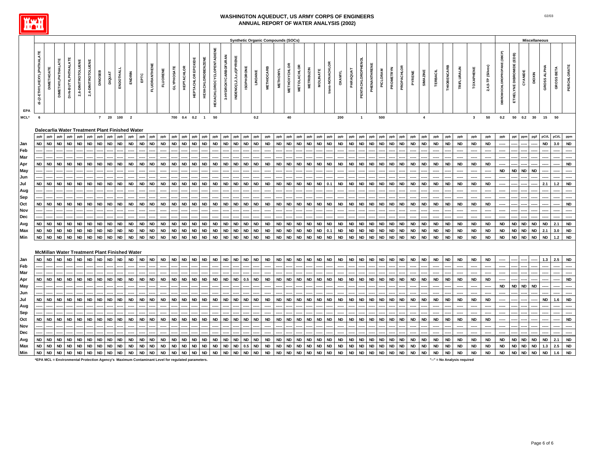

|            |                            |                                                 |                                                 |                        |                    |           |               |           |           |           |              |                 |                                 |                    |                          |                                  |                     |                         |                              |                         | <b>Synthetic Organic Compounds (SOCs)</b> |                     |                    |                   |                 |                 |               |           |                   |                          |           |            |           |                 |                 |                    |                           |              |                   |                                    |                          |           | <b>Miscellaneous</b> |             |                   |             |
|------------|----------------------------|-------------------------------------------------|-------------------------------------------------|------------------------|--------------------|-----------|---------------|-----------|-----------|-----------|--------------|-----------------|---------------------------------|--------------------|--------------------------|----------------------------------|---------------------|-------------------------|------------------------------|-------------------------|-------------------------------------------|---------------------|--------------------|-------------------|-----------------|-----------------|---------------|-----------|-------------------|--------------------------|-----------|------------|-----------|-----------------|-----------------|--------------------|---------------------------|--------------|-------------------|------------------------------------|--------------------------|-----------|----------------------|-------------|-------------------|-------------|
| EPA        | di-(2-ETHYLHEXYL)PHTHALATE | DIMETHOATE                                      | DI-N-BUTYLPHTHALATE<br><b>DIMETHYLPHTHALATE</b> | 2,6-DINITROTOLUENE     | 2,4-DINITROTOLUENE | DINOSEB   | <b>DIQUAT</b> | ENDOTHALL | ENDRIN    | EPTC      | FLUORANTHENI | <b>FLUORENE</b> | GLYPHOSATE<br><b>HEPTACHLOR</b> | HEPTACHLOR EPOXIDE | <b>HEXACHLOROBENZENE</b> | <b>HEXACHLOROCYCLOPENTADIENE</b> | 3-HYDROXYCARBOFURAN | INDENO(1,2,3,c,d)PYRENE | <b>ISOPHORONE</b><br>LINDANE | <b>METHIOCARB</b>       | <b>METHOMYL</b>                           | <b>METHOXYCHLOR</b> | <b>METOLACHLOR</b> | <b>METRIBUZIN</b> | <b>MOLINATE</b> | trans-NONACHLOR | <b>OXAMYL</b> | PARAQUAT  | PENTACHLOROPHENOL | PHENANTHRENE<br>PICLORAM | PROMETRYN | PROPACHLOR | PYRENE    | <b>SIMAZINE</b> | <b>TERBACIL</b> | <b>THIOBENCARB</b> | <b><i>TRIFLURALIN</i></b> | TOXAPHENE    | 2,4,5-TP (Silvex) | <b>DIBROMOCHLOROPROPANE (DBCP)</b> | ETHELYNE DIBROMIDE (EDB) | CYANIDE   | <b>DIOXIN</b>        | GROSS ALPHA | <b>GROSS BETA</b> | PERCHLORATE |
| MCL*       | 6                          |                                                 |                                                 |                        |                    |           | 7 20 100 2    |           |           |           |              |                 | 700  0.4  0.2  1  50            |                    |                          |                                  |                     |                         |                              | 0.2                     |                                           | 40                  |                    |                   |                 |                 | 200           |           | $\mathbf{1}$      | 500                      |           |            |           | $\overline{4}$  |                 |                    |                           | $\mathbf{3}$ | 50                | 0.2                                |                          |           | 50  0.2  30  15  50  |             |                   |             |
|            |                            |                                                 |                                                 |                        |                    |           |               |           |           |           |              |                 |                                 |                    |                          |                                  |                     |                         |                              |                         |                                           |                     |                    |                   |                 |                 |               |           |                   |                          |           |            |           |                 |                 |                    |                           |              |                   |                                    |                          |           |                      |             |                   |             |
|            |                            | Dalecarlia Water Treatment Plant Finished Water |                                                 |                        |                    |           |               |           |           |           |              |                 |                                 |                    |                          |                                  |                     |                         |                              |                         |                                           |                     |                    |                   |                 |                 |               |           |                   |                          |           |            |           |                 |                 |                    |                           |              |                   |                                    |                          |           |                      |             |                   |             |
|            | ppb                        |                                                 |                                                 | ppb<br>ppb             | ppb                | ppb       | ppb           | ppb       | ppb       | ppb       | ppb          | ppb             | ppb<br>ppb                      | ppb                | ppb                      | ppb                              | ppb                 | ppb                     | ppb                          | ppb<br>ppb              | ppb                                       | ppb                 | ppb                | ppb               | ppb             | ppb             | ppb           | ppb       | ppb               | ppb<br>ppb               | ppb       | ppb        | ppb       | ppb             | ppb             | ppb                | ppb                       | ppb          | ppb               | ppb                                | ppt                      | ppm       | pg/l                 | pCi/L       | pCi/L             |             |
| Jan        | <b>ND</b>                  | <b>ND</b>                                       | <b>ND</b>                                       | <b>ND</b><br><b>ND</b> | <b>ND</b>          | <b>ND</b> | <b>ND</b>     | <b>ND</b> | <b>ND</b> | <b>ND</b> | <b>ND</b>    | <b>ND</b>       | <b>ND</b><br><b>ND</b>          | <b>ND</b>          | <b>ND</b>                | <b>ND</b>                        | <b>ND</b>           | <b>ND</b>               | <b>ND</b>                    | <b>ND</b><br><b>ND</b>  | <b>ND</b>                                 | <b>ND</b>           | <b>ND</b>          | <b>ND</b>         | <b>ND</b>       | <b>ND</b>       | <b>ND</b>     | <b>ND</b> | <b>ND</b>         | <b>ND</b><br><b>ND</b>   | <b>ND</b> | <b>ND</b>  | <b>ND</b> | <b>ND</b>       | <b>ND</b>       | <b>ND</b>          | <b>ND</b>                 | <b>ND</b>    | <b>ND</b>         |                                    |                          |           |                      | <b>ND</b>   | 3.0               | <b>ND</b>   |
| Feb        |                            |                                                 |                                                 |                        |                    |           |               |           |           |           |              |                 |                                 |                    |                          |                                  |                     |                         |                              |                         |                                           |                     |                    |                   |                 |                 |               |           |                   |                          |           |            |           |                 |                 |                    |                           |              |                   |                                    |                          |           |                      |             |                   |             |
| Mar        |                            |                                                 |                                                 |                        |                    |           |               |           |           |           |              |                 |                                 |                    |                          |                                  |                     |                         |                              |                         |                                           |                     |                    |                   |                 |                 |               |           |                   |                          |           |            |           |                 |                 |                    |                           |              |                   |                                    |                          |           |                      |             |                   |             |
| Apr        | <b>ND</b>                  | <b>ND</b>                                       | <b>ND</b>                                       | <b>ND</b><br><b>ND</b> | <b>ND</b>          | <b>ND</b> | <b>ND</b>     | <b>ND</b> | <b>ND</b> | <b>ND</b> | <b>ND</b>    | <b>ND</b>       | <b>ND</b><br><b>ND</b>          | <b>ND</b>          | <b>ND</b>                | <b>ND</b>                        | <b>ND</b>           | <b>ND</b>               | <b>ND</b>                    | ${\sf ND}$<br><b>ND</b> | <b>ND</b>                                 | <b>ND</b>           | <b>ND</b>          | <b>ND</b>         | <b>ND</b>       | <b>ND</b>       | <b>ND</b>     | <b>ND</b> | <b>ND</b>         | <b>ND</b><br><b>ND</b>   | <b>ND</b> | <b>ND</b>  | <b>ND</b> | <b>ND</b>       | <b>ND</b>       | <b>ND</b>          | <b>ND</b>                 | <b>ND</b>    | <b>ND</b>         |                                    |                          |           |                      |             |                   | <b>ND</b>   |
| May        |                            |                                                 |                                                 |                        |                    |           |               |           |           |           |              |                 |                                 |                    |                          |                                  |                     |                         |                              |                         |                                           |                     |                    |                   |                 |                 |               |           |                   |                          |           |            |           |                 |                 |                    |                           |              |                   | ND                                 | <b>ND</b>                | <b>ND</b> | <b>ND</b>            |             |                   |             |
| Jun        |                            |                                                 |                                                 |                        |                    |           |               |           |           |           |              |                 |                                 |                    |                          |                                  |                     |                         |                              |                         |                                           |                     |                    |                   |                 |                 |               |           |                   |                          |           |            |           |                 |                 |                    |                           |              |                   |                                    |                          |           |                      |             |                   |             |
|            | <b>ND</b>                  | <b>ND</b>                                       | <b>ND</b>                                       | <b>ND</b><br><b>ND</b> | <b>ND</b>          | <b>ND</b> | <b>ND</b>     | <b>ND</b> | <b>ND</b> | <b>ND</b> |              | <b>ND</b>       | <b>ND</b><br><b>ND</b>          | <b>ND</b>          | <b>ND</b>                |                                  |                     | <b>ND</b>               | <b>ND</b>                    | <b>ND</b>               | <b>ND</b>                                 | <b>ND</b>           | <b>ND</b>          | <b>ND</b>         | <b>ND</b>       |                 | <b>ND</b>     | <b>ND</b> | <b>ND</b>         | <b>ND</b>                |           | <b>ND</b>  | <b>ND</b> | <b>ND</b>       | <b>ND</b>       |                    | <b>ND</b>                 |              | <b>ND</b>         |                                    |                          |           |                      | 2.1         | 1.2               | <b>ND</b>   |
| Jul        |                            |                                                 |                                                 |                        |                    |           |               |           |           |           | <b>ND</b>    |                 |                                 |                    |                          | <b>ND</b>                        | <b>ND</b>           |                         |                              | <b>ND</b>               |                                           |                     |                    |                   |                 |                 |               |           |                   | ND                       | <b>ND</b> |            |           |                 |                 | <b>ND</b>          |                           | <b>ND</b>    |                   |                                    |                          |           |                      |             |                   |             |
| Aug        |                            |                                                 |                                                 |                        |                    |           |               |           |           |           |              |                 |                                 |                    |                          |                                  |                     |                         |                              |                         |                                           |                     |                    |                   |                 |                 |               |           |                   |                          |           |            |           |                 |                 |                    |                           |              | ----              |                                    |                          |           |                      |             |                   |             |
| Sep        |                            |                                                 |                                                 |                        |                    |           |               |           |           |           |              |                 |                                 |                    |                          |                                  |                     |                         |                              |                         |                                           |                     |                    |                   |                 |                 |               |           |                   |                          |           |            |           |                 |                 |                    |                           |              |                   |                                    |                          |           |                      |             |                   |             |
| Oct        | <b>ND</b>                  | <b>ND</b>                                       | <b>ND</b>                                       | <b>ND</b><br><b>ND</b> | <b>ND</b>          | <b>ND</b> | <b>ND</b>     | <b>ND</b> | <b>ND</b> | <b>ND</b> | <b>ND</b>    | <b>ND</b>       | <b>ND</b><br><b>ND</b>          | <b>ND</b>          | <b>ND</b>                | <b>ND</b>                        | <b>ND</b>           | <b>ND</b>               | <b>ND</b>                    | <b>ND</b><br><b>ND</b>  | <b>ND</b>                                 | <b>ND</b>           | <b>ND</b>          | <b>ND</b>         | <b>ND</b>       | <b>ND</b>       | <b>ND</b>     | <b>ND</b> | <b>ND</b>         | <b>ND</b><br><b>ND</b>   | <b>ND</b> | <b>ND</b>  | <b>ND</b> | <b>ND</b>       | <b>ND</b>       | <b>ND</b>          | <b>ND</b>                 | <b>ND</b>    | <b>ND</b>         |                                    |                          |           |                      |             |                   | <b>ND</b>   |
| Nov        |                            |                                                 |                                                 |                        |                    |           |               |           |           |           |              |                 |                                 |                    |                          |                                  |                     |                         |                              |                         |                                           |                     |                    |                   |                 |                 |               |           |                   |                          |           |            |           |                 |                 |                    |                           |              |                   |                                    |                          |           |                      |             |                   |             |
| Dec        |                            |                                                 |                                                 |                        |                    |           |               |           |           |           |              |                 |                                 |                    |                          |                                  |                     |                         |                              |                         |                                           |                     |                    |                   |                 |                 |               |           |                   |                          |           |            |           |                 |                 |                    |                           |              |                   |                                    |                          |           |                      |             |                   |             |
| Avg        | <b>ND</b>                  |                                                 | <b>ND</b>                                       | ND<br><b>ND</b>        | <b>ND</b>          | <b>ND</b> | <b>ND</b>     | <b>ND</b> | <b>ND</b> | <b>ND</b> | <b>ND</b>    | <b>ND</b>       | <b>ND</b><br><b>ND</b>          | <b>ND</b>          | <b>ND</b>                | <b>ND</b>                        | <b>ND</b>           | <b>ND</b>               | <b>ND</b>                    | <b>ND</b><br><b>ND</b>  | <b>ND</b>                                 | <b>ND</b>           | <b>ND</b>          | <b>ND</b>         | <b>ND</b>       | <b>ND</b>       | <b>ND</b>     | <b>ND</b> | <b>ND</b>         | <b>ND</b><br><b>ND</b>   | <b>ND</b> | <b>ND</b>  | <b>ND</b> | <b>ND</b>       | ND              | <b>ND</b>          | <b>ND</b>                 | <b>ND</b>    | <b>ND</b>         | <b>ND</b>                          | <b>ND</b>                | <b>ND</b> | <b>ND</b>            | <b>ND</b>   | 2.1               | <b>ND</b>   |
| Max        | ND                         | <b>ND</b>                                       | <b>ND</b><br><b>ND</b>                          | ND                     | <b>ND</b>          | <b>ND</b> | <b>ND</b>     | <b>ND</b> | <b>ND</b> | <b>ND</b> | <b>ND</b>    | <b>ND</b>       | <b>ND</b><br><b>ND</b>          | <b>ND</b>          | <b>ND</b>                | <b>ND</b>                        | <b>ND</b>           | <b>ND</b>               | <b>ND</b>                    | <b>ND</b><br><b>ND</b>  | <b>ND</b>                                 | <b>ND</b>           | <b>ND</b>          | ${\sf ND}$        | <b>ND</b>       | 0.1             | <b>ND</b>     | <b>ND</b> | ND                | <b>ND</b><br><b>ND</b>   | <b>ND</b> | <b>ND</b>  | <b>ND</b> | <b>ND</b>       | <b>ND</b>       | <b>ND</b>          | <b>ND</b>                 | <b>ND</b>    | <b>ND</b>         | <b>ND</b>                          | <b>ND</b>                | <b>ND</b> | <b>ND</b>            | 2.1         | 3.0               | ${\sf ND}$  |
| Min        | <b>ND</b>                  | <b>ND</b>                                       | <b>ND</b>                                       | <b>ND</b><br><b>ND</b> | <b>ND</b>          | <b>ND</b> | <b>ND</b>     | <b>ND</b> | <b>ND</b> | <b>ND</b> | <b>ND</b>    | <b>ND</b>       | <b>ND</b><br><b>ND</b>          | <b>ND</b>          | <b>ND</b>                | <b>ND</b>                        | <b>ND</b>           | <b>ND</b>               | <b>ND</b>                    | <b>ND</b><br><b>ND</b>  | <b>ND</b>                                 | <b>ND</b>           | <b>ND</b>          | <b>ND</b>         | <b>ND</b>       | <b>ND</b>       | <b>ND</b>     | <b>ND</b> | <b>ND</b>         | <b>ND</b><br><b>ND</b>   | <b>ND</b> | <b>ND</b>  | <b>ND</b> | <b>ND</b>       | <b>ND</b>       | <b>ND</b>          | <b>ND</b>                 | <b>ND</b>    | <b>ND</b>         | <b>ND</b>                          | <b>ND</b>                | <b>ND</b> | <b>ND</b>            | <b>ND</b>   | $1.2$             | <b>ND</b>   |
|            |                            |                                                 |                                                 |                        |                    |           |               |           |           |           |              |                 |                                 |                    |                          |                                  |                     |                         |                              |                         |                                           |                     |                    |                   |                 |                 |               |           |                   |                          |           |            |           |                 |                 |                    |                           |              |                   |                                    |                          |           |                      |             |                   |             |
|            |                            | McMillan Water Treatment Plant Finished Water   |                                                 |                        |                    |           |               |           |           |           |              |                 |                                 |                    |                          |                                  |                     |                         |                              |                         |                                           |                     |                    |                   |                 |                 |               |           |                   |                          |           |            |           |                 |                 |                    |                           |              |                   |                                    |                          |           |                      |             |                   |             |
|            | <b>ND</b>                  |                                                 | <b>ND</b>                                       | <b>ND</b><br>ND        | <b>ND</b>          | <b>ND</b> | <b>ND</b>     |           | ND        | <b>ND</b> | <b>ND</b>    | <b>ND</b>       | <b>ND</b><br><b>ND</b>          | <b>ND</b>          | <b>ND</b>                | <b>ND</b>                        | <b>ND</b>           | <b>ND</b>               | <b>ND</b>                    | <b>ND</b><br><b>ND</b>  | <b>ND</b>                                 | <b>ND</b>           | <b>ND</b>          | <b>ND</b>         | <b>ND</b>       | <b>ND</b>       | <b>ND</b>     | <b>ND</b> | <b>ND</b>         | <b>ND</b><br>ND          | <b>ND</b> | <b>ND</b>  | <b>ND</b> | <b>ND</b>       | <b>ND</b>       | <b>ND</b>          | ND                        | ${\sf ND}$   | <b>ND</b>         |                                    |                          |           |                      |             | 2.5               | <b>ND</b>   |
| Jan<br>Feb |                            |                                                 |                                                 |                        |                    |           |               |           |           |           |              |                 |                                 |                    |                          |                                  |                     |                         |                              |                         |                                           |                     |                    |                   |                 |                 |               |           |                   |                          |           |            |           |                 |                 |                    |                           |              |                   |                                    |                          |           |                      |             |                   |             |
|            |                            |                                                 |                                                 |                        |                    |           |               |           |           |           |              |                 |                                 |                    |                          |                                  |                     |                         |                              |                         |                                           |                     |                    |                   |                 |                 |               |           |                   |                          |           |            |           |                 |                 |                    |                           |              |                   |                                    |                          |           |                      |             |                   |             |
| Mar        |                            |                                                 |                                                 |                        |                    |           |               |           |           |           |              |                 |                                 |                    |                          |                                  |                     |                         |                              |                         |                                           |                     |                    |                   |                 |                 |               |           |                   |                          |           |            |           |                 |                 |                    |                           |              |                   |                                    |                          |           |                      |             |                   |             |
| Apr        | <b>ND</b>                  | <b>ND</b>                                       | <b>ND</b>                                       | <b>ND</b><br><b>ND</b> | <b>ND</b>          | <b>ND</b> | <b>ND</b>     | <b>ND</b> | <b>ND</b> | <b>ND</b> | <b>ND</b>    | <b>ND</b>       | <b>ND</b><br><b>ND</b>          | <b>ND</b>          | <b>ND</b>                | <b>ND</b>                        | <b>ND</b>           | <b>ND</b>               | 0.5                          | <b>ND</b><br>ND         | <b>ND</b>                                 | <b>ND</b>           | <b>ND</b>          | <b>ND</b>         | <b>ND</b>       | <b>ND</b>       | <b>ND</b>     | <b>ND</b> | <b>ND</b>         | <b>ND</b><br><b>ND</b>   | <b>ND</b> | <b>ND</b>  | <b>ND</b> | <b>ND</b>       | <b>ND</b>       | <b>ND</b>          | <b>ND</b>                 | <b>ND</b>    | <b>ND</b>         |                                    |                          |           |                      |             |                   | <b>ND</b>   |
| May        |                            |                                                 |                                                 |                        |                    |           |               |           |           |           |              |                 |                                 |                    |                          |                                  |                     |                         |                              |                         |                                           |                     |                    |                   |                 |                 |               |           |                   |                          |           |            |           |                 |                 |                    |                           |              |                   | <b>ND</b>                          | <b>ND</b>                | <b>ND</b> | <b>ND</b>            |             |                   |             |
| Jun        |                            |                                                 |                                                 |                        |                    |           |               |           |           |           |              |                 |                                 |                    |                          |                                  |                     |                         |                              |                         |                                           |                     |                    |                   |                 |                 |               |           |                   |                          |           |            |           |                 |                 |                    |                           |              |                   |                                    |                          |           |                      |             |                   |             |
| Jul        | <b>ND</b>                  | <b>ND</b>                                       | <b>ND</b>                                       | ND<br><b>ND</b>        | <b>ND</b>          | <b>ND</b> | <b>ND</b>     | <b>ND</b> | <b>ND</b> | <b>ND</b> | <b>ND</b>    | <b>ND</b>       | <b>ND</b><br><b>ND</b>          | <b>ND</b>          | <b>ND</b>                | <b>ND</b>                        | <b>ND</b>           | <b>ND</b>               | <b>ND</b>                    | <b>ND</b><br><b>ND</b>  | <b>ND</b>                                 | <b>ND</b>           | <b>ND</b>          | <b>ND</b>         | <b>ND</b>       | <b>ND</b>       | <b>ND</b>     | <b>ND</b> | <b>ND</b>         | <b>ND</b><br><b>ND</b>   | <b>ND</b> | <b>ND</b>  | <b>ND</b> | <b>ND</b>       | <b>ND</b>       | <b>ND</b>          | <b>ND</b>                 | <b>ND</b>    | <b>ND</b>         |                                    |                          |           |                      | <b>ND</b>   | 1.6               | <b>ND</b>   |
| Aug        |                            |                                                 |                                                 |                        |                    |           |               |           |           |           |              |                 |                                 |                    |                          |                                  |                     |                         |                              |                         |                                           |                     |                    |                   |                 |                 |               |           |                   |                          |           |            |           |                 |                 |                    |                           |              |                   |                                    |                          |           |                      |             |                   |             |
| Sep        |                            |                                                 |                                                 |                        |                    |           |               |           |           |           |              |                 |                                 |                    |                          |                                  |                     |                         |                              |                         |                                           |                     |                    |                   |                 |                 |               |           |                   |                          |           |            |           |                 |                 |                    |                           |              |                   |                                    |                          |           |                      |             |                   |             |
| Oct        | <b>ND</b>                  | <b>ND</b>                                       | <b>ND</b>                                       | <b>ND</b><br><b>ND</b> | <b>ND</b>          | <b>ND</b> | <b>ND</b>     | <b>ND</b> | <b>ND</b> | <b>ND</b> | <b>ND</b>    | <b>ND</b>       | <b>ND</b><br>ND                 | <b>ND</b>          | <b>ND</b>                | <b>ND</b>                        | ND                  | <b>ND</b>               | <b>ND</b>                    | <b>ND</b><br>ND         | <b>ND</b>                                 | <b>ND</b>           | <b>ND</b>          | <b>ND</b>         | <b>ND</b>       | <b>ND</b>       | <b>ND</b>     | <b>ND</b> | <b>ND</b>         | <b>ND</b><br>ND          | <b>ND</b> | <b>ND</b>  | <b>ND</b> | <b>ND</b>       | <b>ND</b>       | <b>ND</b>          | <b>ND</b>                 | <b>ND</b>    | <b>ND</b>         |                                    |                          |           |                      |             |                   | <b>ND</b>   |
| Nov        |                            |                                                 |                                                 |                        |                    |           |               |           |           |           |              |                 |                                 |                    |                          |                                  |                     |                         |                              |                         |                                           |                     |                    |                   |                 |                 |               |           |                   |                          |           |            |           |                 |                 |                    |                           |              |                   |                                    |                          |           |                      |             |                   |             |
| Dec        |                            |                                                 |                                                 |                        |                    |           |               |           |           |           |              |                 |                                 |                    |                          |                                  |                     |                         |                              |                         |                                           |                     |                    |                   |                 |                 |               |           |                   |                          |           |            |           |                 |                 |                    |                           |              |                   |                                    |                          |           |                      |             |                   |             |
| Avg        | ND                         | <b>ND</b>                                       | ND                                              | <b>ND</b><br><b>ND</b> | <b>ND</b>          | <b>ND</b> | <b>ND</b>     | <b>ND</b> | <b>ND</b> | <b>ND</b> | <b>ND</b>    | <b>ND</b>       | <b>ND</b><br><b>ND</b>          | <b>ND</b>          | <b>ND</b>                | <b>ND</b>                        | <b>ND</b>           | <b>ND</b>               | <b>ND</b>                    | <b>ND</b><br><b>ND</b>  | <b>ND</b>                                 | <b>ND</b>           | <b>ND</b>          | <b>ND</b>         | <b>ND</b>       | <b>ND</b>       | <b>ND</b>     | <b>ND</b> | <b>ND</b>         | <b>ND</b><br>ND          | <b>ND</b> | <b>ND</b>  | <b>ND</b> | <b>ND</b>       | <b>ND</b>       | <b>ND</b>          | <b>ND</b>                 | <b>ND</b>    | <b>ND</b>         | <b>ND</b>                          | <b>ND</b>                | <b>ND</b> | <b>ND</b>            | <b>ND</b>   | 2.1               | <b>ND</b>   |
| Max        | ND                         | <b>ND</b>                                       | <b>ND</b>                                       | <b>ND</b><br><b>ND</b> |                    | <b>ND</b> | <b>ND</b>     | <b>ND</b> | <b>ND</b> | <b>ND</b> | <b>ND</b>    | <b>ND</b>       | <b>ND</b><br><b>ND</b>          | <b>ND</b>          | <b>ND</b>                | <b>ND</b>                        | <b>ND</b>           | ND                      | 0.5                          | <b>ND</b><br><b>ND</b>  | <b>ND</b>                                 | <b>ND</b>           | <b>ND</b>          | ND                | <b>ND</b>       | <b>ND</b>       | <b>ND</b>     | <b>ND</b> | <b>ND</b>         | <b>ND</b><br>ND          | <b>ND</b> | <b>ND</b>  | <b>ND</b> | <b>ND</b>       | <b>ND</b>       | <b>ND</b>          | <b>ND</b>                 | <b>ND</b>    | <b>ND</b>         | <b>ND</b>                          | <b>ND</b>                | <b>ND</b> | <b>ND</b>            | 1.3         | 2.5               | <b>ND</b>   |
| Min        | ND                         | <b>ND</b>                                       | <b>ND</b>                                       | <b>ND</b><br><b>ND</b> | <b>ND</b>          | <b>ND</b> | <b>ND</b>     | <b>ND</b> | <b>ND</b> | <b>ND</b> | <b>ND</b>    | <b>ND</b>       | <b>ND</b><br><b>ND</b>          | <b>ND</b>          | <b>ND</b>                | ND                               | <b>ND</b>           | <b>ND</b>               | <b>ND</b>                    | <b>ND</b><br><b>ND</b>  | <b>ND</b>                                 | ND                  | <b>ND</b>          | ND                | <b>ND</b>       | <b>ND</b>       | <b>ND</b>     | <b>ND</b> | <b>ND</b>         | ND<br>ND                 | <b>ND</b> | <b>ND</b>  | <b>ND</b> | <b>ND</b>       | <b>ND</b>       | <b>ND</b>          | <b>ND</b>                 | <b>ND</b>    | <b>ND</b>         | <b>ND</b>                          | <b>ND</b>                | <b>ND</b> | <b>ND</b>            | <b>ND</b>   | 1.6               | <b>ND</b>   |
|            |                            |                                                 |                                                 |                        |                    |           |               |           |           |           |              |                 |                                 |                    |                          |                                  |                     |                         |                              |                         |                                           |                     |                    |                   |                 |                 |               |           |                   |                          |           |            |           |                 |                 |                    |                           |              |                   |                                    |                          |           |                      |             |                   |             |

**\*EPA MCL = Environmental Protection Agency's Maximum Contaminant Level for regulated parameters. "--" = No Analysis required**